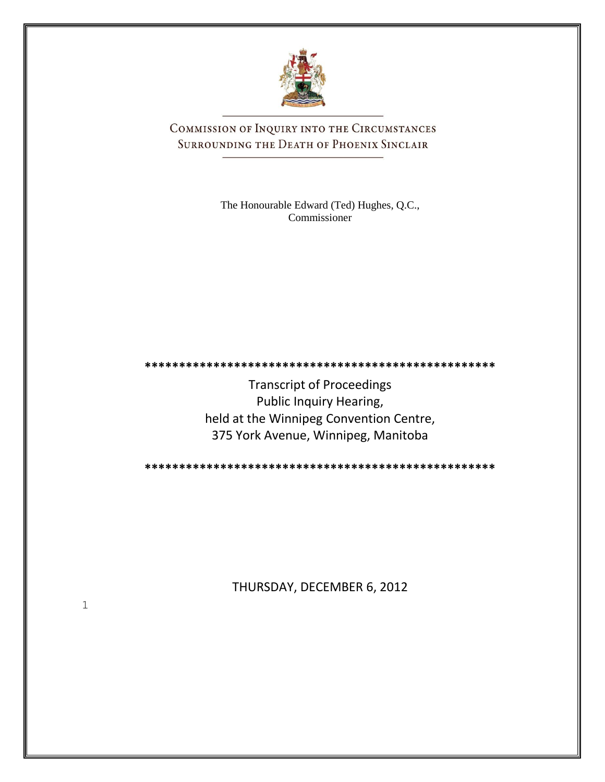

COMMISSION OF INQUIRY INTO THE CIRCUMSTANCES SURROUNDING THE DEATH OF PHOENIX SINCLAIR

> The Honourable Edward (Ted) Hughes, Q.C., Commissioner

Transcript of Proceedings Public Inquiry Hearing, held at the Winnipeg Convention Centre, 375 York Avenue, Winnipeg, Manitoba

**\*\*\*\*\*\*\*\*\*\*\*\*\*\*\*\*\*\*\*\*\*\*\*\*\*\*\*\*\*\*\*\*\*\*\*\*\*\*\*\*\*\*\*\*\*\*\*\*\*\*\***

**\*\*\*\*\*\*\*\*\*\*\*\*\*\*\*\*\*\*\*\*\*\*\*\*\*\*\*\*\*\*\*\*\*\*\*\*\*\*\*\*\*\*\*\*\*\*\*\*\*\*\***

THURSDAY, DECEMBER 6, 2012

1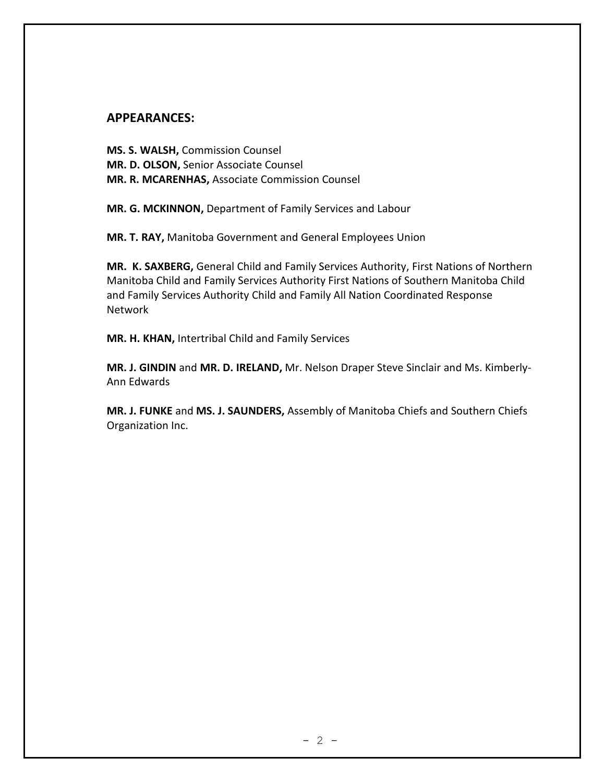## **APPEARANCES:**

**MS. S. WALSH,** Commission Counsel **MR. D. OLSON,** Senior Associate Counsel **MR. R. MCARENHAS,** Associate Commission Counsel

**MR. G. MCKINNON,** Department of Family Services and Labour

**MR. T. RAY,** Manitoba Government and General Employees Union

**MR. K. SAXBERG,** General Child and Family Services Authority, First Nations of Northern Manitoba Child and Family Services Authority First Nations of Southern Manitoba Child and Family Services Authority Child and Family All Nation Coordinated Response Network

**MR. H. KHAN,** Intertribal Child and Family Services

**MR. J. GINDIN** and **MR. D. IRELAND,** Mr. Nelson Draper Steve Sinclair and Ms. Kimberly-Ann Edwards

**MR. J. FUNKE** and **MS. J. SAUNDERS,** Assembly of Manitoba Chiefs and Southern Chiefs Organization Inc.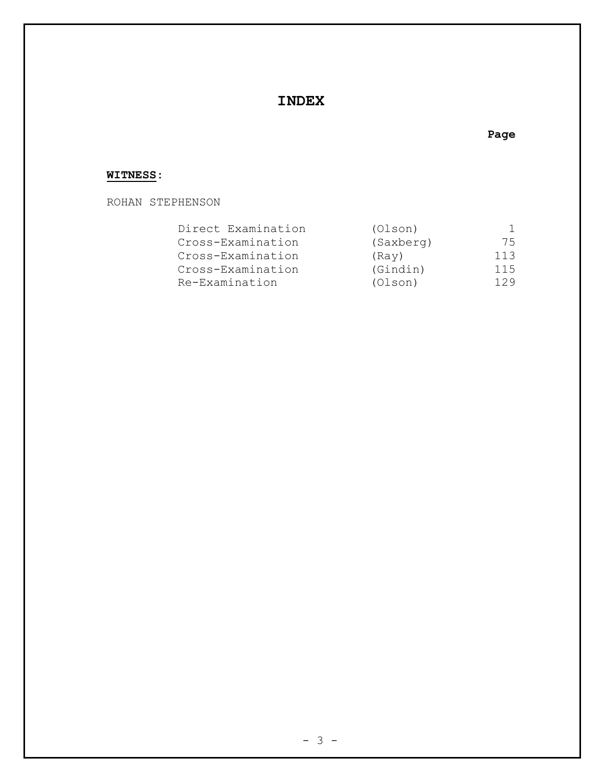## **INDEX**

## **WITNESS:**

ROHAN STEPHENSON

| Direct Examination | (Olson)   |     |
|--------------------|-----------|-----|
| Cross-Examination  | (Saxberg) | 75  |
| Cross-Examination  | (Ray)     | 113 |
| Cross-Examination  | (Gindin)  | 115 |
| Re-Examination     | (Olson)   | 129 |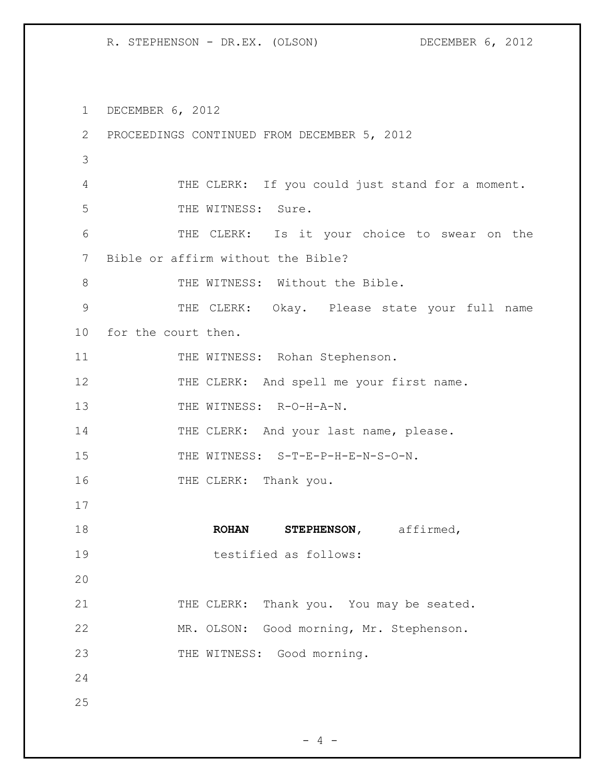1 DECEMBER 6, 2012 2 PROCEEDINGS CONTINUED FROM DECEMBER 5, 2012 3 4 THE CLERK: If you could just stand for a moment. 5 THE WITNESS: Sure. 6 THE CLERK: Is it your choice to swear on the 7 Bible or affirm without the Bible? 8 THE WITNESS: Without the Bible. 9 THE CLERK: Okay. Please state your full name 10 for the court then. 11 THE WITNESS: Rohan Stephenson. 12 THE CLERK: And spell me your first name. 13 THE WITNESS: R-O-H-A-N. 14 THE CLERK: And your last name, please. 15 THE WITNESS: S-T-E-P-H-E-N-S-O-N. 16 THE CLERK: Thank you. 17 18 **ROHAN STEPHENSON,** affirmed, 19 testified as follows: 20 21 THE CLERK: Thank you. You may be seated. 22 MR. OLSON: Good morning, Mr. Stephenson. 23 THE WITNESS: Good morning. 24 25

 $- 4 -$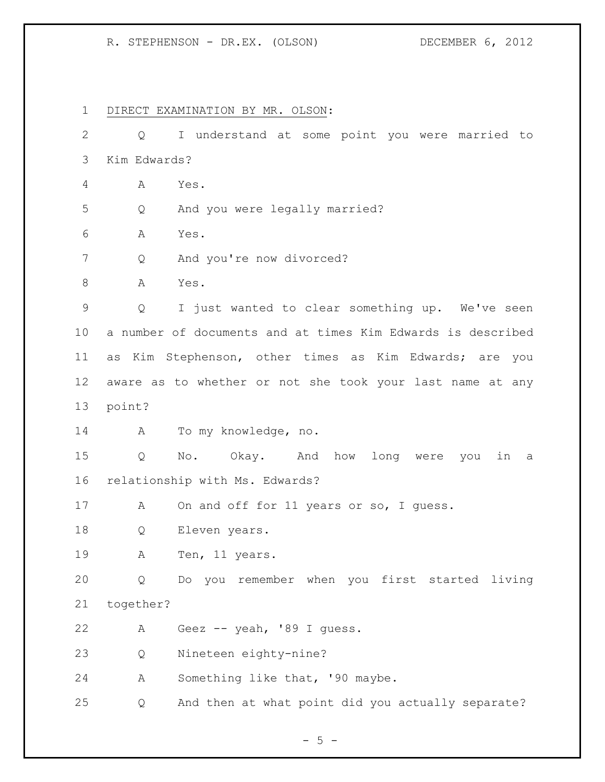DIRECT EXAMINATION BY MR. OLSON: Q I understand at some point you were married to Kim Edwards? A Yes. Q And you were legally married? A Yes. Q And you're now divorced? 8 A Yes. Q I just wanted to clear something up. We've seen a number of documents and at times Kim Edwards is described as Kim Stephenson, other times as Kim Edwards; are you aware as to whether or not she took your last name at any point? A To my knowledge, no. Q No. Okay. And how long were you in a relationship with Ms. Edwards? 17 A On and off for 11 years or so, I guess. 18 Q Eleven years. 19 A Ten, 11 years. Q Do you remember when you first started living together? A Geez -- yeah, '89 I guess. Q Nineteen eighty-nine? A Something like that, '90 maybe. Q And then at what point did you actually separate?

 $- 5 -$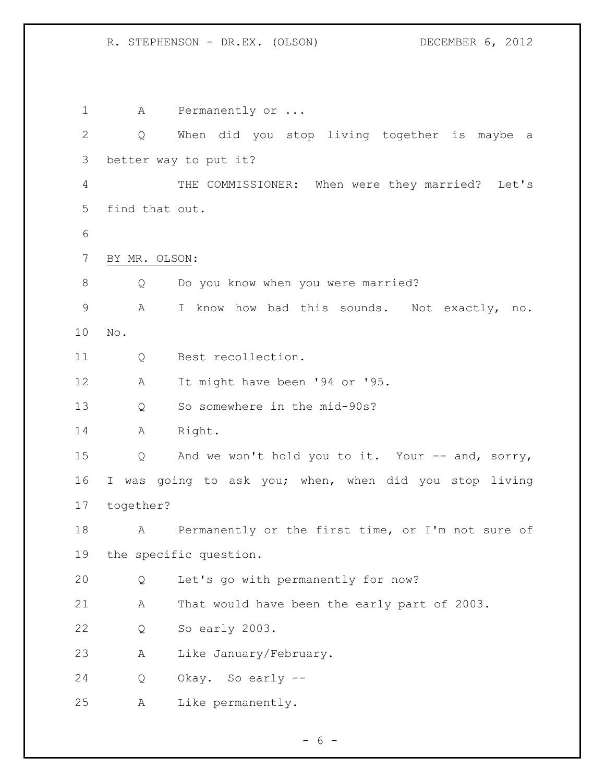1 A Permanently or ... Q When did you stop living together is maybe a better way to put it? THE COMMISSIONER: When were they married? Let's find that out. BY MR. OLSON: 8 Q Do you know when you were married? A I know how bad this sounds. Not exactly, no. No. Q Best recollection. A It might have been '94 or '95. Q So somewhere in the mid-90s? A Right. Q And we won't hold you to it. Your -- and, sorry, I was going to ask you; when, when did you stop living together? A Permanently or the first time, or I'm not sure of the specific question. Q Let's go with permanently for now? A That would have been the early part of 2003. Q So early 2003. A Like January/February. Q Okay. So early -- A Like permanently.

 $- 6 -$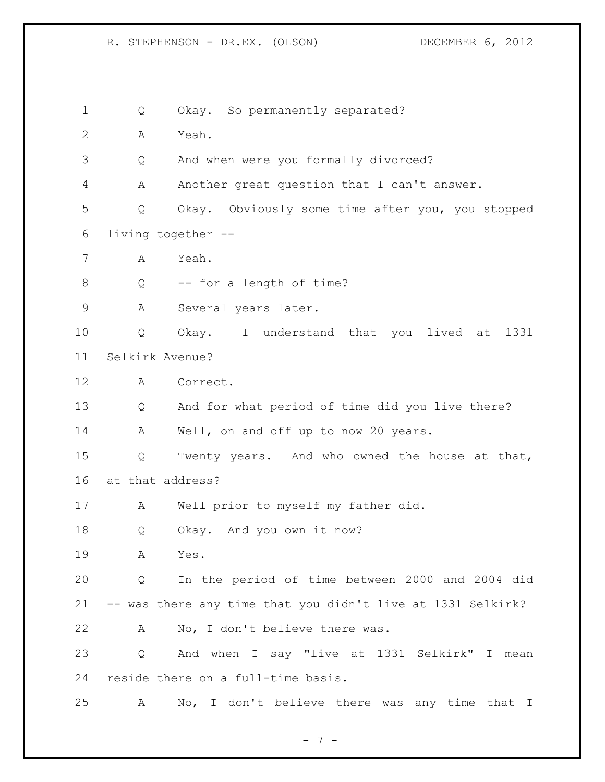1 Q Okay. So permanently separated? A Yeah. Q And when were you formally divorced? A Another great question that I can't answer. Q Okay. Obviously some time after you, you stopped living together -- A Yeah. 8 Q -- for a length of time? A Several years later. Q Okay. I understand that you lived at 1331 Selkirk Avenue? A Correct. Q And for what period of time did you live there? A Well, on and off up to now 20 years. Q Twenty years. And who owned the house at that, at that address? A Well prior to myself my father did. Q Okay. And you own it now? A Yes. Q In the period of time between 2000 and 2004 did -- was there any time that you didn't live at 1331 Selkirk? A No, I don't believe there was. Q And when I say "live at 1331 Selkirk" I mean reside there on a full-time basis. A No, I don't believe there was any time that I

- 7 -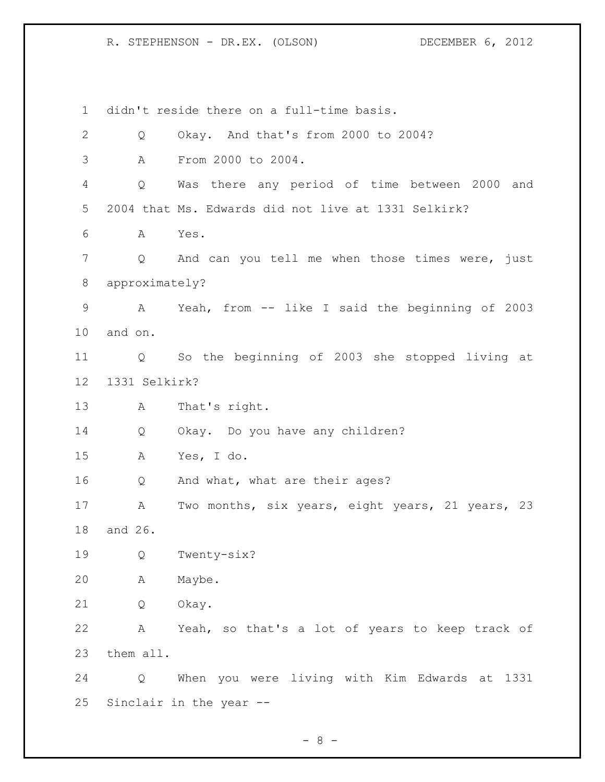didn't reside there on a full-time basis. Q Okay. And that's from 2000 to 2004? A From 2000 to 2004. Q Was there any period of time between 2000 and 2004 that Ms. Edwards did not live at 1331 Selkirk? A Yes. Q And can you tell me when those times were, just approximately? A Yeah, from -- like I said the beginning of 2003 and on. Q So the beginning of 2003 she stopped living at 1331 Selkirk? A That's right. Q Okay. Do you have any children? A Yes, I do. Q And what, what are their ages? A Two months, six years, eight years, 21 years, 23 and 26. Q Twenty-six? A Maybe. Q Okay. A Yeah, so that's a lot of years to keep track of them all. Q When you were living with Kim Edwards at 1331 Sinclair in the year --

 $- 8 -$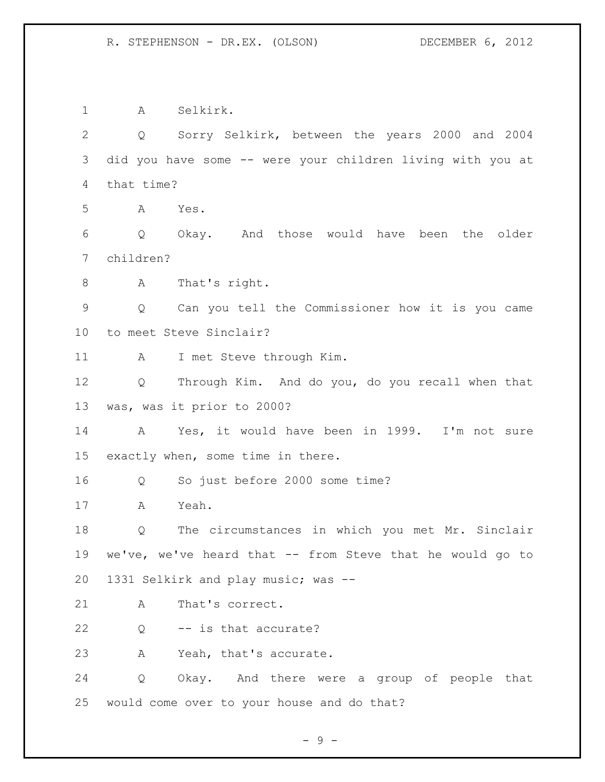A Selkirk. Q Sorry Selkirk, between the years 2000 and 2004 did you have some -- were your children living with you at that time? A Yes. Q Okay. And those would have been the older children? A That's right. Q Can you tell the Commissioner how it is you came to meet Steve Sinclair? A I met Steve through Kim. Q Through Kim. And do you, do you recall when that was, was it prior to 2000? A Yes, it would have been in 1999. I'm not sure exactly when, some time in there. Q So just before 2000 some time? A Yeah. Q The circumstances in which you met Mr. Sinclair we've, we've heard that -- from Steve that he would go to 1331 Selkirk and play music; was -- 21 A That's correct. Q -- is that accurate? A Yeah, that's accurate. Q Okay. And there were a group of people that would come over to your house and do that?

- 9 -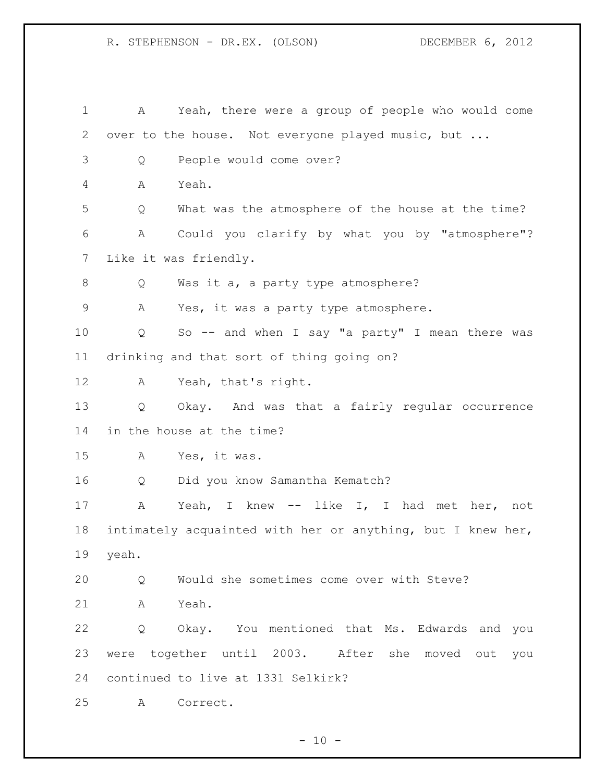A Yeah, there were a group of people who would come over to the house. Not everyone played music, but ... Q People would come over? A Yeah. Q What was the atmosphere of the house at the time? A Could you clarify by what you by "atmosphere"? Like it was friendly. Q Was it a, a party type atmosphere? A Yes, it was a party type atmosphere. Q So -- and when I say "a party" I mean there was drinking and that sort of thing going on? A Yeah, that's right. Q Okay. And was that a fairly regular occurrence in the house at the time? A Yes, it was. Q Did you know Samantha Kematch? A Yeah, I knew -- like I, I had met her, not intimately acquainted with her or anything, but I knew her, yeah. Q Would she sometimes come over with Steve? A Yeah. Q Okay. You mentioned that Ms. Edwards and you were together until 2003. After she moved out you continued to live at 1331 Selkirk? A Correct.

 $- 10 -$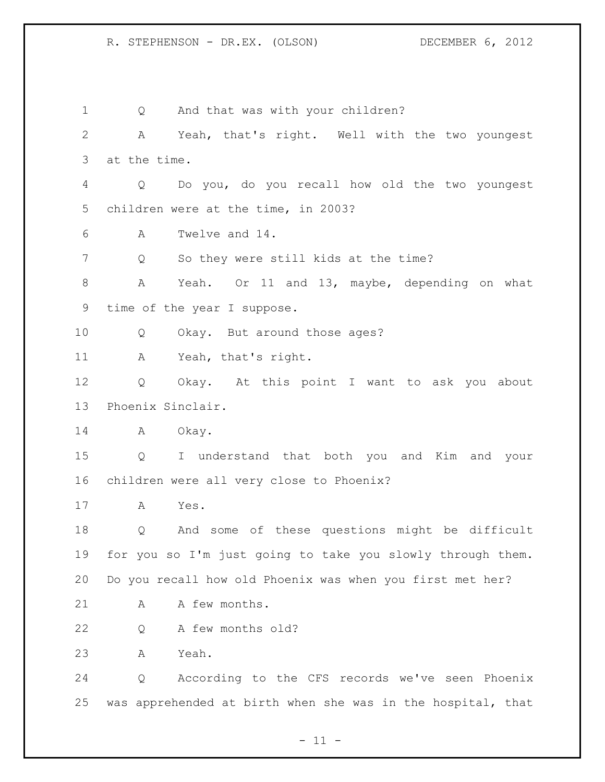1 Q And that was with your children? A Yeah, that's right. Well with the two youngest at the time. Q Do you, do you recall how old the two youngest children were at the time, in 2003? A Twelve and 14. 7 Q So they were still kids at the time? A Yeah. Or 11 and 13, maybe, depending on what time of the year I suppose. Q Okay. But around those ages? A Yeah, that's right. Q Okay. At this point I want to ask you about Phoenix Sinclair. 14 A Okay. Q I understand that both you and Kim and your children were all very close to Phoenix? A Yes. Q And some of these questions might be difficult for you so I'm just going to take you slowly through them. Do you recall how old Phoenix was when you first met her? 21 A A few months. Q A few months old? A Yeah. Q According to the CFS records we've seen Phoenix was apprehended at birth when she was in the hospital, that

 $- 11 -$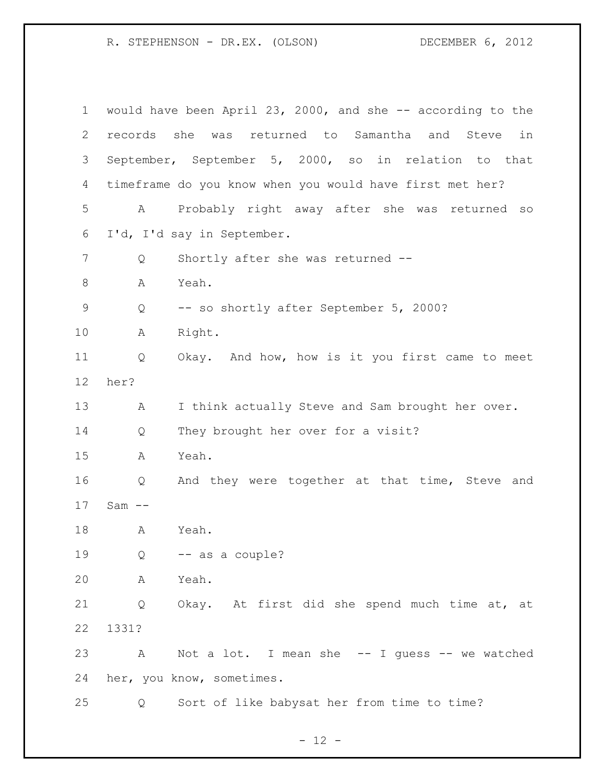| $\mathbf 1$ |            | would have been April 23, 2000, and she -- according to the |
|-------------|------------|-------------------------------------------------------------|
| 2           |            | records she was returned to Samantha and Steve<br>in        |
| 3           |            | September, September 5, 2000, so in relation to that        |
| 4           |            | timeframe do you know when you would have first met her?    |
| 5           | A          | Probably right away after she was returned<br>SO            |
| 6           |            | I'd, I'd say in September.                                  |
| 7           | Q          | Shortly after she was returned --                           |
| $\,8\,$     | Α          | Yeah.                                                       |
| 9           | Q          | -- so shortly after September 5, 2000?                      |
| 10          | A          | Right.                                                      |
| 11          | Q          | Okay. And how, how is it you first came to meet             |
| 12          | her?       |                                                             |
| 13          | A          | I think actually Steve and Sam brought her over.            |
| 14          | Q          | They brought her over for a visit?                          |
| 15          | A          | Yeah.                                                       |
| 16          | Q          | And they were together at that time, Steve and              |
| 17          | $Sam$ $--$ |                                                             |
| 18          | Α          | Yeah.                                                       |
| 19          |            | $Q \t - -$ as a couple?                                     |
| 20          | A          | Yeah.                                                       |
| 21          | Q          | Okay. At first did she spend much time at, at               |
| 22          | 1331?      |                                                             |
| 23          | A          | Not a lot. I mean she $-$ I quess $-$ we watched            |
| 24          |            | her, you know, sometimes.                                   |
| 25          | Q          | Sort of like babysat her from time to time?                 |

- 12 -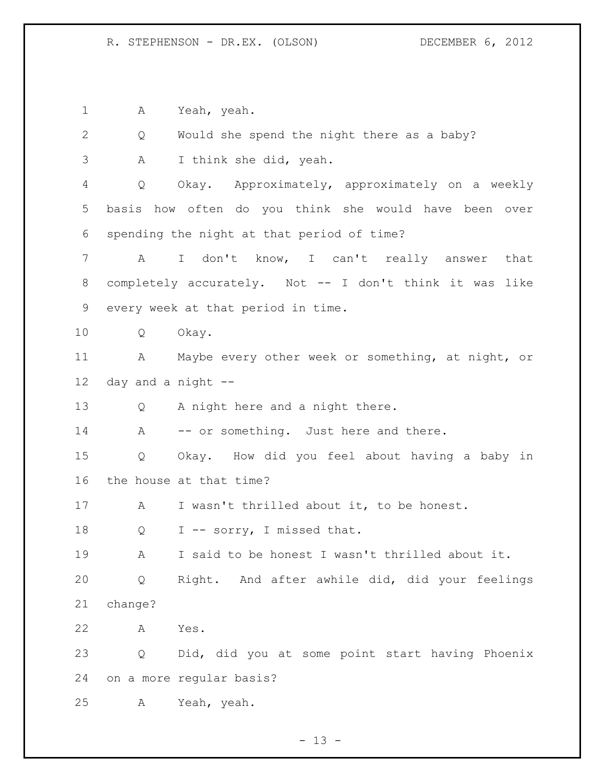A Yeah, yeah.

 Q Would she spend the night there as a baby? A I think she did, yeah. Q Okay. Approximately, approximately on a weekly basis how often do you think she would have been over spending the night at that period of time? A I don't know, I can't really answer that completely accurately. Not -- I don't think it was like every week at that period in time. Q Okay. A Maybe every other week or something, at night, or day and a night -- Q A night here and a night there. 14 A -- or something. Just here and there. Q Okay. How did you feel about having a baby in the house at that time? A I wasn't thrilled about it, to be honest. 18 Q I -- sorry, I missed that. A I said to be honest I wasn't thrilled about it. Q Right. And after awhile did, did your feelings change? A Yes. Q Did, did you at some point start having Phoenix on a more regular basis? A Yeah, yeah.

 $- 13 -$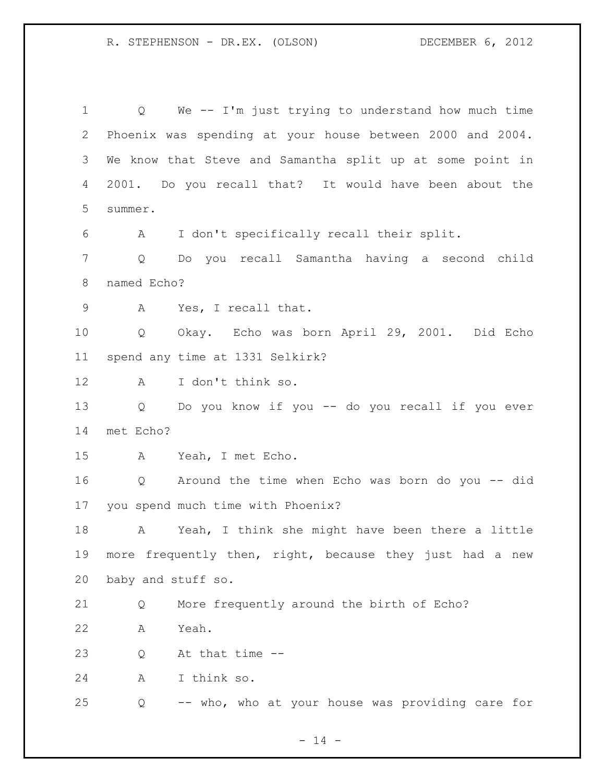Q We -- I'm just trying to understand how much time Phoenix was spending at your house between 2000 and 2004. We know that Steve and Samantha split up at some point in 2001. Do you recall that? It would have been about the summer. A I don't specifically recall their split. Q Do you recall Samantha having a second child named Echo? A Yes, I recall that. Q Okay. Echo was born April 29, 2001. Did Echo spend any time at 1331 Selkirk? A I don't think so. Q Do you know if you -- do you recall if you ever met Echo? A Yeah, I met Echo. Q Around the time when Echo was born do you -- did you spend much time with Phoenix? A Yeah, I think she might have been there a little more frequently then, right, because they just had a new baby and stuff so. Q More frequently around the birth of Echo? A Yeah. Q At that time -- A I think so. Q -- who, who at your house was providing care for

 $- 14 -$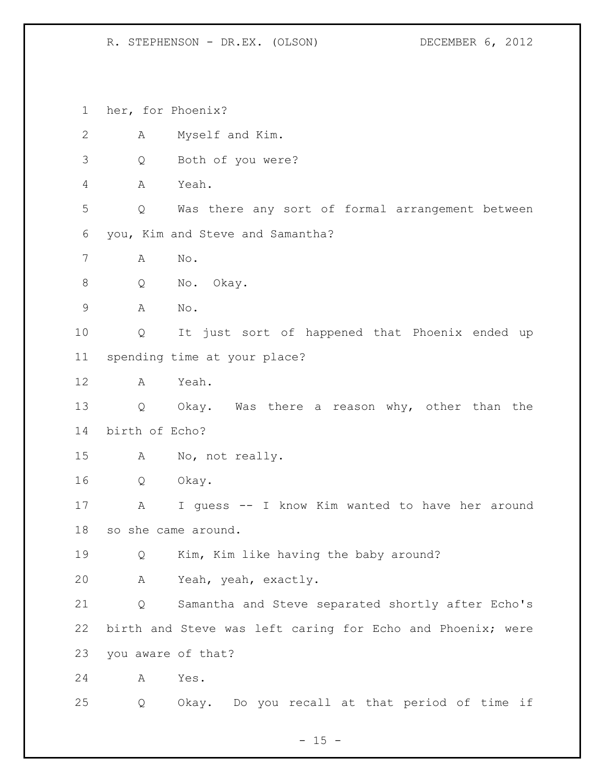her, for Phoenix?

| $\mathbf{2}$ | A                   | Myself and Kim.                                            |
|--------------|---------------------|------------------------------------------------------------|
| 3            | Q                   | Both of you were?                                          |
| 4            | A                   | Yeah.                                                      |
| 5            | Q                   | Was there any sort of formal arrangement between           |
| 6            |                     | you, Kim and Steve and Samantha?                           |
| 7            | Α                   | No.                                                        |
| 8            | Q                   | No. Okay.                                                  |
| 9            | Α                   | No.                                                        |
| 10           | Q                   | It just sort of happened that Phoenix ended up             |
| 11           |                     | spending time at your place?                               |
| 12           | A                   | Yeah.                                                      |
| 13           | Q                   | Okay. Was there a reason why, other than the               |
| 14           | birth of Echo?      |                                                            |
| 15           | A                   | No, not really.                                            |
| 16           | Q                   | Okay.                                                      |
| 17           | A                   | I guess -- I know Kim wanted to have her around            |
| 18           | so she came around. |                                                            |
| 19           | Q                   | Kim, Kim like having the baby around?                      |
| 20           | $\mathbf{A}$        | Yeah, yeah, exactly.                                       |
| 21           | Q                   | Samantha and Steve separated shortly after Echo's          |
| 22           |                     | birth and Steve was left caring for Echo and Phoenix; were |
| 23           | you aware of that?  |                                                            |
| 24           | Α                   | Yes.                                                       |
| 25           | Q                   | Okay. Do you recall at that period of time if              |

- 15 -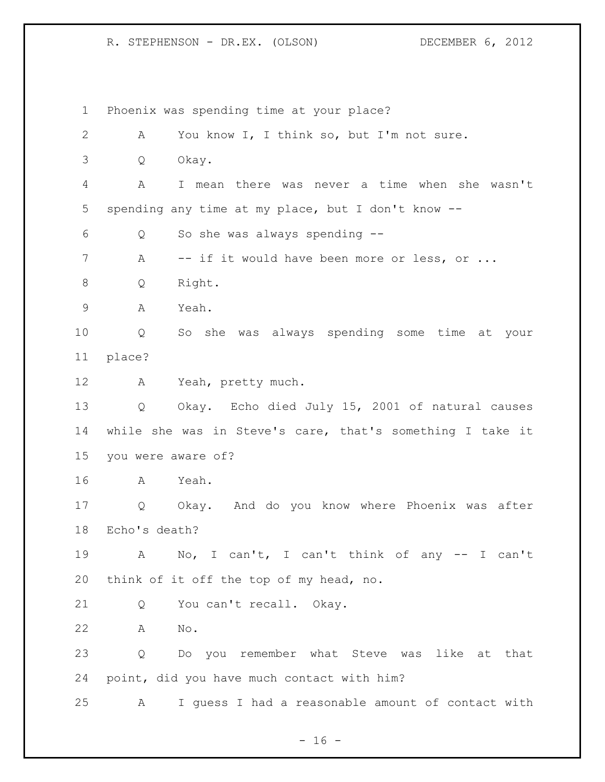Phoenix was spending time at your place? A You know I, I think so, but I'm not sure. Q Okay. A I mean there was never a time when she wasn't spending any time at my place, but I don't know -- Q So she was always spending -- 7 A -- if it would have been more or less, or ... Q Right. A Yeah. Q So she was always spending some time at your place? A Yeah, pretty much. Q Okay. Echo died July 15, 2001 of natural causes while she was in Steve's care, that's something I take it you were aware of? A Yeah. Q Okay. And do you know where Phoenix was after Echo's death? A No, I can't, I can't think of any -- I can't think of it off the top of my head, no. 21 Q You can't recall. Okay. A No. Q Do you remember what Steve was like at that point, did you have much contact with him? A I guess I had a reasonable amount of contact with

 $- 16 -$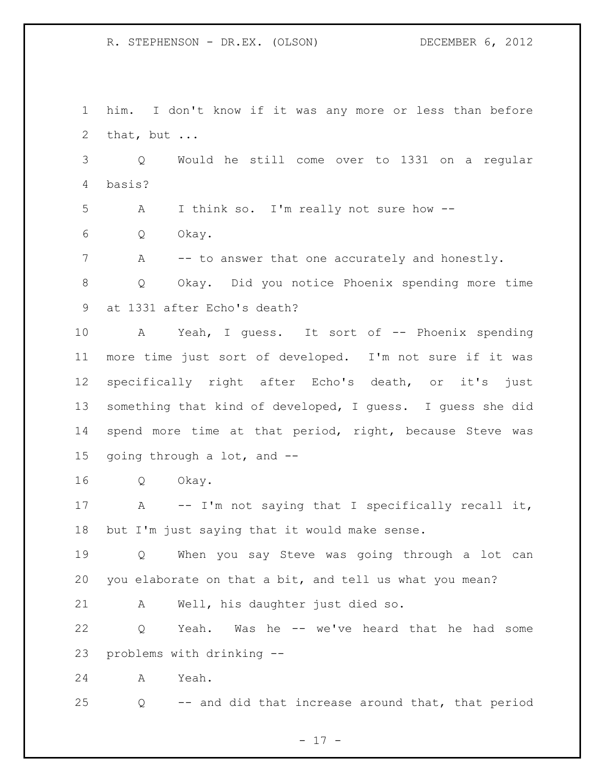him. I don't know if it was any more or less than before that, but ...

 Q Would he still come over to 1331 on a regular basis?

A I think so. I'm really not sure how --

Q Okay.

7 A -- to answer that one accurately and honestly.

 Q Okay. Did you notice Phoenix spending more time at 1331 after Echo's death?

 A Yeah, I guess. It sort of -- Phoenix spending more time just sort of developed. I'm not sure if it was specifically right after Echo's death, or it's just something that kind of developed, I guess. I guess she did spend more time at that period, right, because Steve was going through a lot, and --

Q Okay.

 A -- I'm not saying that I specifically recall it, but I'm just saying that it would make sense.

 Q When you say Steve was going through a lot can you elaborate on that a bit, and tell us what you mean?

A Well, his daughter just died so.

 Q Yeah. Was he -- we've heard that he had some problems with drinking --

A Yeah.

Q -- and did that increase around that, that period

- 17 -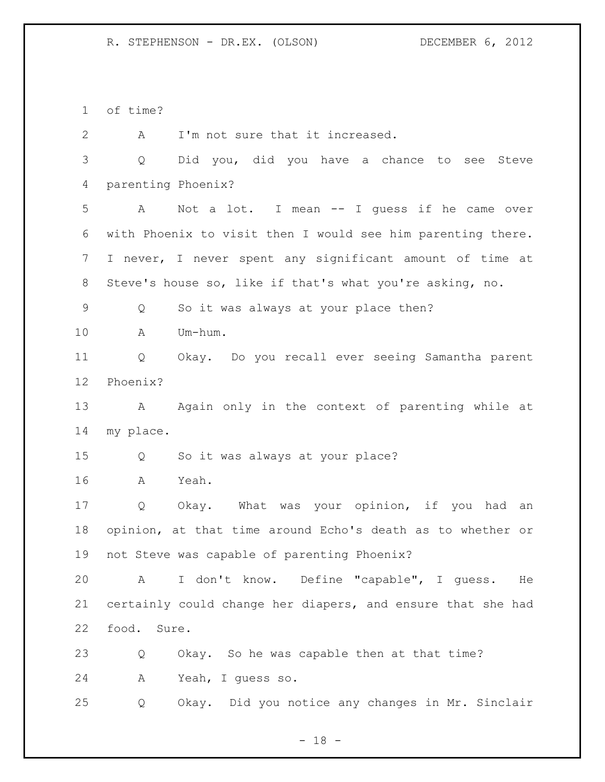of time?

2 A I'm not sure that it increased. Q Did you, did you have a chance to see Steve parenting Phoenix? A Not a lot. I mean -- I guess if he came over with Phoenix to visit then I would see him parenting there. I never, I never spent any significant amount of time at Steve's house so, like if that's what you're asking, no. Q So it was always at your place then? A Um-hum. Q Okay. Do you recall ever seeing Samantha parent Phoenix? 13 A Again only in the context of parenting while at my place. Q So it was always at your place? A Yeah. Q Okay. What was your opinion, if you had an opinion, at that time around Echo's death as to whether or not Steve was capable of parenting Phoenix? A I don't know. Define "capable", I guess. He certainly could change her diapers, and ensure that she had food. Sure. Q Okay. So he was capable then at that time? A Yeah, I guess so. Q Okay. Did you notice any changes in Mr. Sinclair

 $- 18 -$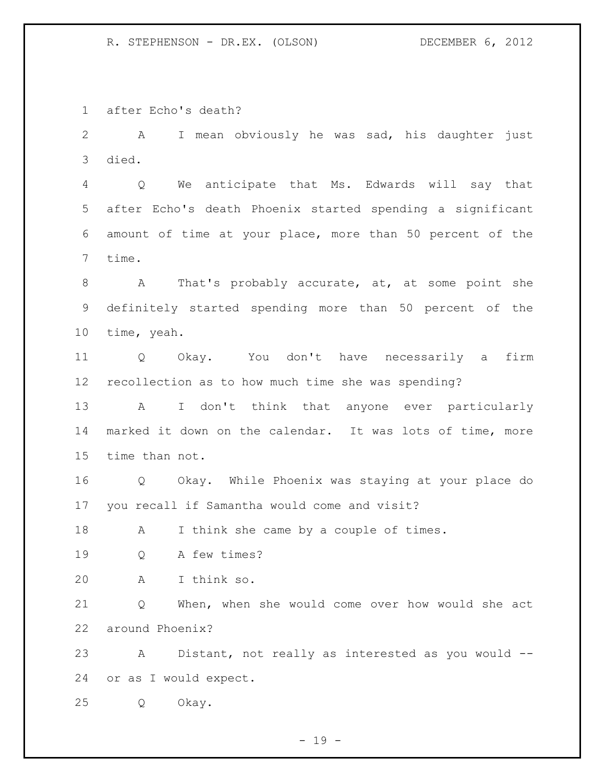after Echo's death?

 A I mean obviously he was sad, his daughter just died.

 Q We anticipate that Ms. Edwards will say that after Echo's death Phoenix started spending a significant amount of time at your place, more than 50 percent of the time.

 A That's probably accurate, at, at some point she definitely started spending more than 50 percent of the time, yeah.

 Q Okay. You don't have necessarily a firm recollection as to how much time she was spending?

 A I don't think that anyone ever particularly marked it down on the calendar. It was lots of time, more time than not.

 Q Okay. While Phoenix was staying at your place do you recall if Samantha would come and visit?

18 A I think she came by a couple of times.

Q A few times?

A I think so.

 Q When, when she would come over how would she act around Phoenix?

 A Distant, not really as interested as you would -- or as I would expect.

Q Okay.

 $- 19 -$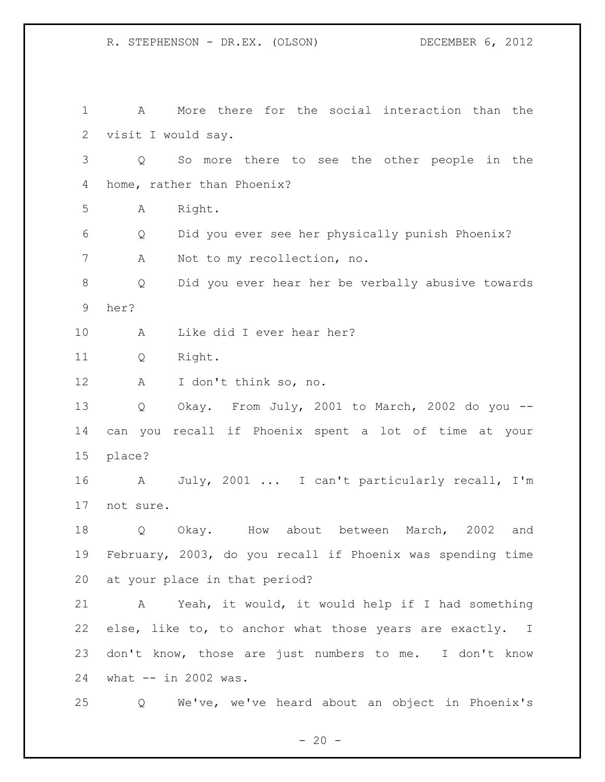A More there for the social interaction than the visit I would say. Q So more there to see the other people in the home, rather than Phoenix? A Right. Q Did you ever see her physically punish Phoenix? A Not to my recollection, no. Q Did you ever hear her be verbally abusive towards her? A Like did I ever hear her? Q Right. A I don't think so, no. Q Okay. From July, 2001 to March, 2002 do you -- can you recall if Phoenix spent a lot of time at your place? A July, 2001 ... I can't particularly recall, I'm not sure. Q Okay. How about between March, 2002 and February, 2003, do you recall if Phoenix was spending time at your place in that period? A Yeah, it would, it would help if I had something else, like to, to anchor what those years are exactly. I don't know, those are just numbers to me. I don't know what -- in 2002 was. Q We've, we've heard about an object in Phoenix's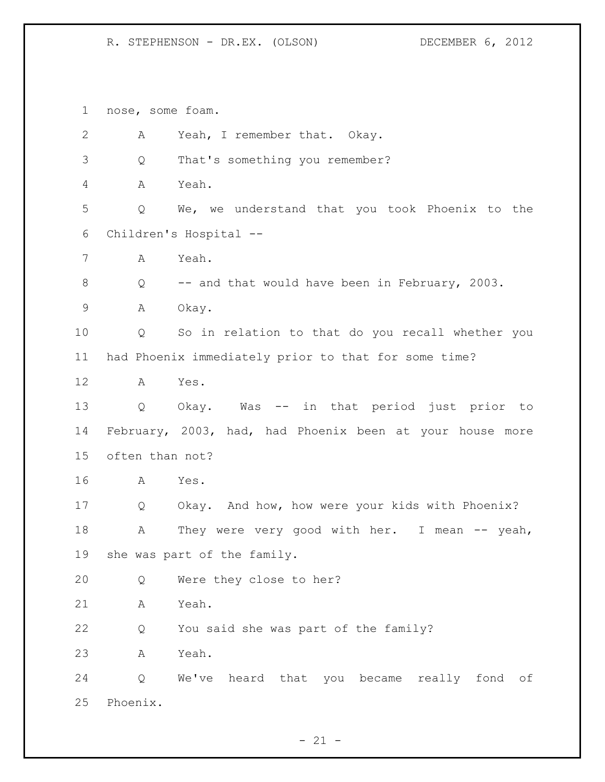nose, some foam. A Yeah, I remember that. Okay. Q That's something you remember? A Yeah. Q We, we understand that you took Phoenix to the Children's Hospital -- A Yeah. Q -- and that would have been in February, 2003. A Okay. Q So in relation to that do you recall whether you had Phoenix immediately prior to that for some time? A Yes. Q Okay. Was -- in that period just prior to February, 2003, had, had Phoenix been at your house more often than not? A Yes. Q Okay. And how, how were your kids with Phoenix? 18 A They were very good with her. I mean -- yeah, she was part of the family. Q Were they close to her? A Yeah. Q You said she was part of the family? A Yeah. Q We've heard that you became really fond of Phoenix.

 $- 21 -$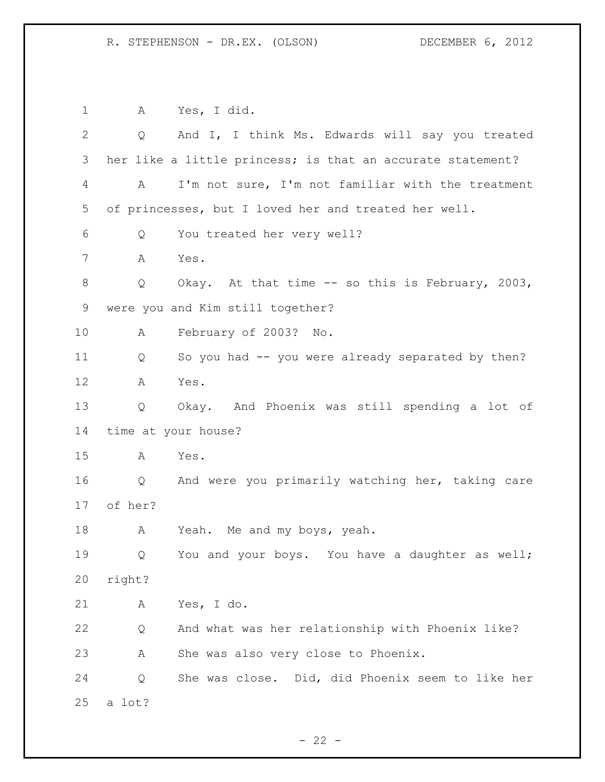A Yes, I did. Q And I, I think Ms. Edwards will say you treated her like a little princess; is that an accurate statement? A I'm not sure, I'm not familiar with the treatment of princesses, but I loved her and treated her well. Q You treated her very well? A Yes. Q Okay. At that time -- so this is February, 2003, were you and Kim still together? A February of 2003? No. Q So you had -- you were already separated by then? A Yes. Q Okay. And Phoenix was still spending a lot of time at your house? A Yes. Q And were you primarily watching her, taking care of her? 18 A Yeah. Me and my boys, yeah. Q You and your boys. You have a daughter as well; right? A Yes, I do. Q And what was her relationship with Phoenix like? A She was also very close to Phoenix. Q She was close. Did, did Phoenix seem to like her a lot?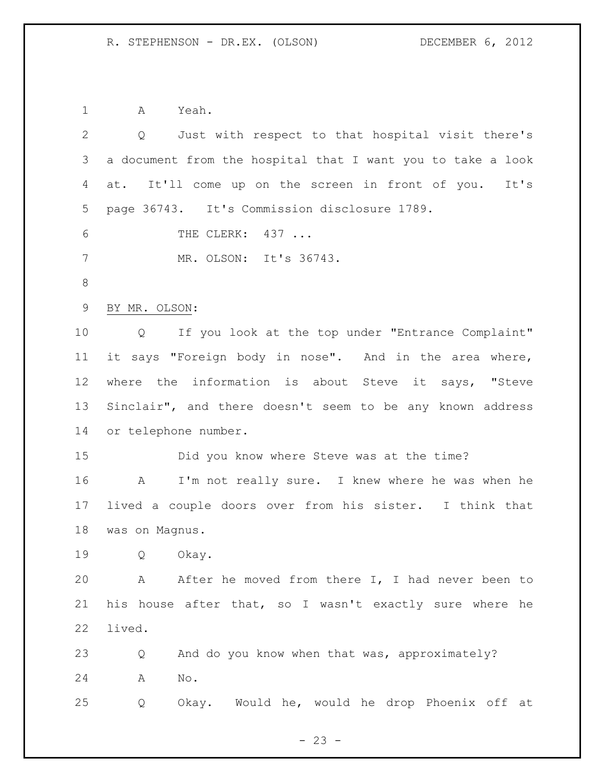A Yeah.

| $\overline{2}$ | Q Just with respect to that hospital visit there's               |
|----------------|------------------------------------------------------------------|
| 3              | a document from the hospital that I want you to take a look      |
| 4              | It'll come up on the screen in front of you. It's<br>at.         |
| 5              | page 36743. It's Commission disclosure 1789.                     |
| 6              | THE CLERK: 437                                                   |
| 7              | MR. OLSON: It's 36743.                                           |
| $8\,$          |                                                                  |
| $\mathsf 9$    | BY MR. OLSON:                                                    |
| 10             | If you look at the top under "Entrance Complaint"<br>Q           |
| 11             | it says "Foreign body in nose". And in the area where,           |
| 12             | where the information is about Steve it says, "Steve             |
| 13             | Sinclair", and there doesn't seem to be any known address        |
| 14             | or telephone number.                                             |
| 15             | Did you know where Steve was at the time?                        |
| 16             | I'm not really sure. I knew where he was when he<br>$\mathbf{A}$ |
| 17             | lived a couple doors over from his sister. I think that          |
| 18             | was on Magnus.                                                   |
| 19             | Okay.<br>Q                                                       |
| 20             | A After he moved from there I, I had never been to               |
| 21             | his house after that, so I wasn't exactly sure where he          |
| 22             | lived.                                                           |
| 23             | And do you know when that was, approximately?<br>Q               |
| 24             | No.<br>A                                                         |
| 25             | Okay. Would he, would he drop Phoenix off at<br>Q                |

- 23 -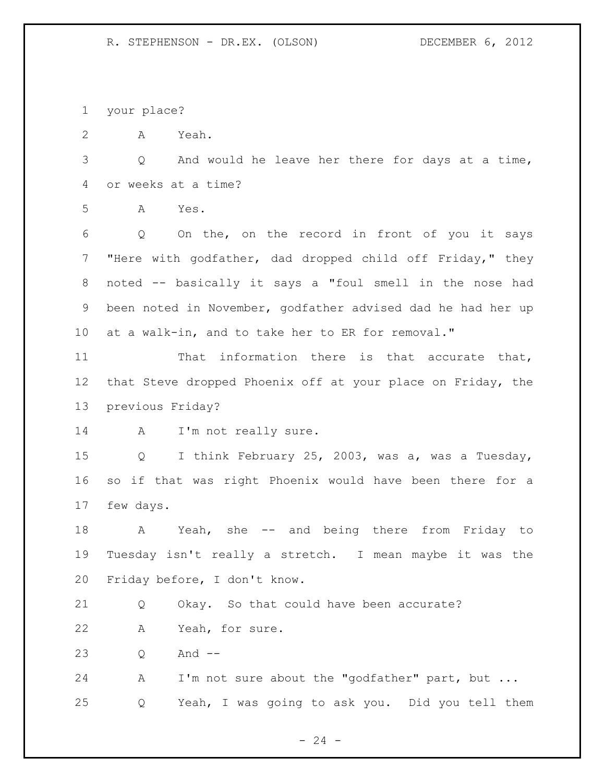your place?

A Yeah.

 Q And would he leave her there for days at a time, or weeks at a time?

A Yes.

 Q On the, on the record in front of you it says "Here with godfather, dad dropped child off Friday," they noted -- basically it says a "foul smell in the nose had been noted in November, godfather advised dad he had her up at a walk-in, and to take her to ER for removal."

 That information there is that accurate that, that Steve dropped Phoenix off at your place on Friday, the previous Friday?

14 A I'm not really sure.

 Q I think February 25, 2003, was a, was a Tuesday, so if that was right Phoenix would have been there for a few days.

18 A Yeah, she -- and being there from Friday to Tuesday isn't really a stretch. I mean maybe it was the Friday before, I don't know.

Q Okay. So that could have been accurate?

A Yeah, for sure.

Q And --

 A I'm not sure about the "godfather" part, but ... Q Yeah, I was going to ask you. Did you tell them

 $- 24 -$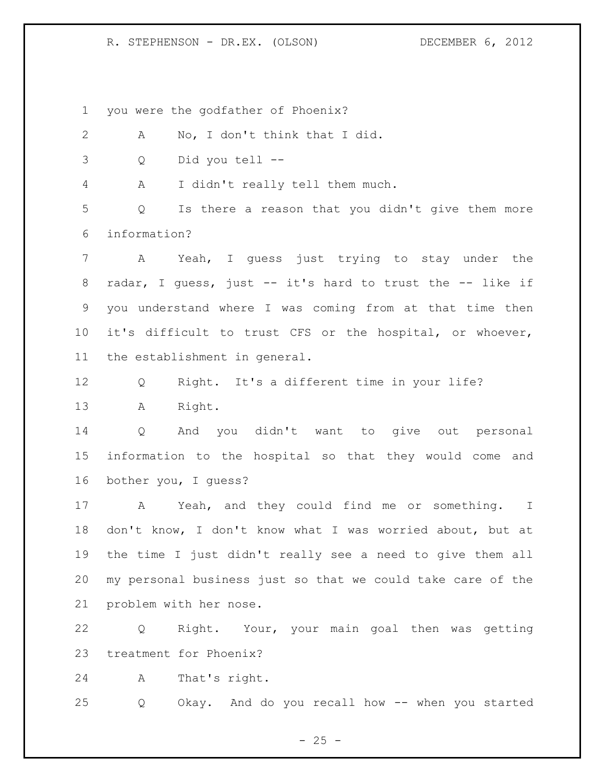you were the godfather of Phoenix?

 A No, I don't think that I did. Q Did you tell -- A I didn't really tell them much. Q Is there a reason that you didn't give them more information? A Yeah, I guess just trying to stay under the radar, I guess, just -- it's hard to trust the -- like if you understand where I was coming from at that time then it's difficult to trust CFS or the hospital, or whoever, the establishment in general. Q Right. It's a different time in your life? A Right. Q And you didn't want to give out personal information to the hospital so that they would come and bother you, I guess? A Yeah, and they could find me or something. I don't know, I don't know what I was worried about, but at the time I just didn't really see a need to give them all

 my personal business just so that we could take care of the problem with her nose.

 Q Right. Your, your main goal then was getting treatment for Phoenix?

A That's right.

Q Okay. And do you recall how -- when you started

 $- 25 -$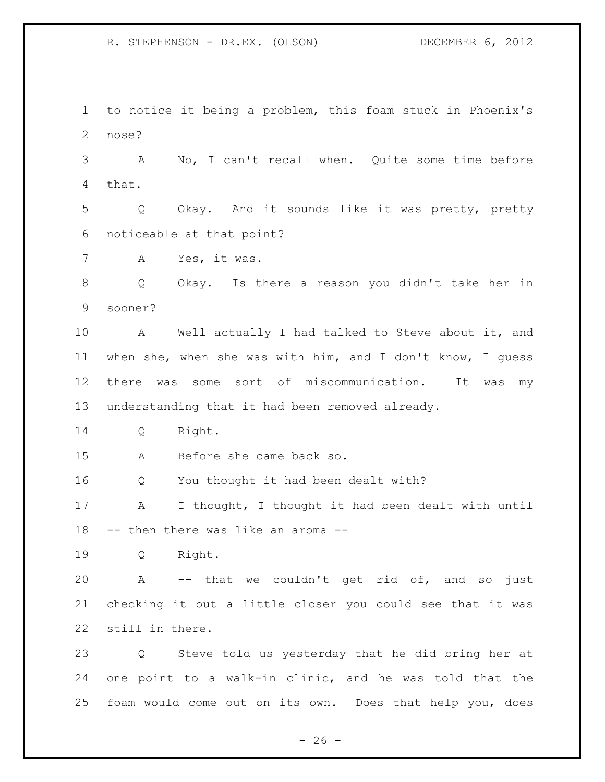to notice it being a problem, this foam stuck in Phoenix's nose?

 A No, I can't recall when. Quite some time before that.

 Q Okay. And it sounds like it was pretty, pretty noticeable at that point?

A Yes, it was.

 Q Okay. Is there a reason you didn't take her in sooner?

 A Well actually I had talked to Steve about it, and when she, when she was with him, and I don't know, I guess there was some sort of miscommunication. It was my understanding that it had been removed already.

Q Right.

A Before she came back so.

Q You thought it had been dealt with?

 A I thought, I thought it had been dealt with until -- then there was like an aroma --

Q Right.

 A -- that we couldn't get rid of, and so just checking it out a little closer you could see that it was still in there.

 Q Steve told us yesterday that he did bring her at one point to a walk-in clinic, and he was told that the foam would come out on its own. Does that help you, does

 $- 26 -$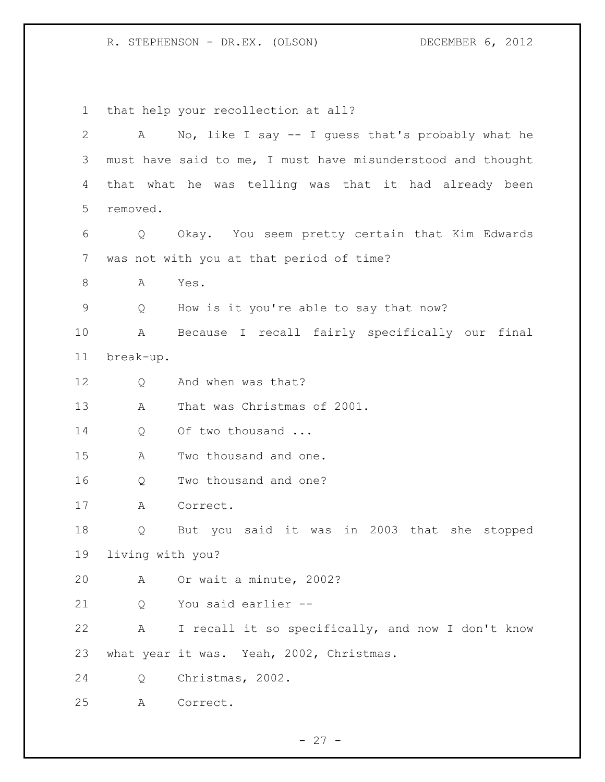that help your recollection at all? A No, like I say -- I guess that's probably what he must have said to me, I must have misunderstood and thought that what he was telling was that it had already been removed. Q Okay. You seem pretty certain that Kim Edwards was not with you at that period of time? 8 A Yes. Q How is it you're able to say that now? A Because I recall fairly specifically our final break-up. Q And when was that? A That was Christmas of 2001. 14 Q Of two thousand ... A Two thousand and one. Q Two thousand and one? A Correct. Q But you said it was in 2003 that she stopped living with you? A Or wait a minute, 2002? 21 0 You said earlier -- A I recall it so specifically, and now I don't know what year it was. Yeah, 2002, Christmas. Q Christmas, 2002. A Correct.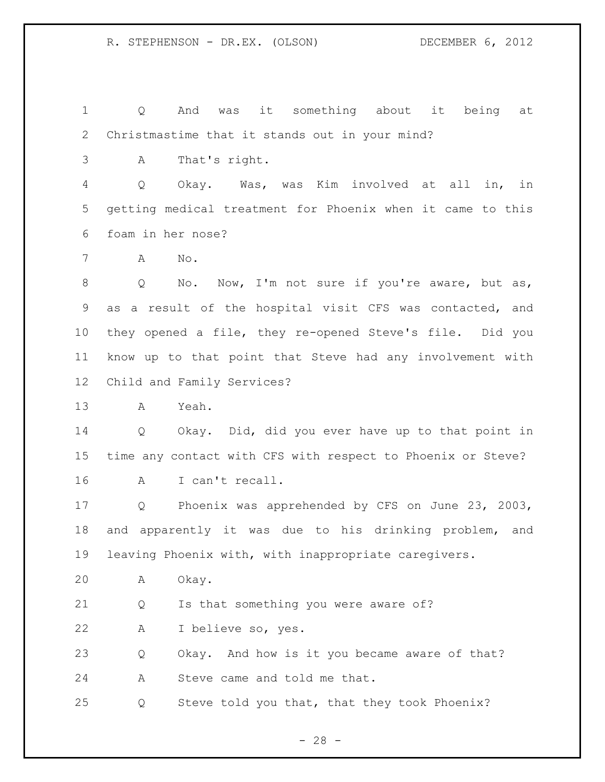Q And was it something about it being at Christmastime that it stands out in your mind?

A That's right.

 Q Okay. Was, was Kim involved at all in, in getting medical treatment for Phoenix when it came to this foam in her nose?

A No.

8 Q No. Now, I'm not sure if you're aware, but as, as a result of the hospital visit CFS was contacted, and they opened a file, they re-opened Steve's file. Did you know up to that point that Steve had any involvement with Child and Family Services?

A Yeah.

 Q Okay. Did, did you ever have up to that point in time any contact with CFS with respect to Phoenix or Steve? A I can't recall.

 Q Phoenix was apprehended by CFS on June 23, 2003, and apparently it was due to his drinking problem, and leaving Phoenix with, with inappropriate caregivers.

A Okay.

Q Is that something you were aware of?

A I believe so, yes.

Q Okay. And how is it you became aware of that?

A Steve came and told me that.

Q Steve told you that, that they took Phoenix?

 $- 28 -$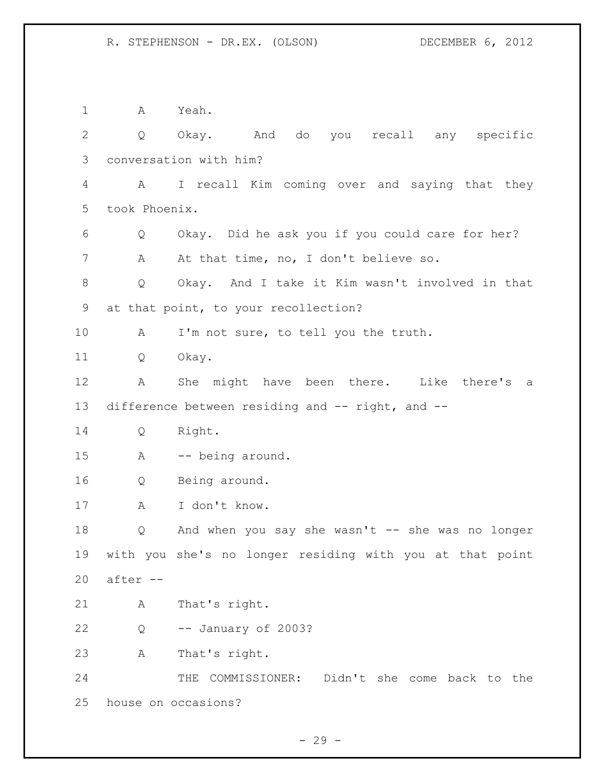A Yeah. Q Okay. And do you recall any specific conversation with him? A I recall Kim coming over and saying that they took Phoenix. Q Okay. Did he ask you if you could care for her? 7 A At that time, no, I don't believe so. Q Okay. And I take it Kim wasn't involved in that at that point, to your recollection? A I'm not sure, to tell you the truth. Q Okay. A She might have been there. Like there's a difference between residing and -- right, and -- Q Right. A -- being around. Q Being around. A I don't know. Q And when you say she wasn't -- she was no longer with you she's no longer residing with you at that point after -- A That's right. Q -- January of 2003? A That's right. THE COMMISSIONER: Didn't she come back to the house on occasions?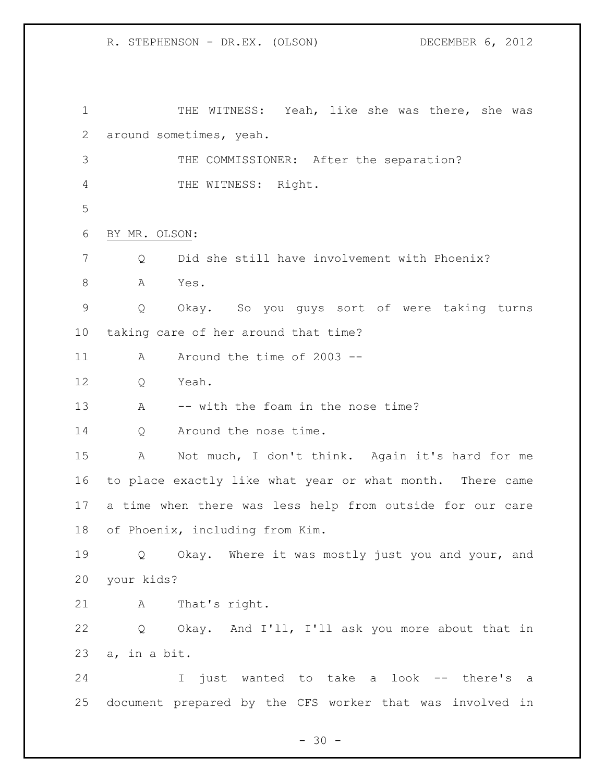THE WITNESS: Yeah, like she was there, she was around sometimes, yeah. THE COMMISSIONER: After the separation? 4 THE WITNESS: Right. BY MR. OLSON: Q Did she still have involvement with Phoenix? 8 A Yes. Q Okay. So you guys sort of were taking turns taking care of her around that time? 11 A Around the time of 2003 -- Q Yeah. 13 A -- with the foam in the nose time? 14 Q Around the nose time. A Not much, I don't think. Again it's hard for me to place exactly like what year or what month. There came a time when there was less help from outside for our care of Phoenix, including from Kim. Q Okay. Where it was mostly just you and your, and your kids? A That's right. Q Okay. And I'll, I'll ask you more about that in a, in a bit. I just wanted to take a look -- there's a document prepared by the CFS worker that was involved in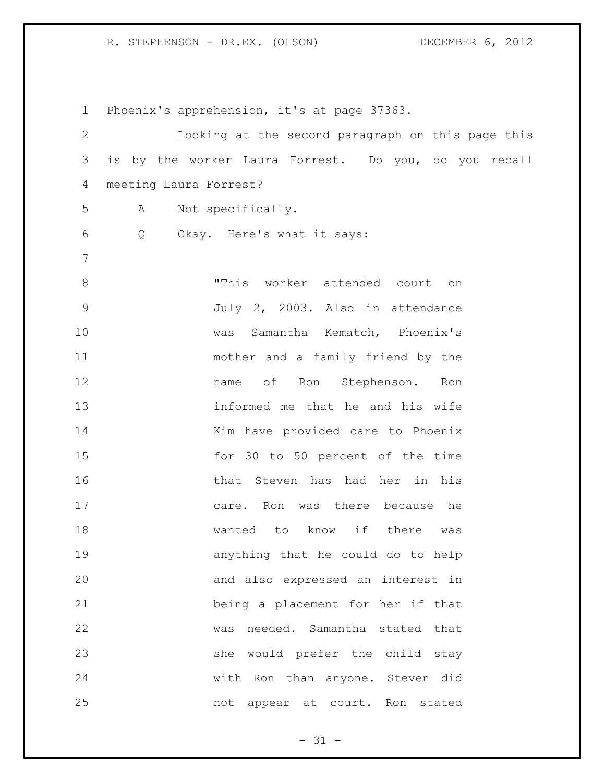| $\mathbf 1$   | Phoenix's apprehension, it's at page 37363.           |
|---------------|-------------------------------------------------------|
| $\mathbf{2}$  | Looking at the second paragraph on this page this     |
| 3             | is by the worker Laura Forrest. Do you, do you recall |
| 4             | meeting Laura Forrest?                                |
| 5             | Not specifically.<br>A                                |
| 6             | Okay. Here's what it says:<br>Q                       |
| 7             |                                                       |
| $8\,$         | "This worker attended court on                        |
| $\mathcal{G}$ | July 2, 2003. Also in attendance                      |
| 10            | was Samantha Kematch, Phoenix's                       |
| 11            | mother and a family friend by the                     |
| 12            | name of Ron Stephenson. Ron                           |
| 13            | informed me that he and his wife                      |
| 14            | Kim have provided care to Phoenix                     |
| 15            | for 30 to 50 percent of the time                      |
| 16            | that Steven has had her in his                        |
| 17            | care. Ron was there because he                        |
| 18            | wanted to know if there was                           |
| 19            | anything that he could do to help                     |
| 20            | and also expressed an interest in                     |
| 21            | being a placement for her if that                     |
| 22            | was needed. Samantha stated that                      |
| 23            | she would prefer the child stay                       |
| 24            | with Ron than anyone. Steven did                      |
| 25            | not appear at court. Ron stated                       |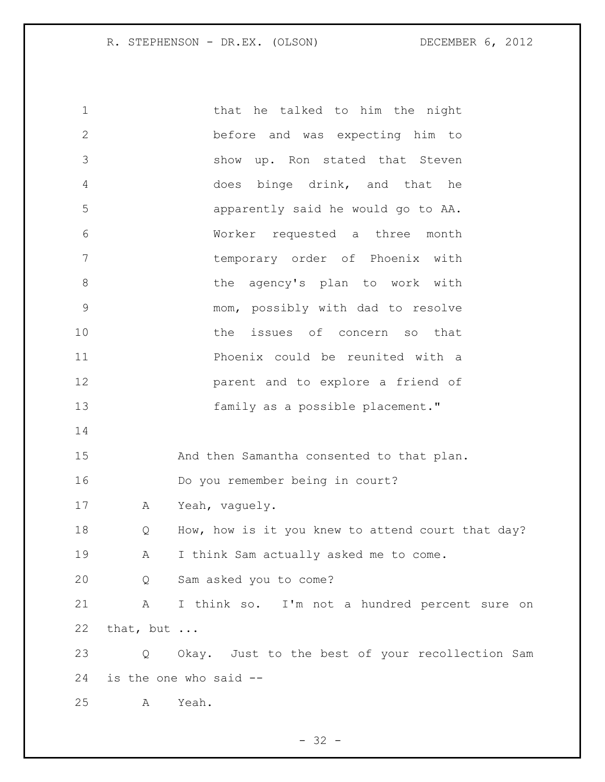1 that he talked to him the night before and was expecting him to show up. Ron stated that Steven does binge drink, and that he apparently said he would go to AA. Worker requested a three month temporary order of Phoenix with 8 the agency's plan to work with mom, possibly with dad to resolve 10 the issues of concern so that Phoenix could be reunited with a parent and to explore a friend of family as a possible placement." And then Samantha consented to that plan. Do you remember being in court? A Yeah, vaguely. 18 Q How, how is it you knew to attend court that day? A I think Sam actually asked me to come. Q Sam asked you to come? A I think so. I'm not a hundred percent sure on that, but ... Q Okay. Just to the best of your recollection Sam is the one who said -- A Yeah.

 $- 32 -$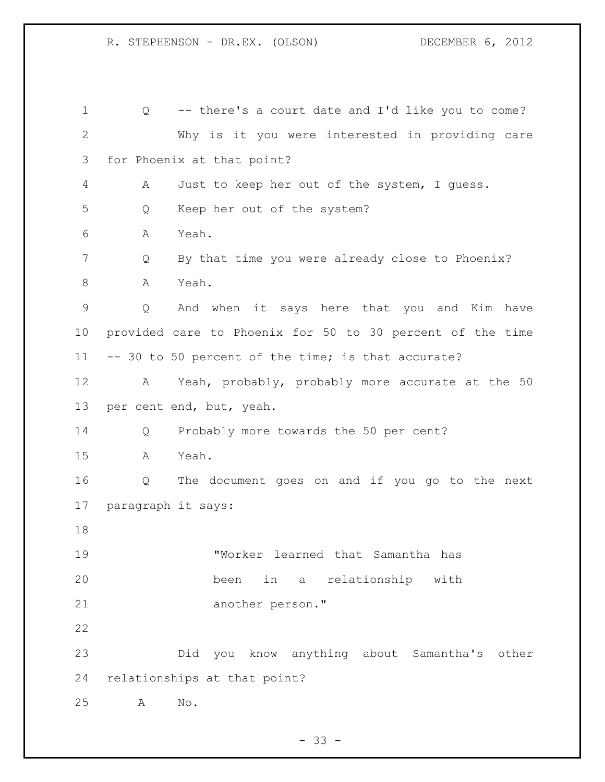Q -- there's a court date and I'd like you to come? Why is it you were interested in providing care for Phoenix at that point? A Just to keep her out of the system, I guess. Q Keep her out of the system? A Yeah. Q By that time you were already close to Phoenix? A Yeah. Q And when it says here that you and Kim have provided care to Phoenix for 50 to 30 percent of the time -- 30 to 50 percent of the time; is that accurate? A Yeah, probably, probably more accurate at the 50 per cent end, but, yeah. Q Probably more towards the 50 per cent? A Yeah. Q The document goes on and if you go to the next paragraph it says: "Worker learned that Samantha has been in a relationship with another person." Did you know anything about Samantha's other relationships at that point? A No.

 $- 33 -$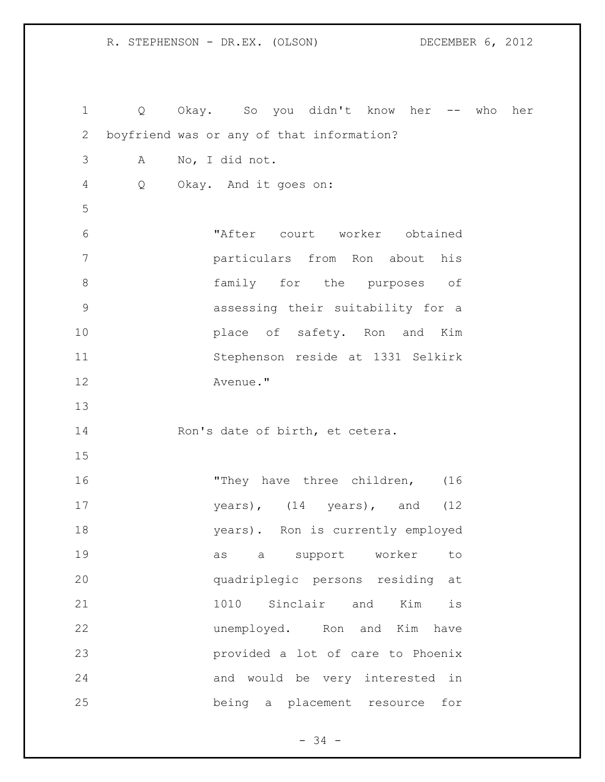Q Okay. So you didn't know her -- who her boyfriend was or any of that information? A No, I did not. Q Okay. And it goes on: "After court worker obtained particulars from Ron about his family for the purposes of assessing their suitability for a place of safety. Ron and Kim Stephenson reside at 1331 Selkirk Avenue." 14 Ron's date of birth, et cetera. 16 They have three children, (16 years), (14 years), and (12 years). Ron is currently employed as a support worker to quadriplegic persons residing at 1010 Sinclair and Kim is unemployed. Ron and Kim have provided a lot of care to Phoenix and would be very interested in being a placement resource for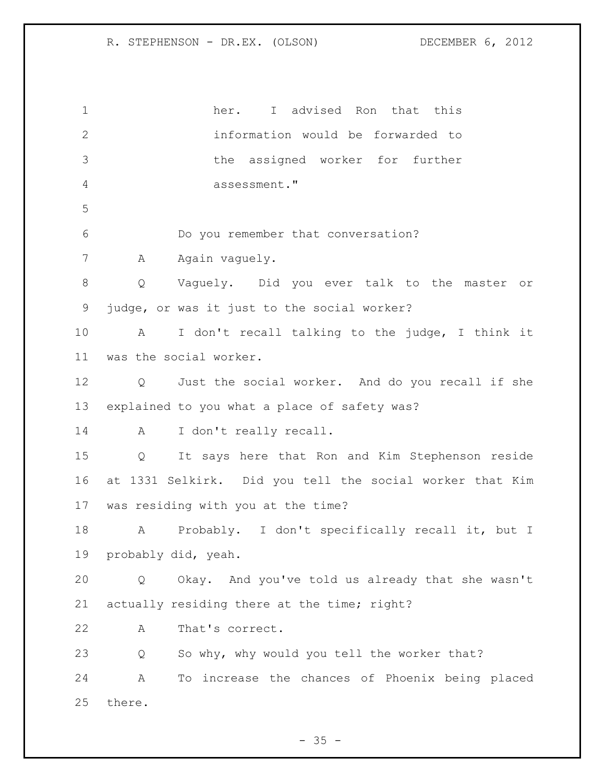her. I advised Ron that this information would be forwarded to the assigned worker for further assessment." Do you remember that conversation? 7 A Again vaguely. Q Vaguely. Did you ever talk to the master or judge, or was it just to the social worker? A I don't recall talking to the judge, I think it was the social worker. Q Just the social worker. And do you recall if she explained to you what a place of safety was? A I don't really recall. Q It says here that Ron and Kim Stephenson reside at 1331 Selkirk. Did you tell the social worker that Kim was residing with you at the time? A Probably. I don't specifically recall it, but I probably did, yeah. Q Okay. And you've told us already that she wasn't actually residing there at the time; right? A That's correct. Q So why, why would you tell the worker that? A To increase the chances of Phoenix being placed there.

 $- 35 -$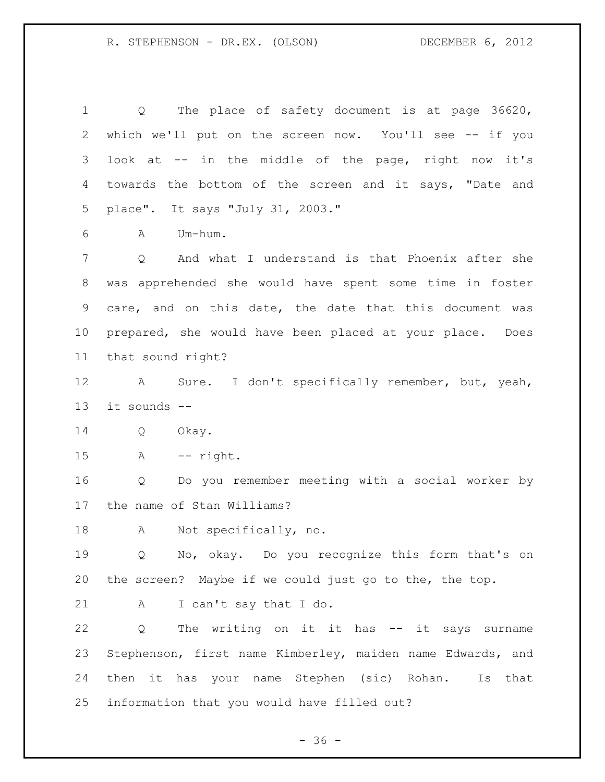| $\mathbf 1$ | The place of safety document is at page 36620,<br>$Q \qquad \qquad$ |
|-------------|---------------------------------------------------------------------|
| 2           | which we'll put on the screen now. You'll see -- if you             |
| 3           | look at -- in the middle of the page, right now it's                |
| 4           | towards the bottom of the screen and it says, "Date and             |
| 5           | place". It says "July 31, 2003."                                    |
| 6           | Um-hum.<br>A                                                        |
| 7           | And what I understand is that Phoenix after she<br>Q                |
| 8           | was apprehended she would have spent some time in foster            |
| 9           | care, and on this date, the date that this document was             |
| 10          | prepared, she would have been placed at your place. Does            |
| 11          | that sound right?                                                   |
| 12          | Sure. I don't specifically remember, but, yeah,<br>$\mathbf{A}$     |
| 13          | it sounds --                                                        |
| 14          | Q<br>Okay.                                                          |
| 15          | $\mathbb A$<br>-- right.                                            |
| 16          | Do you remember meeting with a social worker by<br>Q                |
| 17          | the name of Stan Williams?                                          |
| 18          | Not specifically, no.<br>А                                          |
| 19          | Q No, okay. Do you recognize this form that's on                    |
| 20          | the screen? Maybe if we could just go to the, the top.              |
| 21          | I can't say that I do.<br>A                                         |
| 22          | The writing on it it has -- it says surname<br>Q                    |
| 23          | Stephenson, first name Kimberley, maiden name Edwards, and          |
| 24          | then it has your name Stephen (sic) Rohan.<br>Is<br>that            |
| 25          | information that you would have filled out?                         |

- 36 -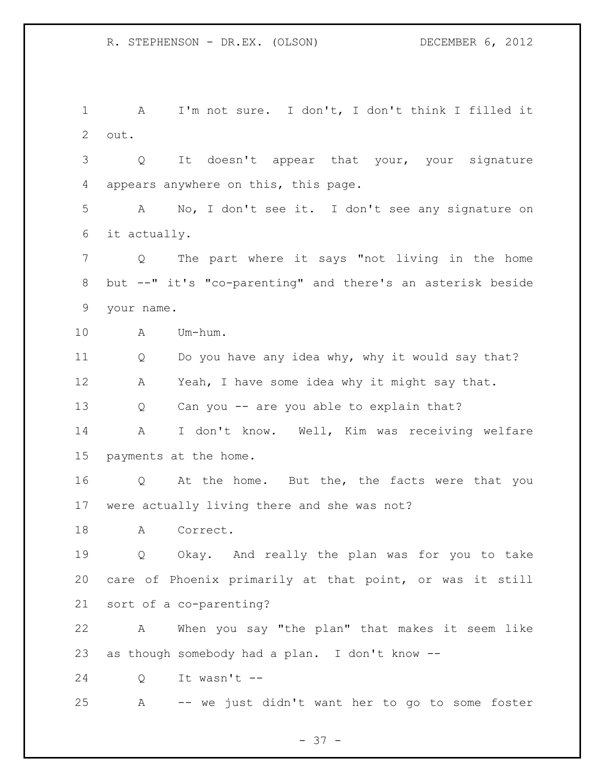A I'm not sure. I don't, I don't think I filled it out. Q It doesn't appear that your, your signature

appears anywhere on this, this page.

 A No, I don't see it. I don't see any signature on it actually.

 Q The part where it says "not living in the home but --" it's "co-parenting" and there's an asterisk beside your name.

A Um-hum.

Q Do you have any idea why, why it would say that?

A Yeah, I have some idea why it might say that.

Q Can you -- are you able to explain that?

 A I don't know. Well, Kim was receiving welfare payments at the home.

 Q At the home. But the, the facts were that you were actually living there and she was not?

A Correct.

 Q Okay. And really the plan was for you to take care of Phoenix primarily at that point, or was it still sort of a co-parenting?

 A When you say "the plan" that makes it seem like as though somebody had a plan. I don't know --

Q It wasn't --

A -- we just didn't want her to go to some foster

- 37 -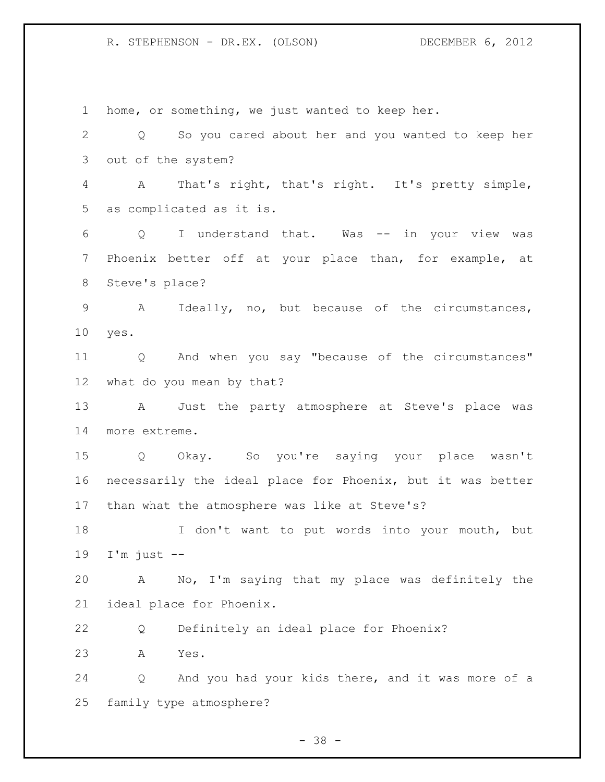home, or something, we just wanted to keep her. Q So you cared about her and you wanted to keep her out of the system? A That's right, that's right. It's pretty simple, as complicated as it is. Q I understand that. Was -- in your view was Phoenix better off at your place than, for example, at Steve's place? A Ideally, no, but because of the circumstances, yes. Q And when you say "because of the circumstances" what do you mean by that? A Just the party atmosphere at Steve's place was more extreme. Q Okay. So you're saying your place wasn't necessarily the ideal place for Phoenix, but it was better than what the atmosphere was like at Steve's? I don't want to put words into your mouth, but I'm just  $-$  A No, I'm saying that my place was definitely the ideal place for Phoenix. Q Definitely an ideal place for Phoenix? A Yes. Q And you had your kids there, and it was more of a family type atmosphere?

 $- 38 -$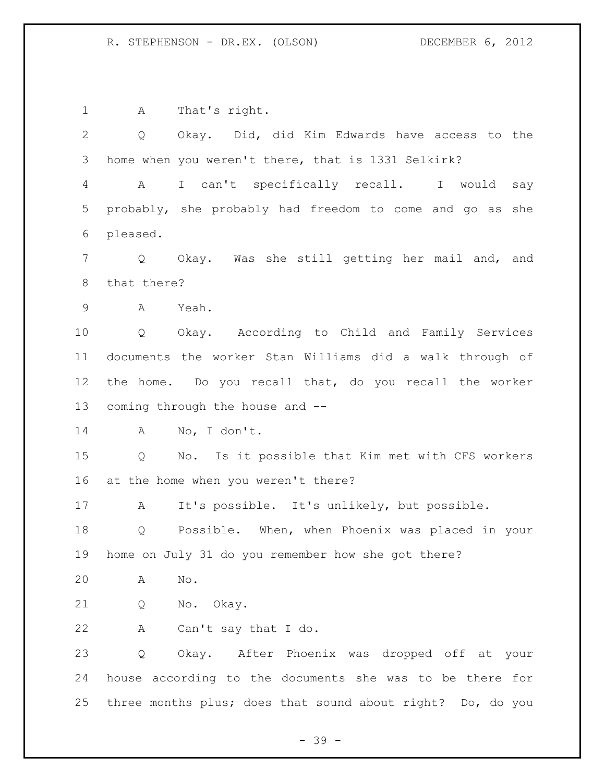1 A That's right. Q Okay. Did, did Kim Edwards have access to the home when you weren't there, that is 1331 Selkirk? A I can't specifically recall. I would say probably, she probably had freedom to come and go as she pleased. Q Okay. Was she still getting her mail and, and that there? A Yeah. Q Okay. According to Child and Family Services documents the worker Stan Williams did a walk through of the home. Do you recall that, do you recall the worker coming through the house and -- A No, I don't. Q No. Is it possible that Kim met with CFS workers at the home when you weren't there? A It's possible. It's unlikely, but possible. Q Possible. When, when Phoenix was placed in your home on July 31 do you remember how she got there? A No. Q No. Okay. A Can't say that I do. Q Okay. After Phoenix was dropped off at your house according to the documents she was to be there for three months plus; does that sound about right? Do, do you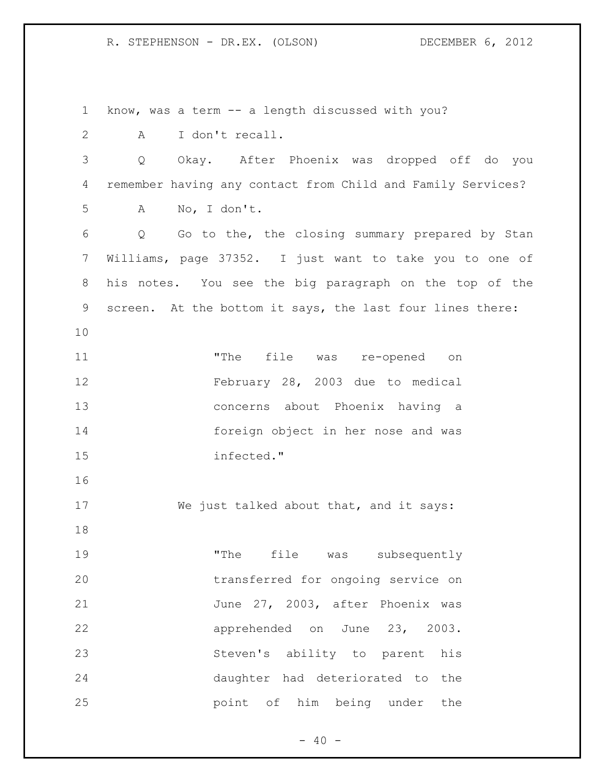know, was a term -- a length discussed with you? A I don't recall. Q Okay. After Phoenix was dropped off do you remember having any contact from Child and Family Services? A No, I don't. Q Go to the, the closing summary prepared by Stan Williams, page 37352. I just want to take you to one of his notes. You see the big paragraph on the top of the screen. At the bottom it says, the last four lines there: "The file was re-opened on February 28, 2003 due to medical concerns about Phoenix having a foreign object in her nose and was infected." We just talked about that, and it says: 19 The file was subsequently transferred for ongoing service on 21 June 27, 2003, after Phoenix was apprehended on June 23, 2003. Steven's ability to parent his daughter had deteriorated to the point of him being under the

 $- 40 -$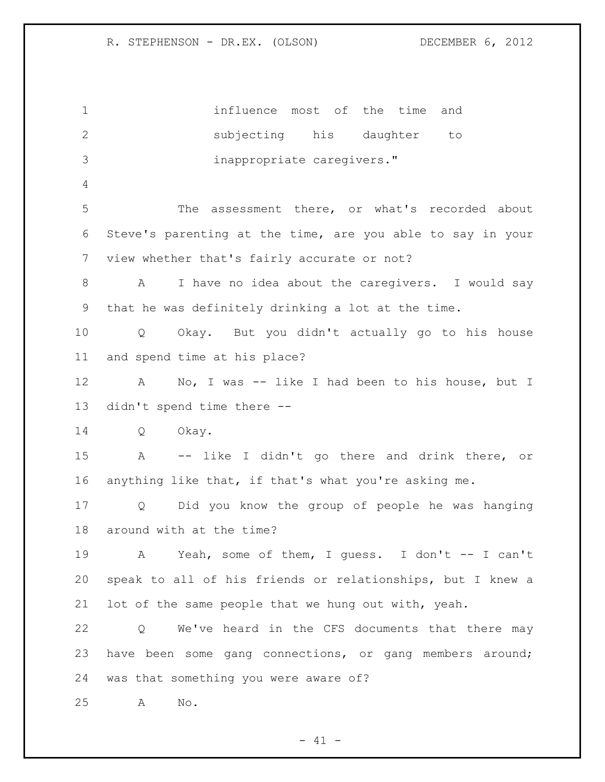influence most of the time and subjecting his daughter to inappropriate caregivers." The assessment there, or what's recorded about Steve's parenting at the time, are you able to say in your view whether that's fairly accurate or not? A I have no idea about the caregivers. I would say that he was definitely drinking a lot at the time. Q Okay. But you didn't actually go to his house and spend time at his place? A No, I was -- like I had been to his house, but I didn't spend time there -- Q Okay. A -- like I didn't go there and drink there, or anything like that, if that's what you're asking me. Q Did you know the group of people he was hanging around with at the time? A Yeah, some of them, I guess. I don't -- I can't speak to all of his friends or relationships, but I knew a lot of the same people that we hung out with, yeah. Q We've heard in the CFS documents that there may have been some gang connections, or gang members around; was that something you were aware of? A No.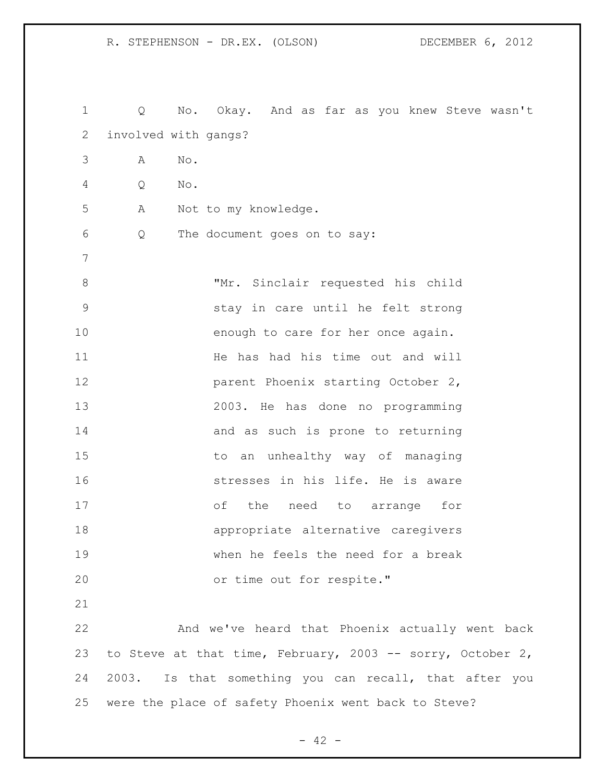Q No. Okay. And as far as you knew Steve wasn't involved with gangs? A No. Q No. A Not to my knowledge. Q The document goes on to say: "Mr. Sinclair requested his child stay in care until he felt strong 10 enough to care for her once again. 11 The has had his time out and will **parent Phoenix starting October 2,**  2003. He has done no programming 14 and as such is prone to returning to an unhealthy way of managing stresses in his life. He is aware of the need to arrange for appropriate alternative caregivers when he feels the need for a break or time out for respite." And we've heard that Phoenix actually went back to Steve at that time, February, 2003 -- sorry, October 2, 2003. Is that something you can recall, that after you were the place of safety Phoenix went back to Steve?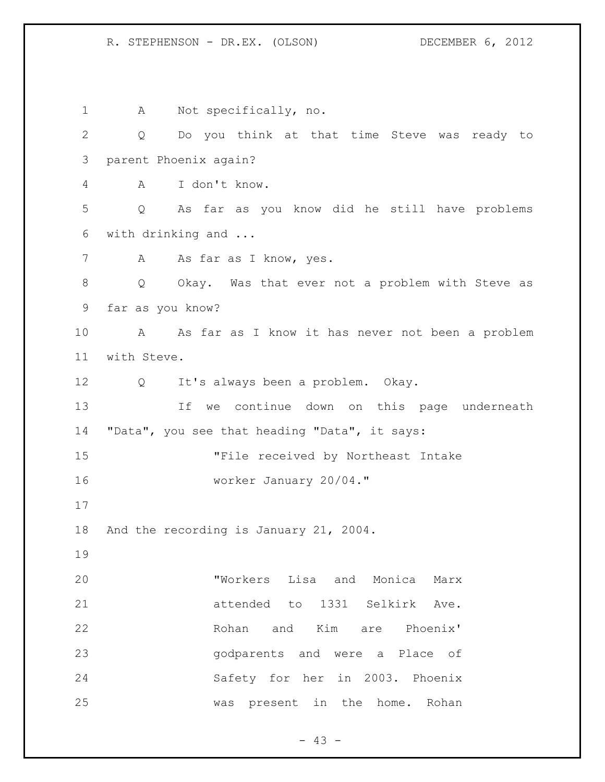1 A Not specifically, no. Q Do you think at that time Steve was ready to parent Phoenix again? A I don't know. Q As far as you know did he still have problems with drinking and ... 7 A As far as I know, yes. Q Okay. Was that ever not a problem with Steve as far as you know? A As far as I know it has never not been a problem with Steve. Q It's always been a problem. Okay. If we continue down on this page underneath "Data", you see that heading "Data", it says: "File received by Northeast Intake worker January 20/04." And the recording is January 21, 2004. "Workers Lisa and Monica Marx attended to 1331 Selkirk Ave. Rohan and Kim are Phoenix' godparents and were a Place of Safety for her in 2003. Phoenix was present in the home. Rohan

 $- 43 -$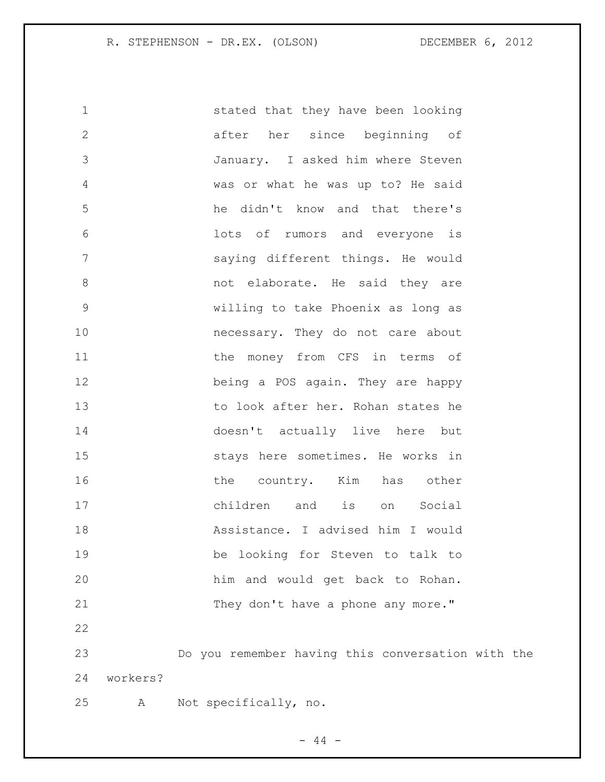stated that they have been looking after her since beginning of January. I asked him where Steven was or what he was up to? He said he didn't know and that there's lots of rumors and everyone is saying different things. He would 8 and they are not elaborate. He said they are willing to take Phoenix as long as necessary. They do not care about 11 the money from CFS in terms of being a POS again. They are happy to look after her. Rohan states he doesn't actually live here but stays here sometimes. He works in 16 the country. Kim has other children and is on Social Assistance. I advised him I would be looking for Steven to talk to him and would get back to Rohan. 21 They don't have a phone any more." Do you remember having this conversation with the workers? A Not specifically, no.

 $-44 -$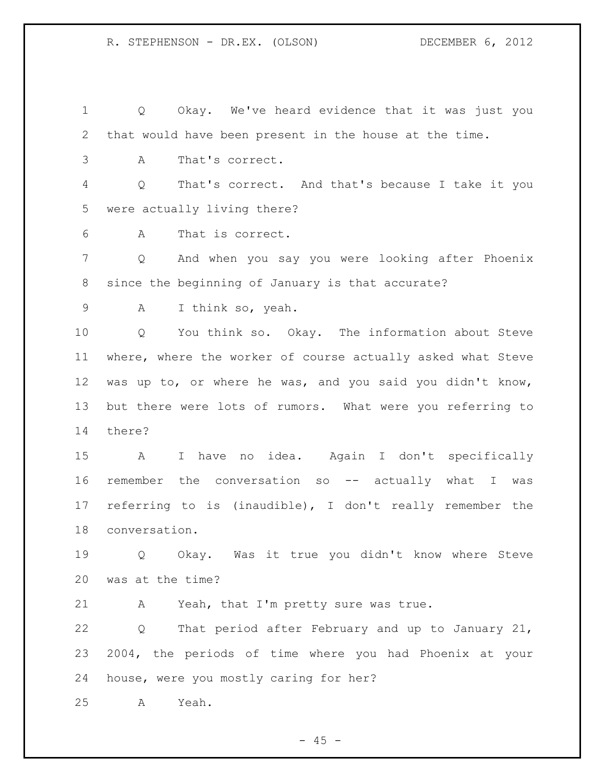Q Okay. We've heard evidence that it was just you that would have been present in the house at the time.

A That's correct.

 Q That's correct. And that's because I take it you were actually living there?

A That is correct.

 Q And when you say you were looking after Phoenix since the beginning of January is that accurate?

A I think so, yeah.

 Q You think so. Okay. The information about Steve where, where the worker of course actually asked what Steve was up to, or where he was, and you said you didn't know, but there were lots of rumors. What were you referring to there?

 A I have no idea. Again I don't specifically remember the conversation so -- actually what I was referring to is (inaudible), I don't really remember the conversation.

 Q Okay. Was it true you didn't know where Steve was at the time?

A Yeah, that I'm pretty sure was true.

 Q That period after February and up to January 21, 2004, the periods of time where you had Phoenix at your house, were you mostly caring for her?

A Yeah.

 $- 45 -$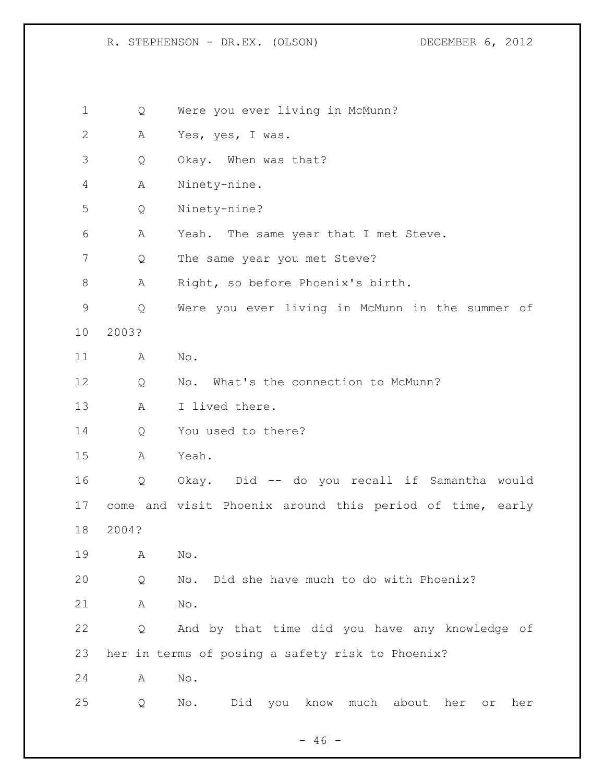Q Were you ever living in McMunn? A Yes, yes, I was. Q Okay. When was that? A Ninety-nine. Q Ninety-nine? A Yeah. The same year that I met Steve. Q The same year you met Steve? A Right, so before Phoenix's birth. Q Were you ever living in McMunn in the summer of 2003? A No. 12 Q No. What's the connection to McMunn? A I lived there. Q You used to there? A Yeah. Q Okay. Did -- do you recall if Samantha would come and visit Phoenix around this period of time, early 2004? A No. Q No. Did she have much to do with Phoenix? A No. Q And by that time did you have any knowledge of her in terms of posing a safety risk to Phoenix? A No. Q No. Did you know much about her or her

 $- 46 -$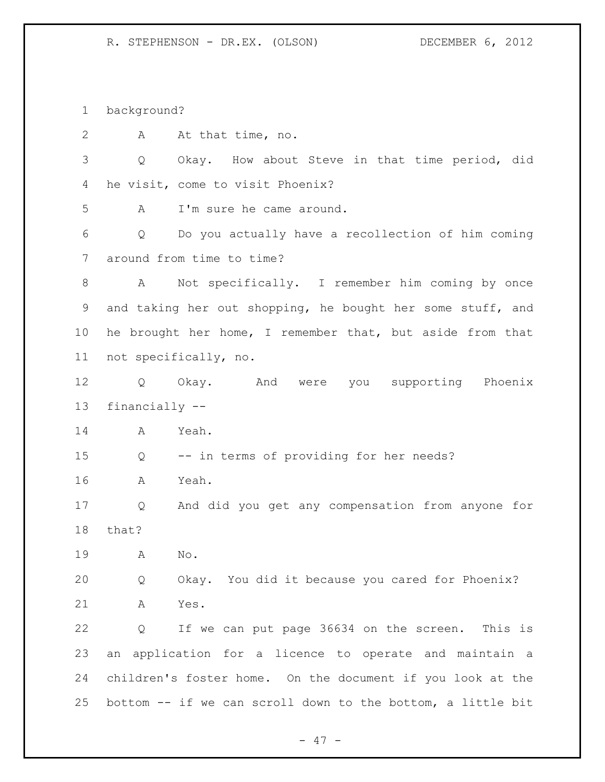background?

| $\overline{2}$ |                   | A At that time, no.                                         |
|----------------|-------------------|-------------------------------------------------------------|
| 3              | $Q \qquad \qquad$ | Okay. How about Steve in that time period, did              |
| 4              |                   | he visit, come to visit Phoenix?                            |
| 5              | A                 | I'm sure he came around.                                    |
| 6              | Q                 | Do you actually have a recollection of him coming           |
| 7              |                   | around from time to time?                                   |
| 8              |                   | A Not specifically. I remember him coming by once           |
| 9              |                   | and taking her out shopping, he bought her some stuff, and  |
| 10             |                   | he brought her home, I remember that, but aside from that   |
| 11             |                   | not specifically, no.                                       |
| 12             |                   | Q Okay. And were you supporting Phoenix                     |
| 13             | financially --    |                                                             |
| 14             | $\mathbb A$       | Yeah.                                                       |
| 15             | Q                 | -- in terms of providing for her needs?                     |
| 16             | A                 | Yeah.                                                       |
| 17             | Q                 | And did you get any compensation from anyone for            |
| 18             | that?             |                                                             |
| 19             | A                 | No.                                                         |
| 20             | Q                 | Okay. You did it because you cared for Phoenix?             |
| 21             | A                 | Yes.                                                        |
| 22             | Q                 | If we can put page 36634 on the screen. This is             |
| 23             |                   | an application for a licence to operate and maintain a      |
| 24             |                   | children's foster home. On the document if you look at the  |
| 25             |                   | bottom -- if we can scroll down to the bottom, a little bit |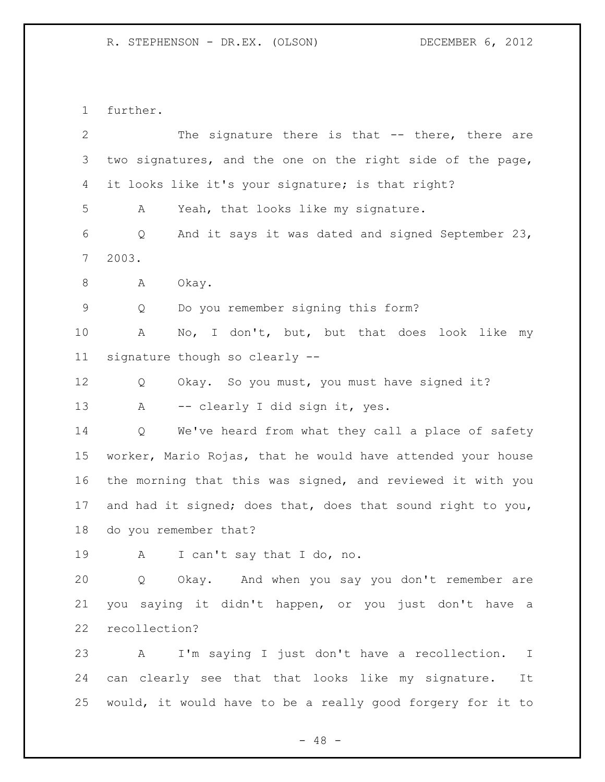further.

| $\overline{2}$ | The signature there is that -- there, there are             |
|----------------|-------------------------------------------------------------|
| 3              | two signatures, and the one on the right side of the page,  |
| 4              | it looks like it's your signature; is that right?           |
| 5              | Yeah, that looks like my signature.<br>А                    |
| 6              | And it says it was dated and signed September 23,<br>Q      |
| $\overline{7}$ | 2003.                                                       |
| $\,8\,$        | Okay.<br>A                                                  |
| 9              | Do you remember signing this form?<br>Q                     |
| 10             | No, I don't, but, but that does look like<br>Α<br>my        |
| 11             | signature though so clearly --                              |
| 12             | Okay. So you must, you must have signed it?<br>Q            |
| 13             | -- clearly I did sign it, yes.<br>A                         |
| 14             | We've heard from what they call a place of safety<br>Q      |
| 15             | worker, Mario Rojas, that he would have attended your house |
| 16             | the morning that this was signed, and reviewed it with you  |
| 17             | and had it signed; does that, does that sound right to you, |
| 18             | do you remember that?                                       |
| 19             | I can't say that I do, no.<br>А                             |
| 20             | Q Okay. And when you say you don't remember are             |
| 21             | you saying it didn't happen, or you just don't have a       |
| 22             | recollection?                                               |
| 23             | A I'm saying I just don't have a recollection. I            |
| 24             | can clearly see that that looks like my signature.<br>It    |
| 25             | would, it would have to be a really good forgery for it to  |
|                | $-48 -$                                                     |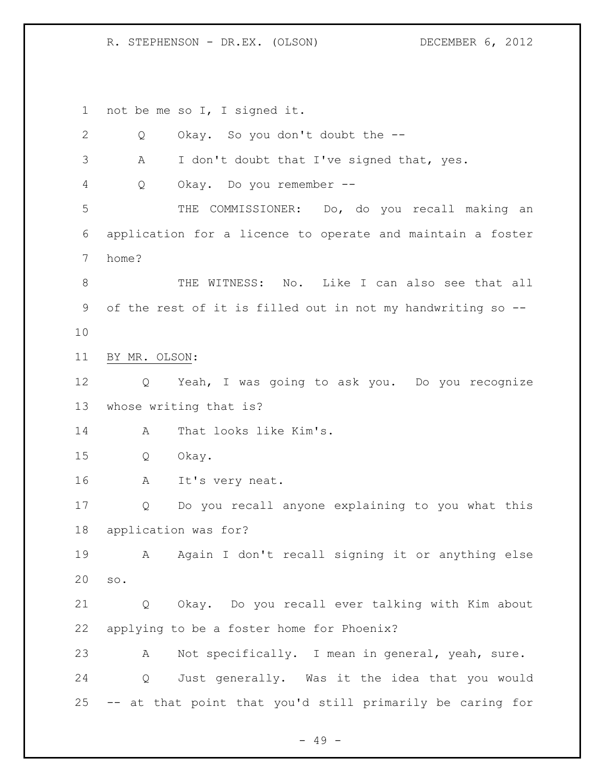not be me so I, I signed it.

| $\overline{2}$ | Q             | Okay. So you don't doubt the --                             |
|----------------|---------------|-------------------------------------------------------------|
| 3              | A             | I don't doubt that I've signed that, yes.                   |
| 4              | Q             | Okay. Do you remember --                                    |
| 5              |               | THE COMMISSIONER: Do, do you recall making an               |
| 6              |               | application for a licence to operate and maintain a foster  |
| 7              | home?         |                                                             |
| $\,8\,$        |               | THE WITNESS: No. Like I can also see that all               |
| 9              |               | of the rest of it is filled out in not my handwriting so -- |
| 10             |               |                                                             |
| 11             | BY MR. OLSON: |                                                             |
| 12             | Q             | Yeah, I was going to ask you. Do you recognize              |
| 13             |               | whose writing that is?                                      |
| 14             | A             | That looks like Kim's.                                      |
| 15             | Q             | Okay.                                                       |
| 16             | Α             | It's very neat.                                             |
| 17             | Q             | Do you recall anyone explaining to you what this            |
| 18             |               | application was for?                                        |
| 19             | А             | Again I don't recall signing it or anything else            |
| 20             | SO.           |                                                             |
| 21             | Q             | Okay. Do you recall ever talking with Kim about             |
| 22             |               | applying to be a foster home for Phoenix?                   |
| 23             | A             | Not specifically. I mean in general, yeah, sure.            |
| 24             |               | Q Just generally. Was it the idea that you would            |
| 25             |               | -- at that point that you'd still primarily be caring for   |

- 49 -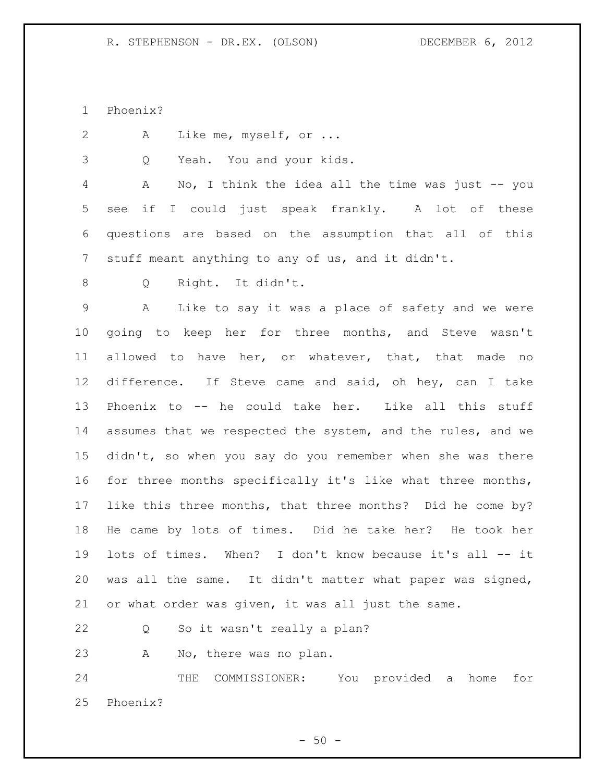Phoenix?

A Like me, myself, or ...

Q Yeah. You and your kids.

 A No, I think the idea all the time was just -- you see if I could just speak frankly. A lot of these questions are based on the assumption that all of this stuff meant anything to any of us, and it didn't.

Q Right. It didn't.

 A Like to say it was a place of safety and we were going to keep her for three months, and Steve wasn't allowed to have her, or whatever, that, that made no difference. If Steve came and said, oh hey, can I take Phoenix to -- he could take her. Like all this stuff assumes that we respected the system, and the rules, and we didn't, so when you say do you remember when she was there for three months specifically it's like what three months, like this three months, that three months? Did he come by? He came by lots of times. Did he take her? He took her lots of times. When? I don't know because it's all -- it was all the same. It didn't matter what paper was signed, or what order was given, it was all just the same.

Q So it wasn't really a plan?

A No, there was no plan.

 THE COMMISSIONER: You provided a home for Phoenix?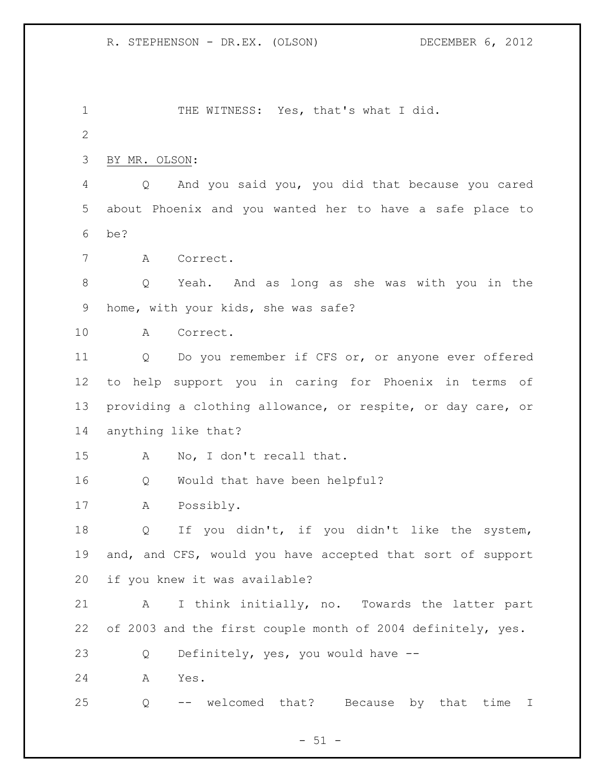1 THE WITNESS: Yes, that's what I did. BY MR. OLSON: Q And you said you, you did that because you cared about Phoenix and you wanted her to have a safe place to be? A Correct. Q Yeah. And as long as she was with you in the home, with your kids, she was safe? A Correct. Q Do you remember if CFS or, or anyone ever offered to help support you in caring for Phoenix in terms of providing a clothing allowance, or respite, or day care, or anything like that? A No, I don't recall that. Q Would that have been helpful? A Possibly. Q If you didn't, if you didn't like the system, and, and CFS, would you have accepted that sort of support if you knew it was available? A I think initially, no. Towards the latter part 22 of 2003 and the first couple month of 2004 definitely, yes. Q Definitely, yes, you would have -- A Yes. Q -- welcomed that? Because by that time I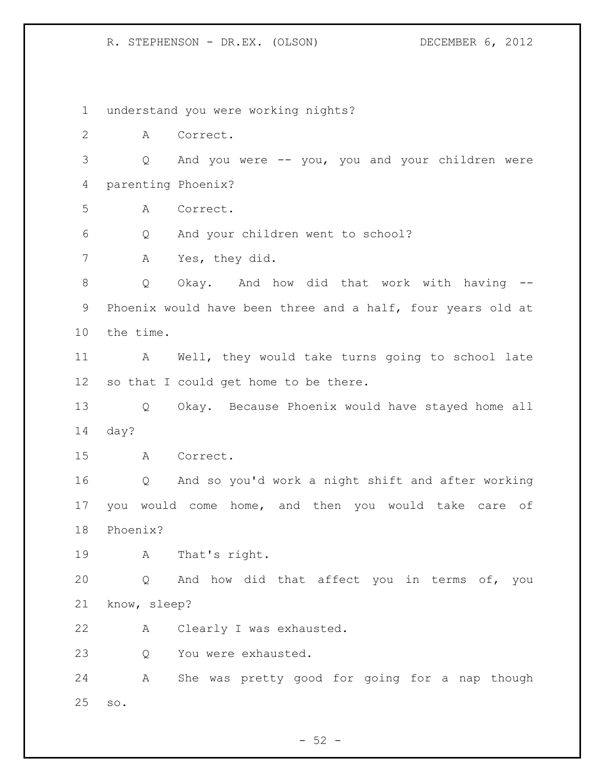understand you were working nights? A Correct. Q And you were -- you, you and your children were parenting Phoenix? A Correct. Q And your children went to school? A Yes, they did. Q Okay. And how did that work with having -- Phoenix would have been three and a half, four years old at the time. A Well, they would take turns going to school late so that I could get home to be there. Q Okay. Because Phoenix would have stayed home all day? A Correct. Q And so you'd work a night shift and after working you would come home, and then you would take care of Phoenix? A That's right. Q And how did that affect you in terms of, you know, sleep? A Clearly I was exhausted. Q You were exhausted. A She was pretty good for going for a nap though so.

 $-52 -$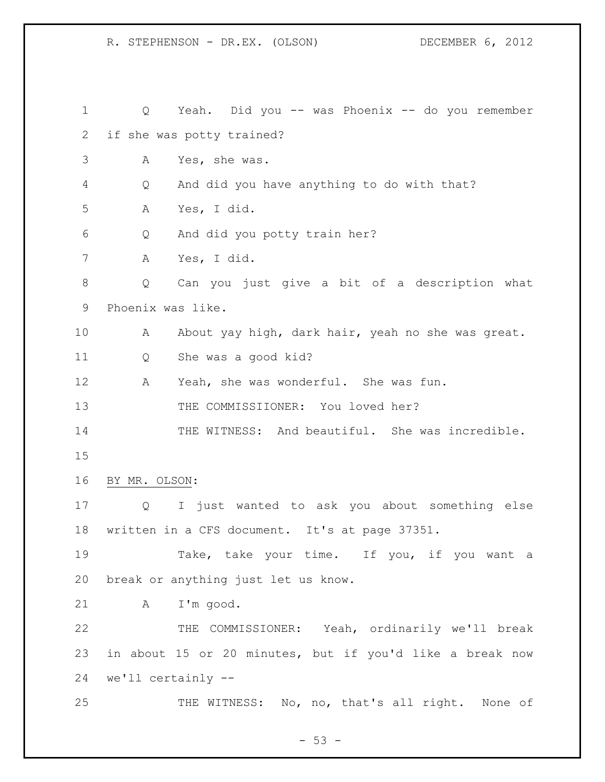Q Yeah. Did you -- was Phoenix -- do you remember if she was potty trained? A Yes, she was. Q And did you have anything to do with that? A Yes, I did. Q And did you potty train her? A Yes, I did. Q Can you just give a bit of a description what Phoenix was like. A About yay high, dark hair, yeah no she was great. Q She was a good kid? A Yeah, she was wonderful. She was fun. 13 THE COMMISSIIONER: You loved her? THE WITNESS: And beautiful. She was incredible. BY MR. OLSON: Q I just wanted to ask you about something else written in a CFS document. It's at page 37351. Take, take your time. If you, if you want a break or anything just let us know. A I'm good. THE COMMISSIONER: Yeah, ordinarily we'll break in about 15 or 20 minutes, but if you'd like a break now we'll certainly -- 25 THE WITNESS: No, no, that's all right. None of

 $-53 -$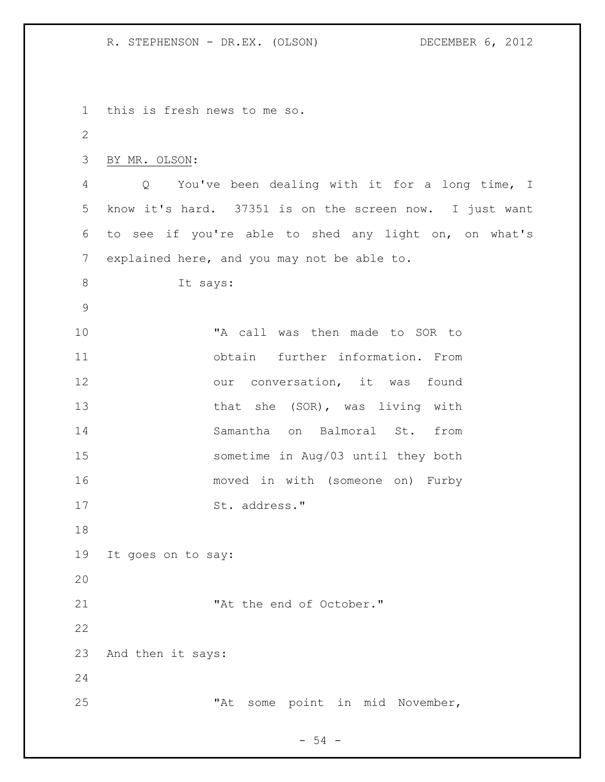this is fresh news to me so. BY MR. OLSON: Q You've been dealing with it for a long time, I know it's hard. 37351 is on the screen now. I just want to see if you're able to shed any light on, on what's explained here, and you may not be able to. It says: "A call was then made to SOR to obtain further information. From 12 our conversation, it was found 13 that she (SOR), was living with Samantha on Balmoral St. from sometime in Aug/03 until they both moved in with (someone on) Furby 17 St. address." It goes on to say: 21 The end of October." And then it says: "At some point in mid November,

- 54 -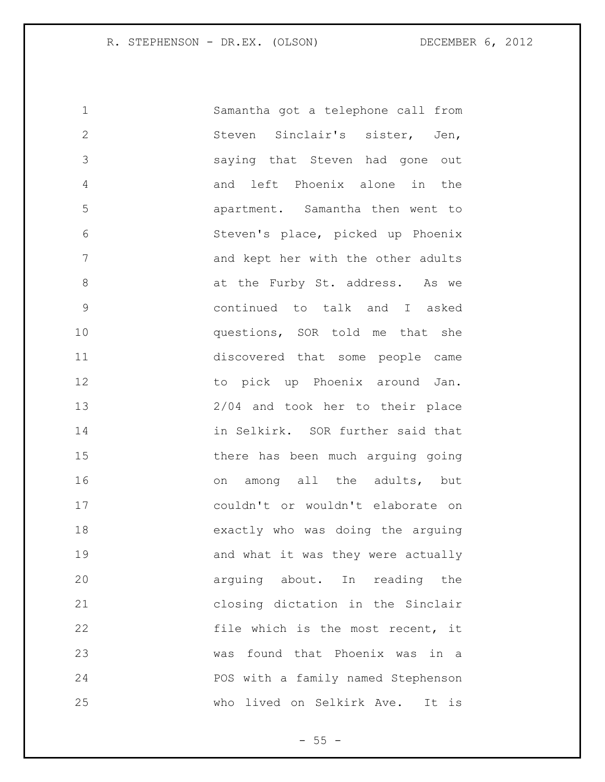| $\mathbf 1$   | Samantha got a telephone call from |
|---------------|------------------------------------|
| $\mathbf{2}$  | Steven Sinclair's sister, Jen,     |
| 3             | saying that Steven had gone out    |
| 4             | and left Phoenix alone in<br>the   |
| 5             | apartment. Samantha then went to   |
| 6             | Steven's place, picked up Phoenix  |
| 7             | and kept her with the other adults |
| 8             | at the Furby St. address. As we    |
| $\mathcal{G}$ | continued to talk and I asked      |
| 10            | questions, SOR told me that she    |
| 11            | discovered that some people came   |
| 12            | to pick up Phoenix around Jan.     |
| 13            | 2/04 and took her to their place   |
| 14            | in Selkirk. SOR further said that  |
| 15            | there has been much arguing going  |
| 16            | on among all the adults, but       |
| 17            | couldn't or wouldn't elaborate on  |
| 18            | exactly who was doing the arguing  |
| 19            | and what it was they were actually |
| 20            | arguing about. In reading the      |
| 21            | closing dictation in the Sinclair  |
| 22            | file which is the most recent, it  |
| 23            | was found that Phoenix was in a    |
| 24            | POS with a family named Stephenson |
| 25            | who lived on Selkirk Ave. It is    |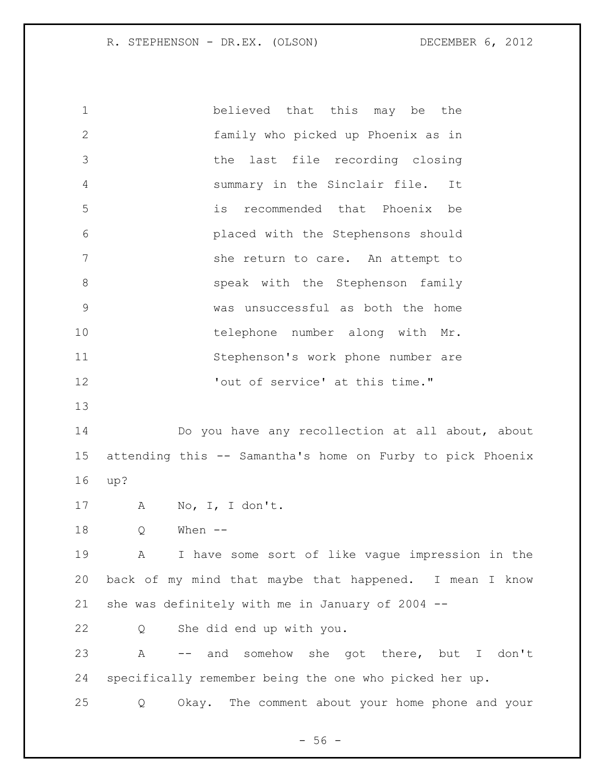believed that this may be the family who picked up Phoenix as in the last file recording closing summary in the Sinclair file. It is recommended that Phoenix be placed with the Stephensons should 7 She return to care. An attempt to 8 speak with the Stephenson family was unsuccessful as both the home 10 telephone number along with Mr. Stephenson's work phone number are 'out of service' at this time." Do you have any recollection at all about, about attending this -- Samantha's home on Furby to pick Phoenix up? A No, I, I don't. Q When -- A I have some sort of like vague impression in the back of my mind that maybe that happened. I mean I know she was definitely with me in January of 2004 -- Q She did end up with you. A -- and somehow she got there, but I don't specifically remember being the one who picked her up. Q Okay. The comment about your home phone and your

 $-56 -$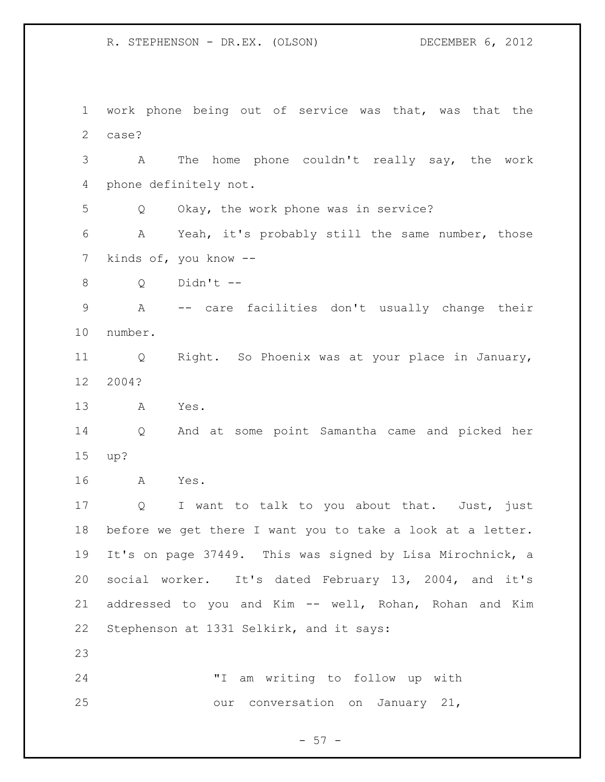work phone being out of service was that, was that the case? A The home phone couldn't really say, the work phone definitely not. Q Okay, the work phone was in service? A Yeah, it's probably still the same number, those kinds of, you know -- Q Didn't -- A -- care facilities don't usually change their number. Q Right. So Phoenix was at your place in January, 2004? A Yes. Q And at some point Samantha came and picked her up? A Yes. 17 Q I want to talk to you about that. Just, just before we get there I want you to take a look at a letter. It's on page 37449. This was signed by Lisa Mirochnick, a social worker. It's dated February 13, 2004, and it's addressed to you and Kim -- well, Rohan, Rohan and Kim Stephenson at 1331 Selkirk, and it says: "I am writing to follow up with our conversation on January 21,

 $-57 -$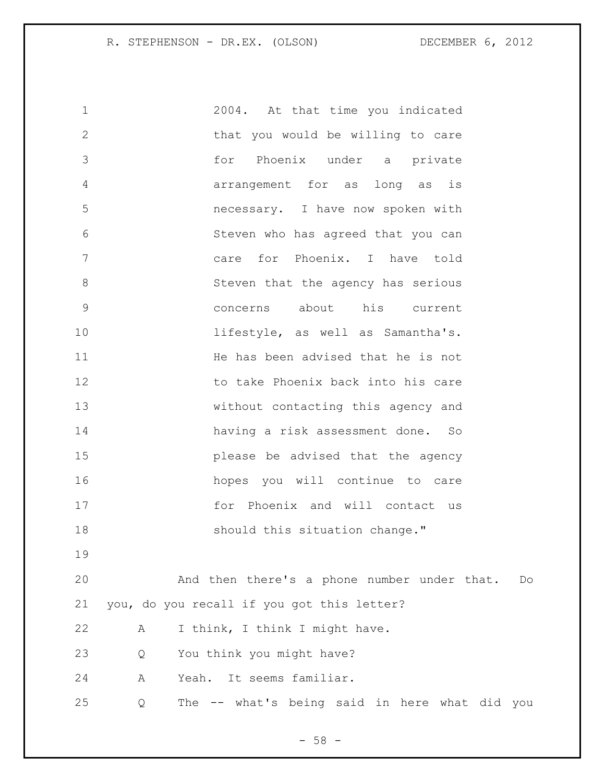| $\mathbf 1$    | 2004. At that time you indicated                   |
|----------------|----------------------------------------------------|
| $\overline{2}$ | that you would be willing to care                  |
| 3              | Phoenix under a private<br>for                     |
| 4              | arrangement for as long as<br>is                   |
| 5              | necessary. I have now spoken with                  |
| 6              | Steven who has agreed that you can                 |
| 7              | for Phoenix. I have told<br>care                   |
| $8\,$          | Steven that the agency has serious                 |
| $\mathsf 9$    | his current<br>about<br>concerns                   |
| 10             | lifestyle, as well as Samantha's.                  |
| 11             | He has been advised that he is not                 |
| 12             | to take Phoenix back into his care                 |
| 13             | without contacting this agency and                 |
| 14             | having a risk assessment done. So                  |
| 15             | please be advised that the agency                  |
| 16             | hopes you will continue to care                    |
| 17             | for Phoenix and will contact us                    |
| 18             | should this situation change."                     |
| 19             |                                                    |
| 20             | And then there's a phone number under that.<br>Do  |
| 21             | you, do you recall if you got this letter?         |
| 22             | I think, I think I might have.<br>Α                |
| 23             | You think you might have?<br>Q                     |
| 24             | Yeah. It seems familiar.<br>А                      |
| 25             | The -- what's being said in here what did you<br>Q |
|                |                                                    |

- 58 -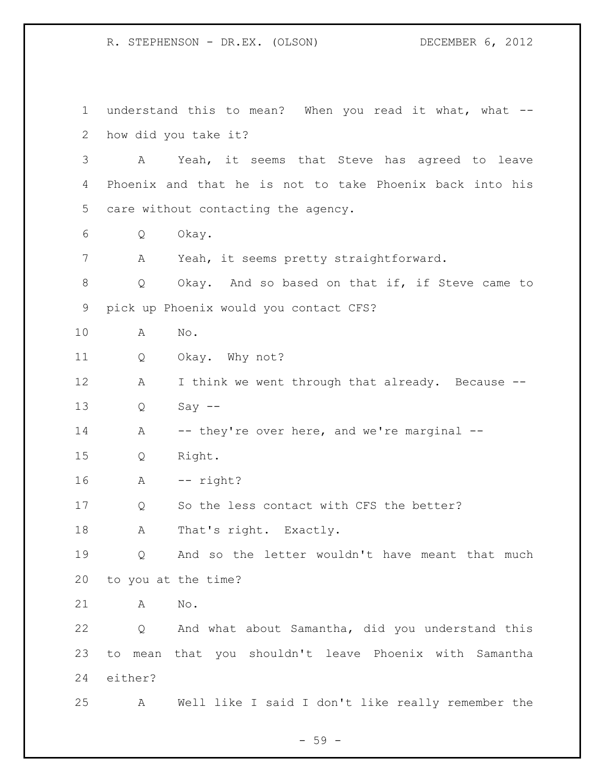understand this to mean? When you read it what, what -- how did you take it? A Yeah, it seems that Steve has agreed to leave Phoenix and that he is not to take Phoenix back into his care without contacting the agency. Q Okay. A Yeah, it seems pretty straightforward. Q Okay. And so based on that if, if Steve came to pick up Phoenix would you contact CFS? A No. Q Okay. Why not? 12 A I think we went through that already. Because -- Q Say -- 14 A -- they're over here, and we're marginal -- Q Right. A -- right? Q So the less contact with CFS the better? 18 A That's right. Exactly. Q And so the letter wouldn't have meant that much to you at the time? A No. Q And what about Samantha, did you understand this to mean that you shouldn't leave Phoenix with Samantha either? A Well like I said I don't like really remember the

- 59 -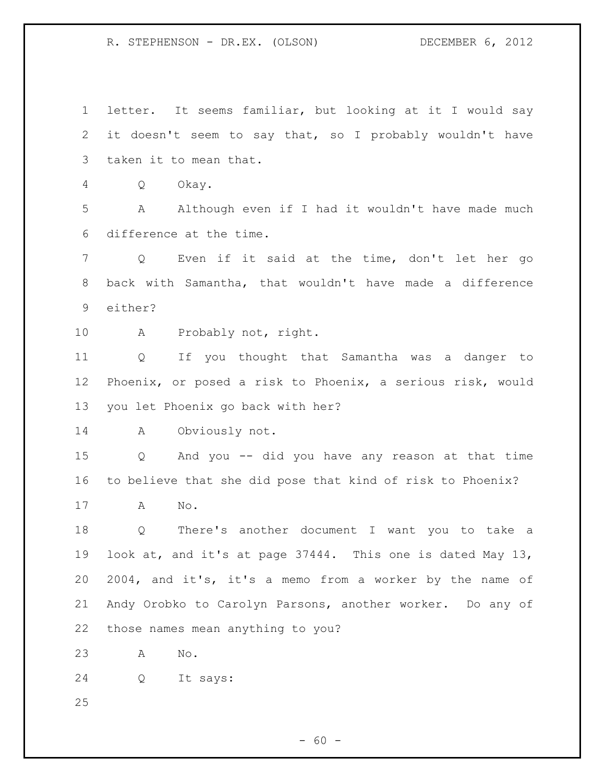letter. It seems familiar, but looking at it I would say it doesn't seem to say that, so I probably wouldn't have taken it to mean that. Q Okay. A Although even if I had it wouldn't have made much difference at the time. Q Even if it said at the time, don't let her go back with Samantha, that wouldn't have made a difference either? 10 A Probably not, right. Q If you thought that Samantha was a danger to Phoenix, or posed a risk to Phoenix, a serious risk, would you let Phoenix go back with her? A Obviously not. Q And you -- did you have any reason at that time to believe that she did pose that kind of risk to Phoenix? A No. Q There's another document I want you to take a look at, and it's at page 37444. This one is dated May 13, 2004, and it's, it's a memo from a worker by the name of Andy Orobko to Carolyn Parsons, another worker. Do any of those names mean anything to you? A No. Q It says: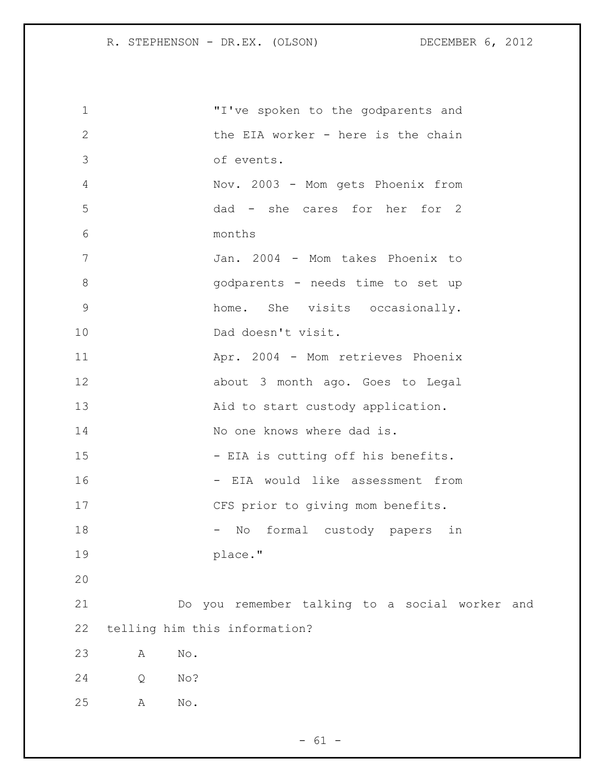| $\mathbf 1$    |          | "I've spoken to the godparents and             |
|----------------|----------|------------------------------------------------|
| $\mathbf{2}$   |          | the EIA worker - here is the chain             |
| 3              |          | of events.                                     |
| $\overline{4}$ |          | Nov. 2003 - Mom gets Phoenix from              |
| 5              |          | dad - she cares for her for 2                  |
| 6              |          | months                                         |
| 7              |          | Jan. 2004 - Mom takes Phoenix to               |
| $\,8\,$        |          | godparents - needs time to set up              |
| $\mathsf 9$    |          | home. She visits occasionally.                 |
| 10             |          | Dad doesn't visit.                             |
| 11             |          | Apr. 2004 - Mom retrieves Phoenix              |
| 12             |          | about 3 month ago. Goes to Legal               |
| 13             |          | Aid to start custody application.              |
| 14             |          | No one knows where dad is.                     |
| 15             |          | - EIA is cutting off his benefits.             |
| 16             |          | - EIA would like assessment from               |
| 17             |          | CFS prior to giving mom benefits.              |
| 18             |          | formal custody papers in<br>No                 |
| 19             |          | place."                                        |
| 20             |          |                                                |
| 21             |          | Do you remember talking to a social worker and |
| 22             |          | telling him this information?                  |
| 23             | No.<br>Α |                                                |
| 24             | No?<br>Q |                                                |
| 25             | No.<br>Α |                                                |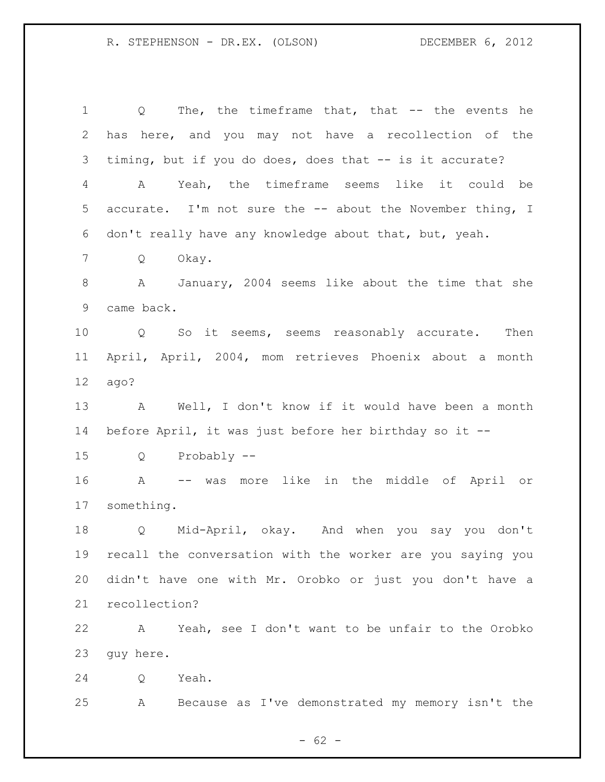Q The, the timeframe that, that -- the events he has here, and you may not have a recollection of the timing, but if you do does, does that -- is it accurate? A Yeah, the timeframe seems like it could be accurate. I'm not sure the -- about the November thing, I don't really have any knowledge about that, but, yeah. Q Okay. A January, 2004 seems like about the time that she came back. Q So it seems, seems reasonably accurate. Then April, April, 2004, mom retrieves Phoenix about a month ago? A Well, I don't know if it would have been a month before April, it was just before her birthday so it -- Q Probably -- A -- was more like in the middle of April or something. Q Mid-April, okay. And when you say you don't recall the conversation with the worker are you saying you didn't have one with Mr. Orobko or just you don't have a recollection? A Yeah, see I don't want to be unfair to the Orobko guy here. Q Yeah. A Because as I've demonstrated my memory isn't the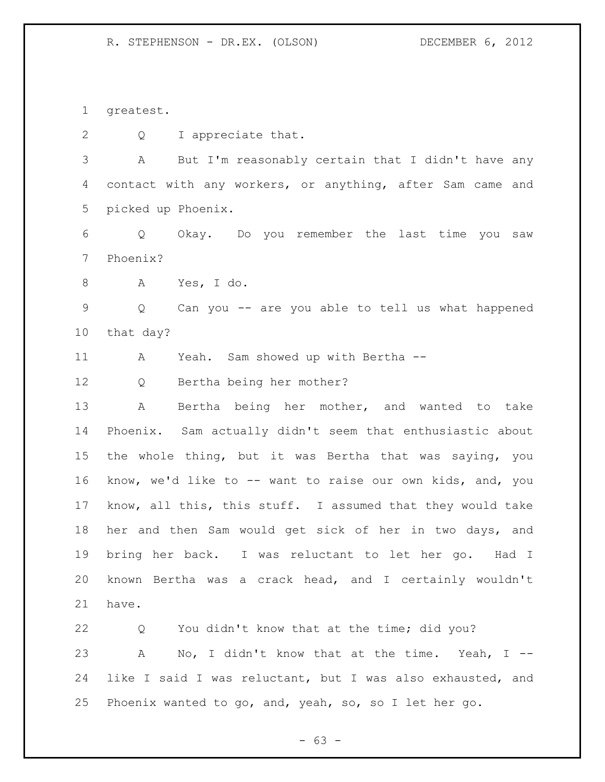greatest.

Q I appreciate that.

 A But I'm reasonably certain that I didn't have any contact with any workers, or anything, after Sam came and picked up Phoenix.

 Q Okay. Do you remember the last time you saw Phoenix?

A Yes, I do.

 Q Can you -- are you able to tell us what happened that day?

A Yeah. Sam showed up with Bertha --

Q Bertha being her mother?

 A Bertha being her mother, and wanted to take Phoenix. Sam actually didn't seem that enthusiastic about the whole thing, but it was Bertha that was saying, you know, we'd like to -- want to raise our own kids, and, you know, all this, this stuff. I assumed that they would take her and then Sam would get sick of her in two days, and bring her back. I was reluctant to let her go. Had I known Bertha was a crack head, and I certainly wouldn't have.

 Q You didn't know that at the time; did you? A No, I didn't know that at the time. Yeah, I -- like I said I was reluctant, but I was also exhausted, and Phoenix wanted to go, and, yeah, so, so I let her go.

 $- 63 -$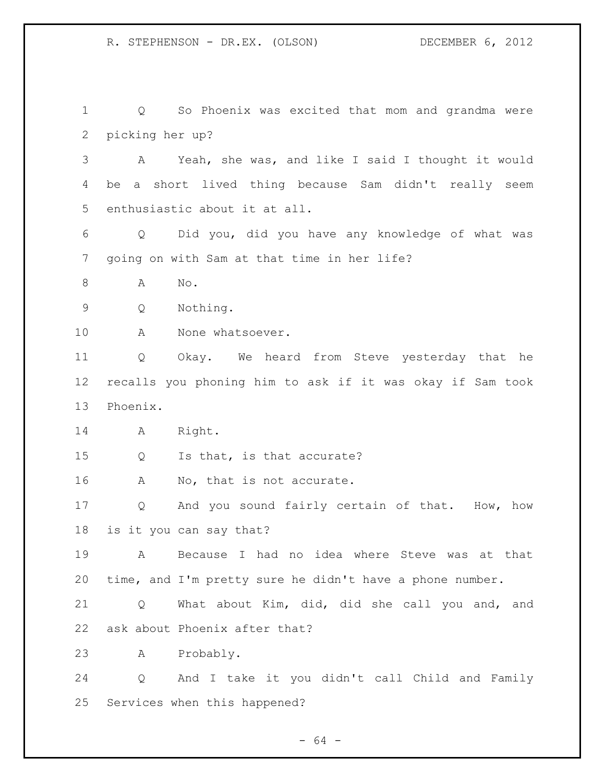Q So Phoenix was excited that mom and grandma were picking her up? A Yeah, she was, and like I said I thought it would be a short lived thing because Sam didn't really seem enthusiastic about it at all. Q Did you, did you have any knowledge of what was going on with Sam at that time in her life? 8 A No. Q Nothing. A None whatsoever. Q Okay. We heard from Steve yesterday that he recalls you phoning him to ask if it was okay if Sam took Phoenix. A Right. Q Is that, is that accurate? 16 A No, that is not accurate. Q And you sound fairly certain of that. How, how is it you can say that? A Because I had no idea where Steve was at that time, and I'm pretty sure he didn't have a phone number. Q What about Kim, did, did she call you and, and ask about Phoenix after that? A Probably. Q And I take it you didn't call Child and Family Services when this happened?

- 64 -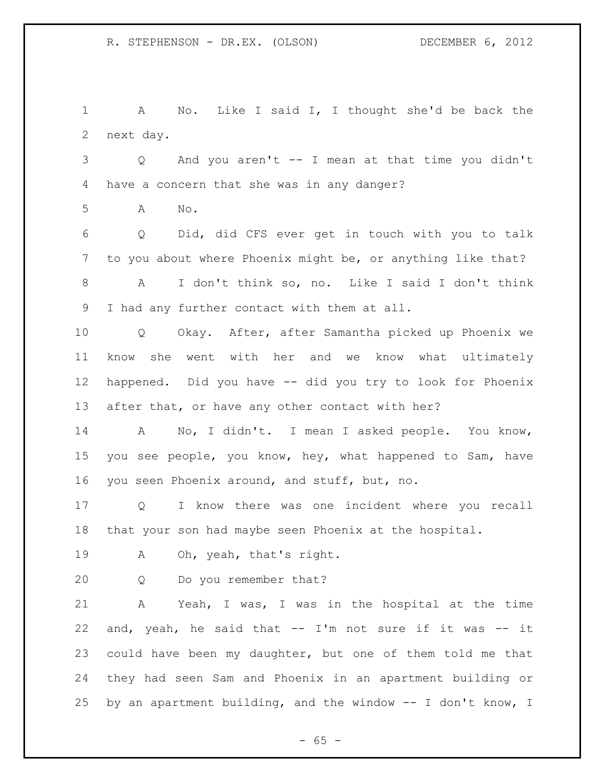A No. Like I said I, I thought she'd be back the next day.

 Q And you aren't -- I mean at that time you didn't have a concern that she was in any danger?

A No.

 Q Did, did CFS ever get in touch with you to talk to you about where Phoenix might be, or anything like that? A I don't think so, no. Like I said I don't think

I had any further contact with them at all.

 Q Okay. After, after Samantha picked up Phoenix we know she went with her and we know what ultimately happened. Did you have -- did you try to look for Phoenix after that, or have any other contact with her?

 A No, I didn't. I mean I asked people. You know, you see people, you know, hey, what happened to Sam, have you seen Phoenix around, and stuff, but, no.

 Q I know there was one incident where you recall that your son had maybe seen Phoenix at the hospital.

A Oh, yeah, that's right.

Q Do you remember that?

 A Yeah, I was, I was in the hospital at the time and, yeah, he said that -- I'm not sure if it was -- it could have been my daughter, but one of them told me that they had seen Sam and Phoenix in an apartment building or by an apartment building, and the window -- I don't know, I

 $- 65 -$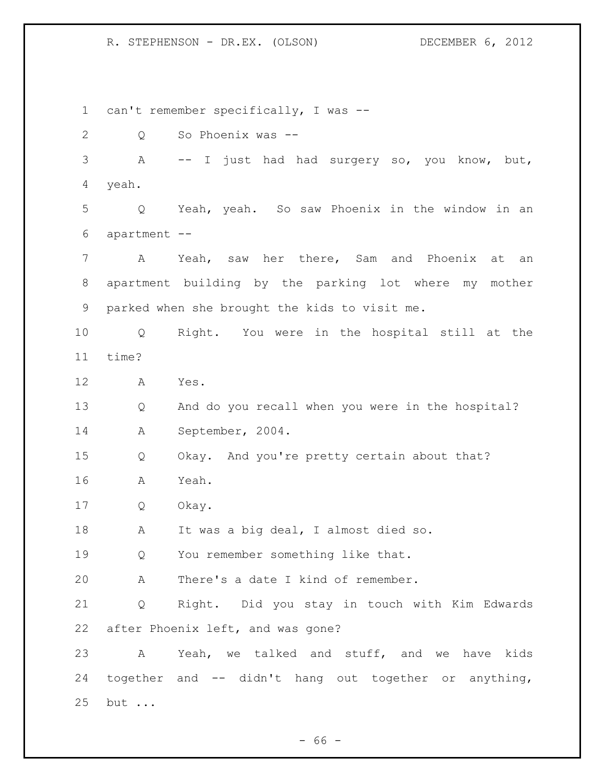can't remember specifically, I was -- Q So Phoenix was -- A -- I just had had surgery so, you know, but, yeah. Q Yeah, yeah. So saw Phoenix in the window in an apartment -- A Yeah, saw her there, Sam and Phoenix at an apartment building by the parking lot where my mother parked when she brought the kids to visit me. Q Right. You were in the hospital still at the time? A Yes. Q And do you recall when you were in the hospital? A September, 2004. Q Okay. And you're pretty certain about that? A Yeah. Q Okay. A It was a big deal, I almost died so. Q You remember something like that. A There's a date I kind of remember. Q Right. Did you stay in touch with Kim Edwards after Phoenix left, and was gone? A Yeah, we talked and stuff, and we have kids together and -- didn't hang out together or anything, but ...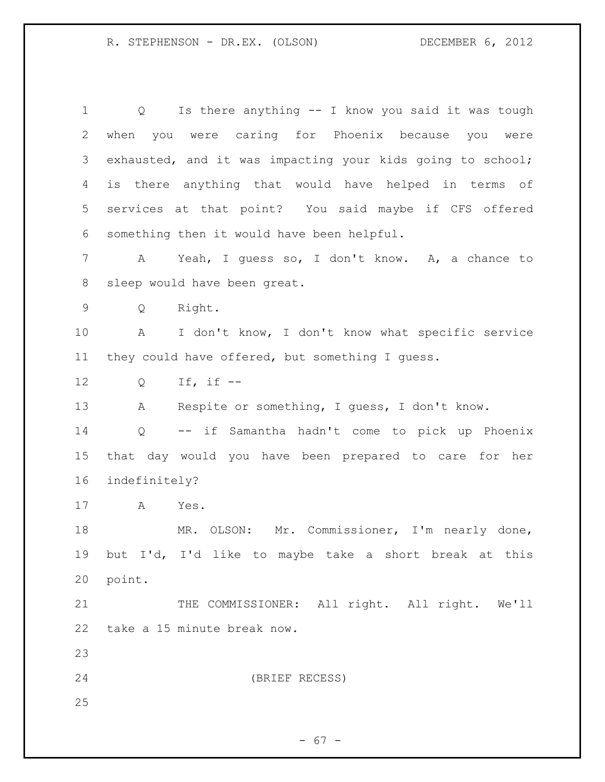Q Is there anything -- I know you said it was tough when you were caring for Phoenix because you were exhausted, and it was impacting your kids going to school; is there anything that would have helped in terms of services at that point? You said maybe if CFS offered something then it would have been helpful. A Yeah, I guess so, I don't know. A, a chance to sleep would have been great. Q Right. A I don't know, I don't know what specific service they could have offered, but something I guess. Q If, if -- A Respite or something, I guess, I don't know. Q -- if Samantha hadn't come to pick up Phoenix that day would you have been prepared to care for her indefinitely? A Yes. MR. OLSON: Mr. Commissioner, I'm nearly done, but I'd, I'd like to maybe take a short break at this point. THE COMMISSIONER: All right. All right. We'll take a 15 minute break now. (BRIEF RECESS) 

- 67 -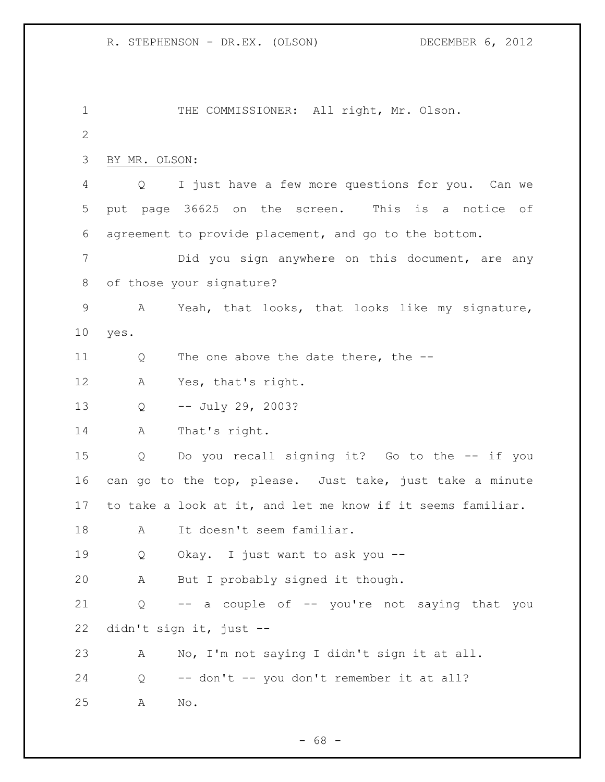THE COMMISSIONER: All right, Mr. Olson. BY MR. OLSON: Q I just have a few more questions for you. Can we put page 36625 on the screen. This is a notice of agreement to provide placement, and go to the bottom. Did you sign anywhere on this document, are any of those your signature? A Yeah, that looks, that looks like my signature, yes. 11 Q The one above the date there, the -- A Yes, that's right. Q -- July 29, 2003? A That's right. Q Do you recall signing it? Go to the -- if you can go to the top, please. Just take, just take a minute to take a look at it, and let me know if it seems familiar. A It doesn't seem familiar. Q Okay. I just want to ask you -- A But I probably signed it though. Q -- a couple of -- you're not saying that you didn't sign it, just -- A No, I'm not saying I didn't sign it at all. Q -- don't -- you don't remember it at all? A No.

 $- 68 -$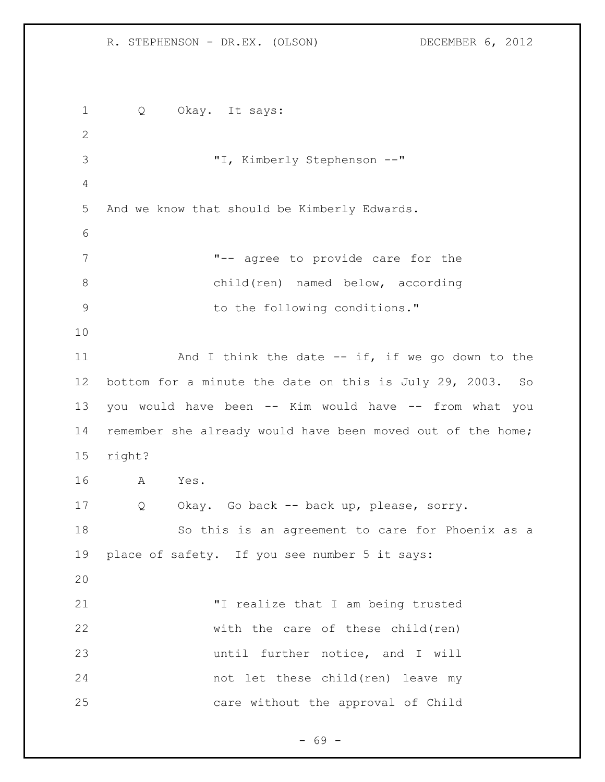Q Okay. It says: "I, Kimberly Stephenson --" And we know that should be Kimberly Edwards. "-- agree to provide care for the child(ren) named below, according 9 to the following conditions." 11 And I think the date -- if, if we go down to the bottom for a minute the date on this is July 29, 2003. So you would have been -- Kim would have -- from what you remember she already would have been moved out of the home; right? A Yes. Q Okay. Go back -- back up, please, sorry. So this is an agreement to care for Phoenix as a place of safety. If you see number 5 it says: "I realize that I am being trusted with the care of these child(ren) until further notice, and I will not let these child(ren) leave my care without the approval of Child

- 69 -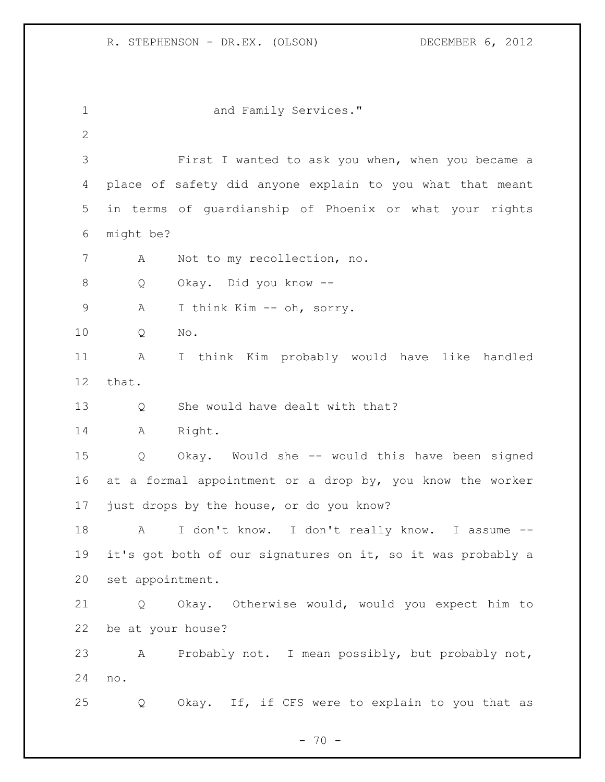1 and Family Services." First I wanted to ask you when, when you became a place of safety did anyone explain to you what that meant in terms of guardianship of Phoenix or what your rights might be? A Not to my recollection, no. Q Okay. Did you know -- A I think Kim -- oh, sorry. Q No. A I think Kim probably would have like handled that. Q She would have dealt with that? A Right. Q Okay. Would she -- would this have been signed at a formal appointment or a drop by, you know the worker just drops by the house, or do you know? A I don't know. I don't really know. I assume -- it's got both of our signatures on it, so it was probably a set appointment. Q Okay. Otherwise would, would you expect him to be at your house? A Probably not. I mean possibly, but probably not, no. Q Okay. If, if CFS were to explain to you that as

 $- 70 -$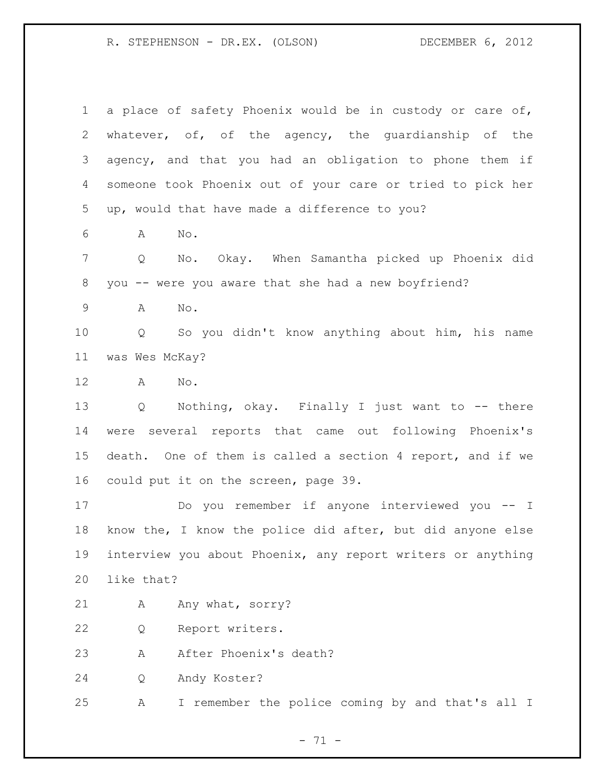| $\mathbf 1$ | a place of safety Phoenix would be in custody or care of,           |
|-------------|---------------------------------------------------------------------|
| 2           | whatever, of, of the agency, the guardianship of the                |
| 3           | agency, and that you had an obligation to phone them if             |
| 4           | someone took Phoenix out of your care or tried to pick her          |
| 5           | up, would that have made a difference to you?                       |
| 6           | No.<br>A                                                            |
| 7           | No. Okay. When Samantha picked up Phoenix did<br>Q                  |
| 8           | you -- were you aware that she had a new boyfriend?                 |
| $\mathsf 9$ | No.<br>A                                                            |
| 10          | So you didn't know anything about him, his name<br>Q                |
| 11          | was Wes McKay?                                                      |
| 12          | $\mathbb{N} \circ$ .<br>A                                           |
| 13          | Nothing, okay. Finally I just want to -- there<br>$Q \qquad \qquad$ |
| 14          | were several reports that came out following Phoenix's              |
| 15          | death. One of them is called a section 4 report, and if we          |
| 16          | could put it on the screen, page 39.                                |
| 17          | Do you remember if anyone interviewed you -- I                      |
| 18          | know the, I know the police did after, but did anyone else          |
| 19          | interview you about Phoenix, any report writers or anything         |
| 20          | like that?                                                          |
| 21          | Any what, sorry?<br>Α                                               |
| 22          | Report writers.<br>Q                                                |
| 23          | After Phoenix's death?<br>Α                                         |
| 24          | Andy Koster?<br>Q                                                   |
| 25          | I remember the police coming by and that's all I<br>Α               |

- 71 -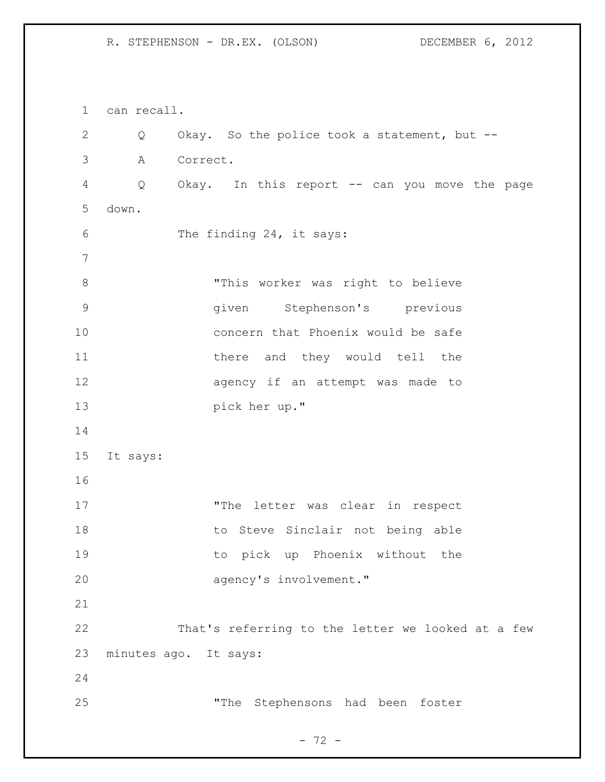can recall. Q Okay. So the police took a statement, but -- A Correct. Q Okay. In this report -- can you move the page down. The finding 24, it says: "This worker was right to believe given Stephenson's previous concern that Phoenix would be safe 11 there and they would tell the agency if an attempt was made to pick her up." It says: 17 The letter was clear in respect 18 to Steve Sinclair not being able to pick up Phoenix without the 20 agency's involvement." That's referring to the letter we looked at a few minutes ago. It says: "The Stephensons had been foster

- 72 -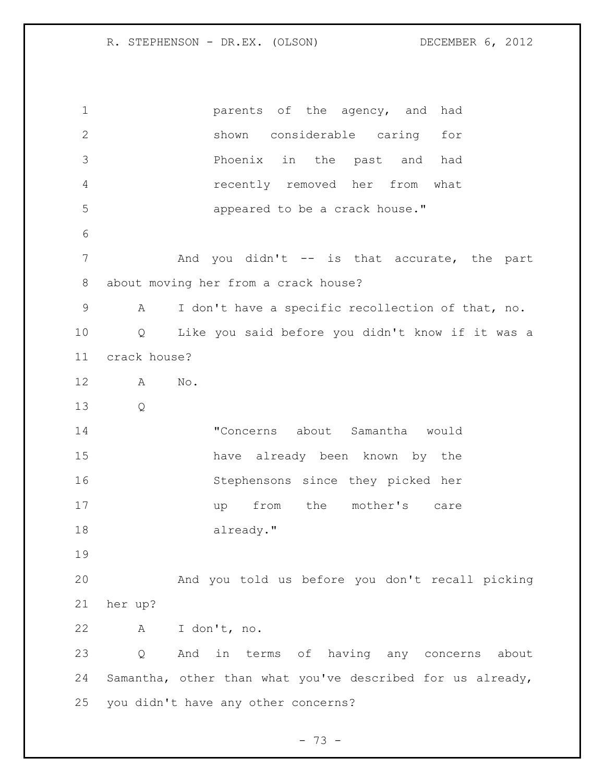**parents** of the agency, and had shown considerable caring for Phoenix in the past and had recently removed her from what appeared to be a crack house." 7 The Mand you didn't -- is that accurate, the part about moving her from a crack house? A I don't have a specific recollection of that, no. Q Like you said before you didn't know if it was a crack house? A No. Q "Concerns about Samantha would have already been known by the Stephensons since they picked her 17 up from the mother's care 18 already." And you told us before you don't recall picking her up? A I don't, no. Q And in terms of having any concerns about Samantha, other than what you've described for us already, you didn't have any other concerns?

- 73 -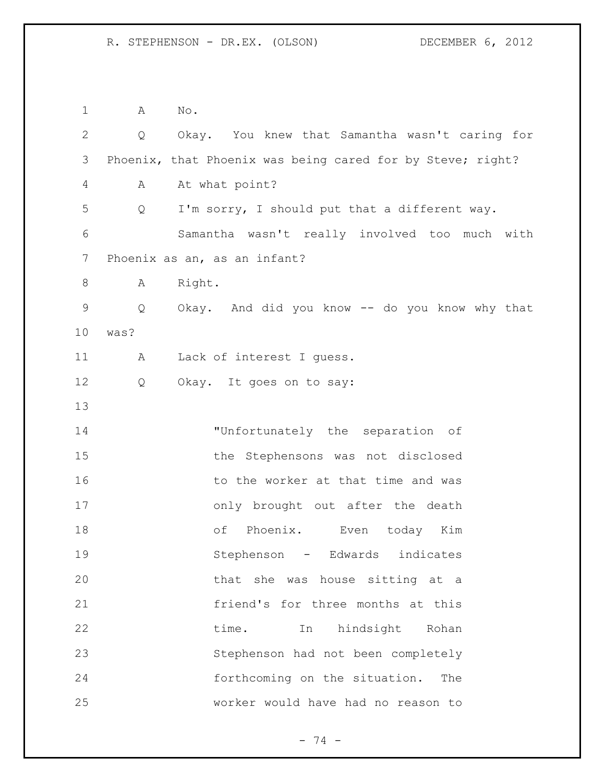A No. Q Okay. You knew that Samantha wasn't caring for Phoenix, that Phoenix was being cared for by Steve; right? A At what point? Q I'm sorry, I should put that a different way. Samantha wasn't really involved too much with Phoenix as an, as an infant? 8 A Right. Q Okay. And did you know -- do you know why that was? 11 A Lack of interest I quess. Q Okay. It goes on to say: "Unfortunately the separation of the Stephensons was not disclosed 16 to the worker at that time and was only brought out after the death of Phoenix. Even today Kim Stephenson - Edwards indicates that she was house sitting at a friend's for three months at this 22 time. In hindsight Rohan Stephenson had not been completely forthcoming on the situation. The worker would have had no reason to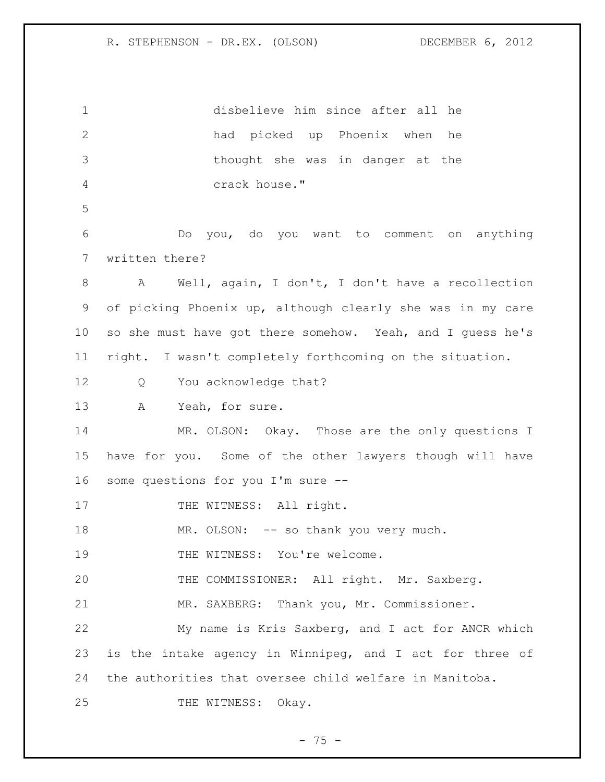disbelieve him since after all he had picked up Phoenix when he thought she was in danger at the crack house." Do you, do you want to comment on anything written there? A Well, again, I don't, I don't have a recollection of picking Phoenix up, although clearly she was in my care so she must have got there somehow. Yeah, and I guess he's right. I wasn't completely forthcoming on the situation. 12 Q You acknowledge that? A Yeah, for sure. 14 MR. OLSON: Okay. Those are the only questions I have for you. Some of the other lawyers though will have some questions for you I'm sure -- 17 THE WITNESS: All right. 18 MR. OLSON: -- so thank you very much. 19 THE WITNESS: You're welcome. THE COMMISSIONER: All right. Mr. Saxberg. MR. SAXBERG: Thank you, Mr. Commissioner. My name is Kris Saxberg, and I act for ANCR which is the intake agency in Winnipeg, and I act for three of the authorities that oversee child welfare in Manitoba. 25 THE WITNESS: Okay.

 $- 75 -$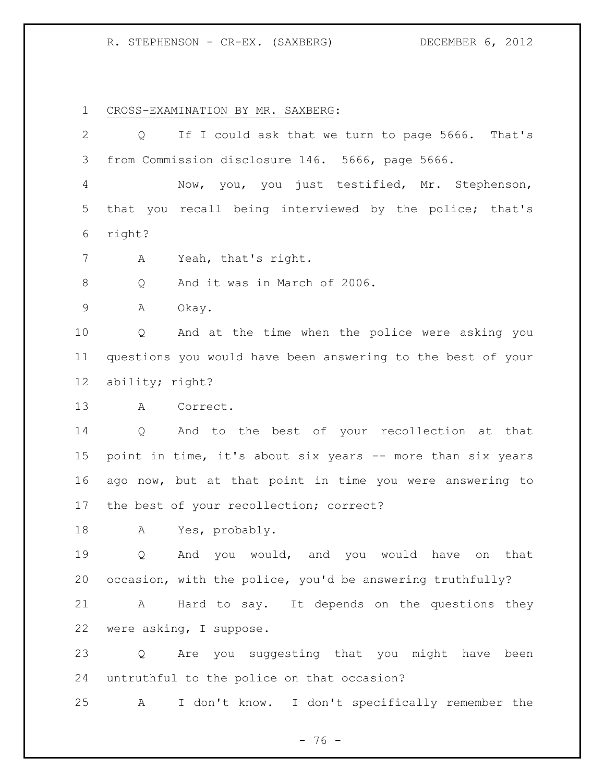CROSS-EXAMINATION BY MR. SAXBERG:

| 2           | Q               | If I could ask that we turn to page 5666. That's             |
|-------------|-----------------|--------------------------------------------------------------|
| 3           |                 | from Commission disclosure 146. 5666, page 5666.             |
| 4           |                 | Now, you, you just testified, Mr. Stephenson,                |
| 5           |                 | that you recall being interviewed by the police; that's      |
| 6           | right?          |                                                              |
| 7           | A               | Yeah, that's right.                                          |
| 8           | Q               | And it was in March of 2006.                                 |
| $\mathsf 9$ | Α               | Okay.                                                        |
| 10          | Q               | And at the time when the police were asking you              |
| 11          |                 | questions you would have been answering to the best of your  |
| $12 \,$     | ability; right? |                                                              |
| 13          | A               | Correct.                                                     |
| 14          | Q               | And to the best of your recollection at that                 |
| 15          |                 | point in time, it's about six years -- more than six years   |
| 16          |                 | ago now, but at that point in time you were answering to     |
| 17          |                 | the best of your recollection; correct?                      |
| 18          | A               | Yes, probably.                                               |
| 19          | Q               | And you would, and you would have<br>that<br>on              |
|             |                 | 20 occasion, with the police, you'd be answering truthfully? |
| 21          | $\mathbf{A}$    | Hard to say. It depends on the questions they                |
| 22          |                 | were asking, I suppose.                                      |
| 23          |                 | Q Are you suggesting that you might have been                |
| 24          |                 | untruthful to the police on that occasion?                   |
| 25          | A               | I don't know. I don't specifically remember the              |

- 76 -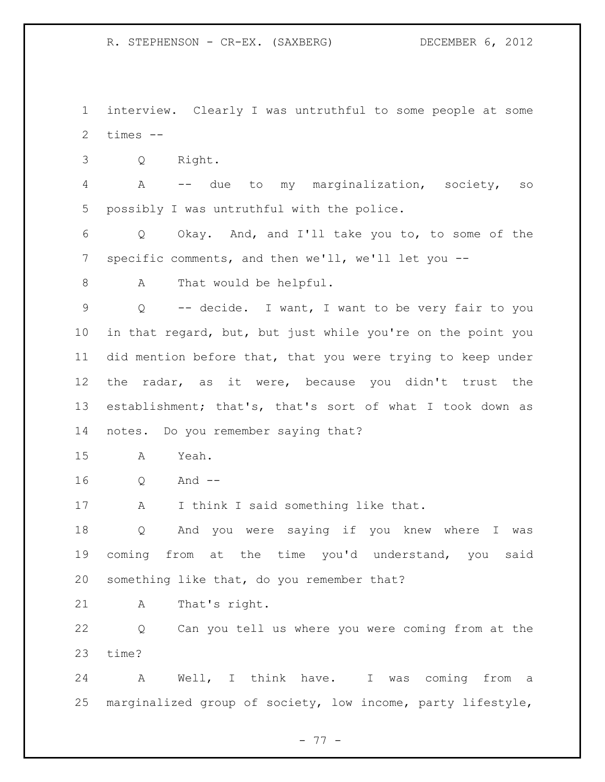interview. Clearly I was untruthful to some people at some times --

Q Right.

 A -- due to my marginalization, society, so possibly I was untruthful with the police.

 Q Okay. And, and I'll take you to, to some of the specific comments, and then we'll, we'll let you --

8 A That would be helpful.

 Q -- decide. I want, I want to be very fair to you in that regard, but, but just while you're on the point you did mention before that, that you were trying to keep under the radar, as it were, because you didn't trust the establishment; that's, that's sort of what I took down as notes. Do you remember saying that?

A Yeah.

Q And --

A I think I said something like that.

 Q And you were saying if you knew where I was coming from at the time you'd understand, you said something like that, do you remember that?

A That's right.

 Q Can you tell us where you were coming from at the time?

 A Well, I think have. I was coming from a marginalized group of society, low income, party lifestyle,

- 77 -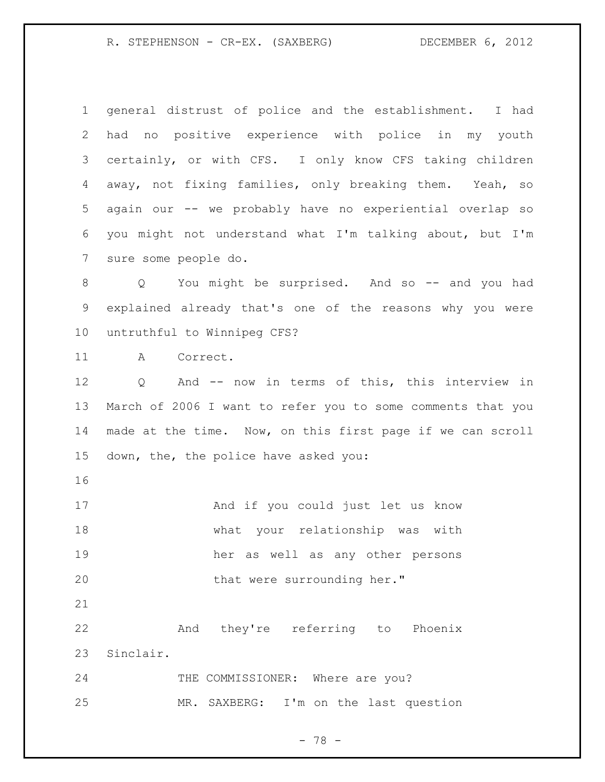general distrust of police and the establishment. I had had no positive experience with police in my youth certainly, or with CFS. I only know CFS taking children away, not fixing families, only breaking them. Yeah, so again our -- we probably have no experiential overlap so you might not understand what I'm talking about, but I'm sure some people do. 8 Q You might be surprised. And so -- and you had explained already that's one of the reasons why you were untruthful to Winnipeg CFS? A Correct. Q And -- now in terms of this, this interview in March of 2006 I want to refer you to some comments that you made at the time. Now, on this first page if we can scroll down, the, the police have asked you: And if you could just let us know what your relationship was with her as well as any other persons 20 that were surrounding her." And they're referring to Phoenix Sinclair. 24 THE COMMISSIONER: Where are you? MR. SAXBERG: I'm on the last question

- 78 -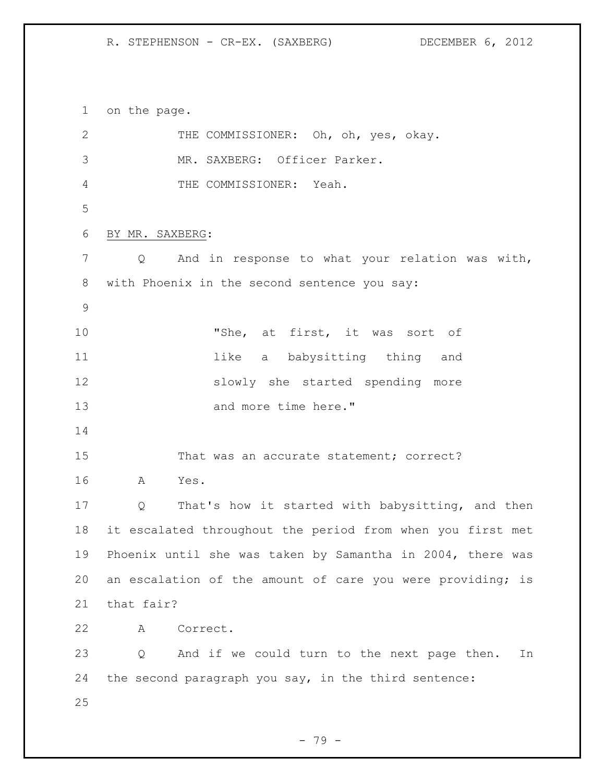on the page. 2 THE COMMISSIONER: Oh, oh, yes, okay. MR. SAXBERG: Officer Parker. THE COMMISSIONER: Yeah. BY MR. SAXBERG: Q And in response to what your relation was with, with Phoenix in the second sentence you say: "She, at first, it was sort of 11 11 like a babysitting thing and slowly she started spending more 13 and more time here." 15 That was an accurate statement; correct? A Yes. Q That's how it started with babysitting, and then it escalated throughout the period from when you first met Phoenix until she was taken by Samantha in 2004, there was 20 an escalation of the amount of care you were providing; is that fair? A Correct. Q And if we could turn to the next page then. In the second paragraph you say, in the third sentence: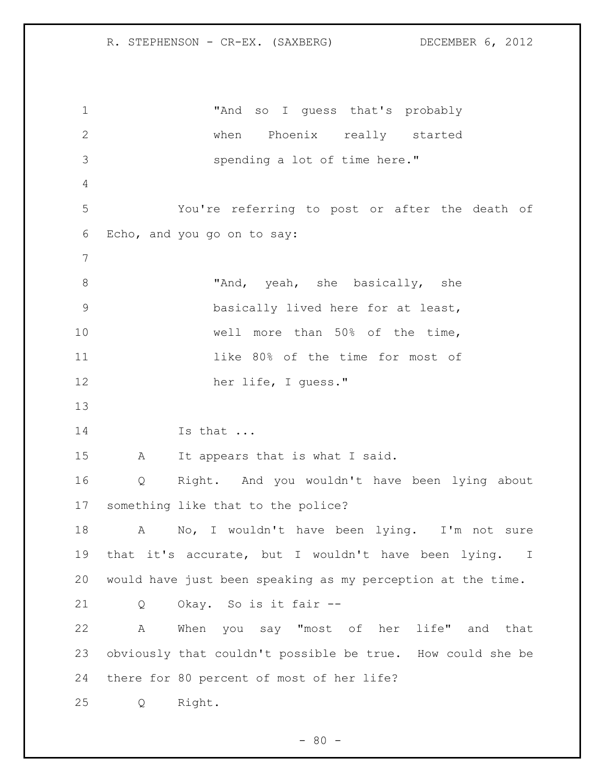"And so I guess that's probably when Phoenix really started spending a lot of time here." You're referring to post or after the death of Echo, and you go on to say: 8 "And, yeah, she basically, she basically lived here for at least, well more than 50% of the time, like 80% of the time for most of her life, I guess." Is that ... A It appears that is what I said. Q Right. And you wouldn't have been lying about something like that to the police? 18 A No, I wouldn't have been lying. I'm not sure that it's accurate, but I wouldn't have been lying. I would have just been speaking as my perception at the time. Q Okay. So is it fair -- A When you say "most of her life" and that obviously that couldn't possible be true. How could she be there for 80 percent of most of her life? Q Right.

 $- 80 -$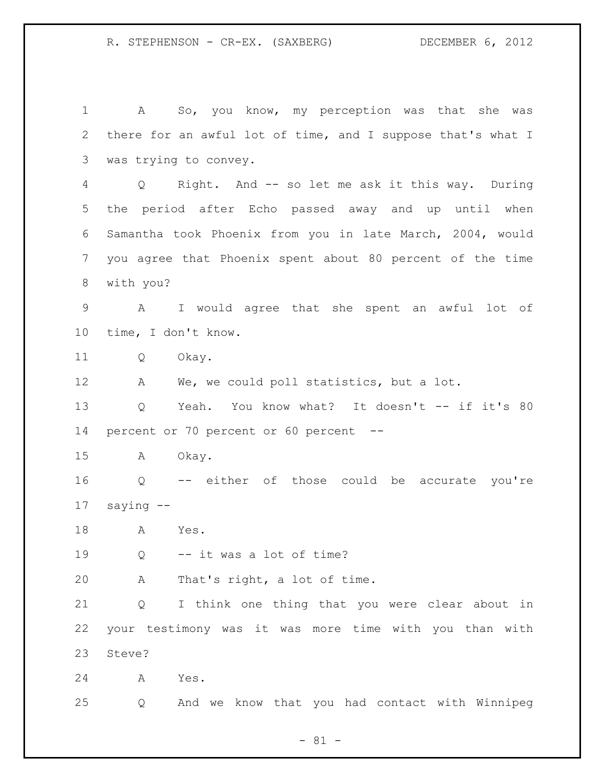A So, you know, my perception was that she was there for an awful lot of time, and I suppose that's what I was trying to convey. Q Right. And -- so let me ask it this way. During the period after Echo passed away and up until when Samantha took Phoenix from you in late March, 2004, would you agree that Phoenix spent about 80 percent of the time with you? A I would agree that she spent an awful lot of time, I don't know. Q Okay. A We, we could poll statistics, but a lot. Q Yeah. You know what? It doesn't -- if it's 80 percent or 70 percent or 60 percent -- A Okay. Q -- either of those could be accurate you're saying -- A Yes. Q -- it was a lot of time? A That's right, a lot of time. Q I think one thing that you were clear about in your testimony was it was more time with you than with Steve? A Yes. Q And we know that you had contact with Winnipeg

- 81 -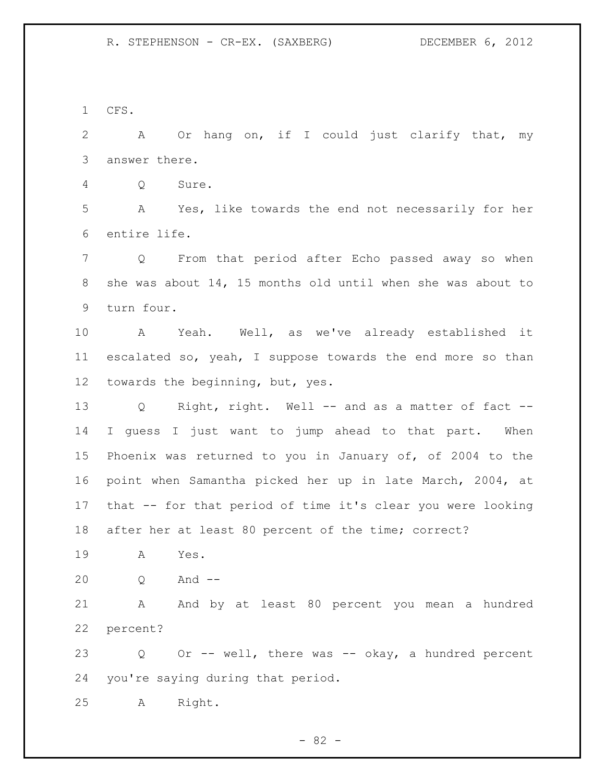CFS.

 A Or hang on, if I could just clarify that, my answer there.

Q Sure.

 A Yes, like towards the end not necessarily for her entire life.

 Q From that period after Echo passed away so when she was about 14, 15 months old until when she was about to turn four.

 A Yeah. Well, as we've already established it escalated so, yeah, I suppose towards the end more so than towards the beginning, but, yes.

 Q Right, right. Well -- and as a matter of fact -- I guess I just want to jump ahead to that part. When Phoenix was returned to you in January of, of 2004 to the point when Samantha picked her up in late March, 2004, at that -- for that period of time it's clear you were looking after her at least 80 percent of the time; correct?

A Yes.

Q And --

 A And by at least 80 percent you mean a hundred percent?

 Q Or -- well, there was -- okay, a hundred percent you're saying during that period.

A Right.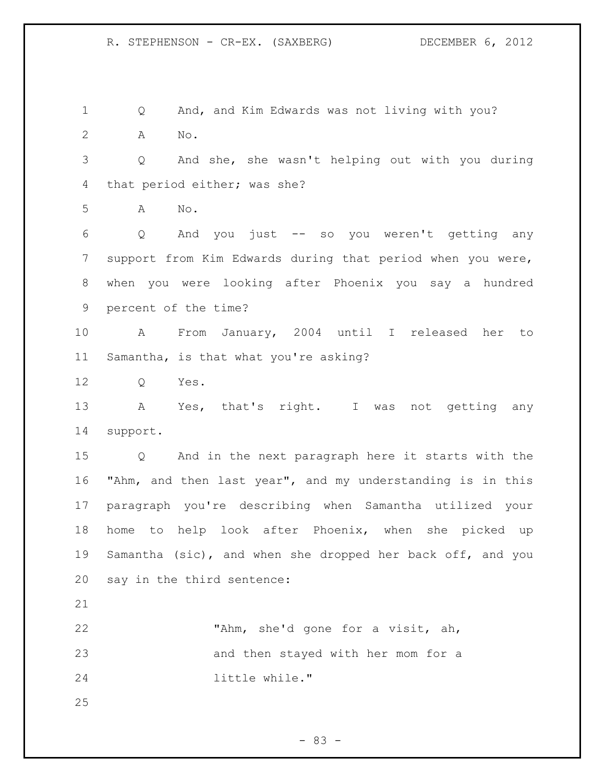Q And, and Kim Edwards was not living with you? A No.

 Q And she, she wasn't helping out with you during that period either; was she?

A No.

 Q And you just -- so you weren't getting any support from Kim Edwards during that period when you were, when you were looking after Phoenix you say a hundred percent of the time?

 A From January, 2004 until I released her to Samantha, is that what you're asking?

Q Yes.

 A Yes, that's right. I was not getting any support.

 Q And in the next paragraph here it starts with the "Ahm, and then last year", and my understanding is in this paragraph you're describing when Samantha utilized your home to help look after Phoenix, when she picked up Samantha (sic), and when she dropped her back off, and you say in the third sentence:

 "Ahm, she'd gone for a visit, ah, and then stayed with her mom for a little while."

- 83 -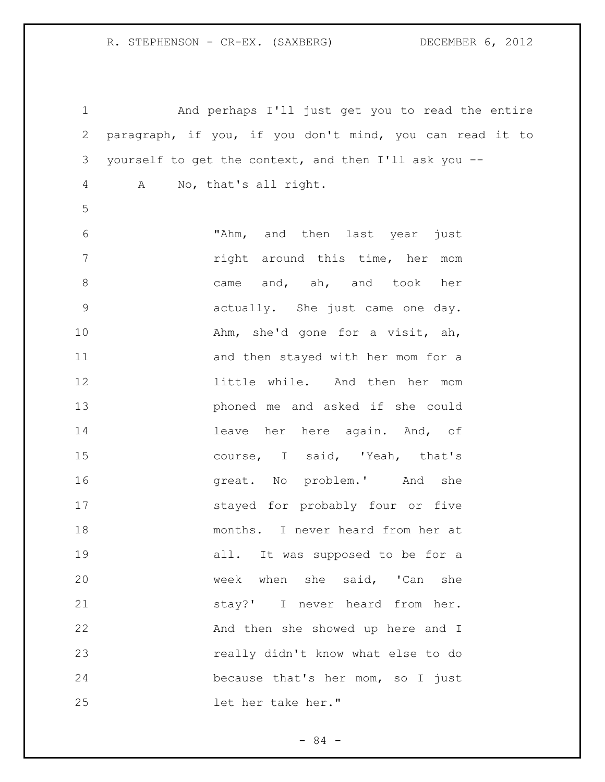And perhaps I'll just get you to read the entire paragraph, if you, if you don't mind, you can read it to yourself to get the context, and then I'll ask you -- A No, that's all right. "Ahm, and then last year just right around this time, her mom 8 came and, ah, and took her actually. She just came one day. 10 Ahm, she'd gone for a visit, ah, and then stayed with her mom for a little while. And then her mom phoned me and asked if she could 14 leave her here again. And, of course, I said, 'Yeah, that's **great.** No problem.' And she stayed for probably four or five months. I never heard from her at 19 all. It was supposed to be for a week when she said, 'Can she stay?' I never heard from her. 22 And then she showed up here and I really didn't know what else to do because that's her mom, so I just let her take her."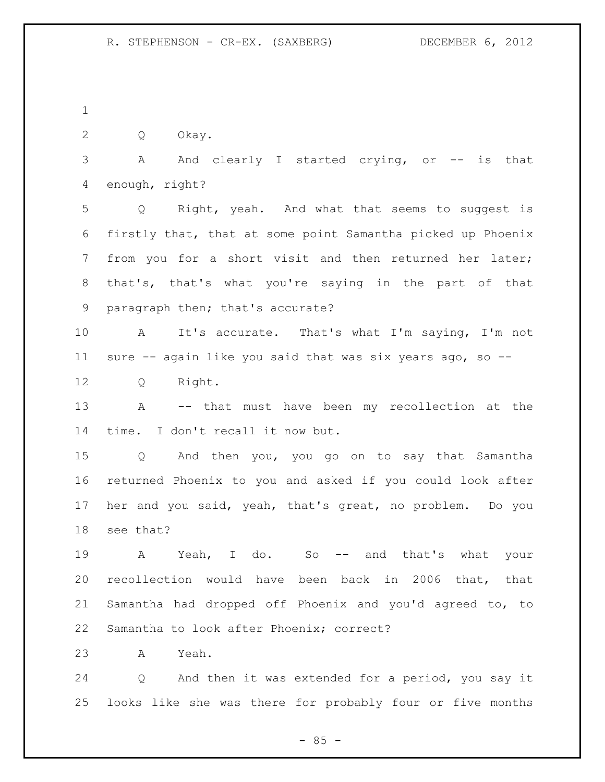Q Okay.

3 A And clearly I started crying, or -- is that enough, right?

 Q Right, yeah. And what that seems to suggest is firstly that, that at some point Samantha picked up Phoenix from you for a short visit and then returned her later; that's, that's what you're saying in the part of that paragraph then; that's accurate?

 A It's accurate. That's what I'm saying, I'm not sure -- again like you said that was six years ago, so --

Q Right.

 A -- that must have been my recollection at the time. I don't recall it now but.

 Q And then you, you go on to say that Samantha returned Phoenix to you and asked if you could look after her and you said, yeah, that's great, no problem. Do you see that?

19 A Yeah, I do. So -- and that's what your recollection would have been back in 2006 that, that Samantha had dropped off Phoenix and you'd agreed to, to Samantha to look after Phoenix; correct?

A Yeah.

 Q And then it was extended for a period, you say it looks like she was there for probably four or five months

 $- 85 -$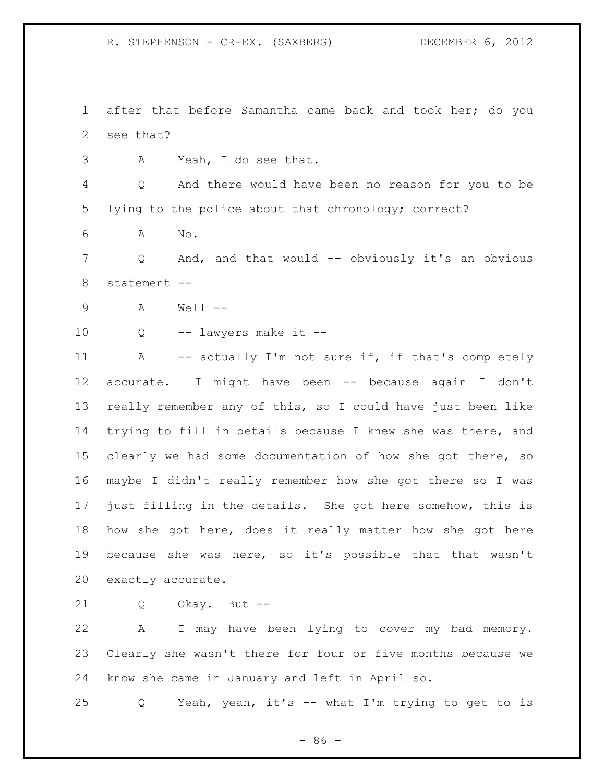after that before Samantha came back and took her; do you see that?

A Yeah, I do see that.

 Q And there would have been no reason for you to be lying to the police about that chronology; correct?

A No.

 Q And, and that would -- obviously it's an obvious statement --

- A Well --
- Q -- lawyers make it --

11 A -- actually I'm not sure if, if that's completely accurate. I might have been -- because again I don't really remember any of this, so I could have just been like trying to fill in details because I knew she was there, and clearly we had some documentation of how she got there, so maybe I didn't really remember how she got there so I was just filling in the details. She got here somehow, this is how she got here, does it really matter how she got here because she was here, so it's possible that that wasn't exactly accurate.

Q Okay. But --

 A I may have been lying to cover my bad memory. Clearly she wasn't there for four or five months because we know she came in January and left in April so.

Q Yeah, yeah, it's -- what I'm trying to get to is

- 86 -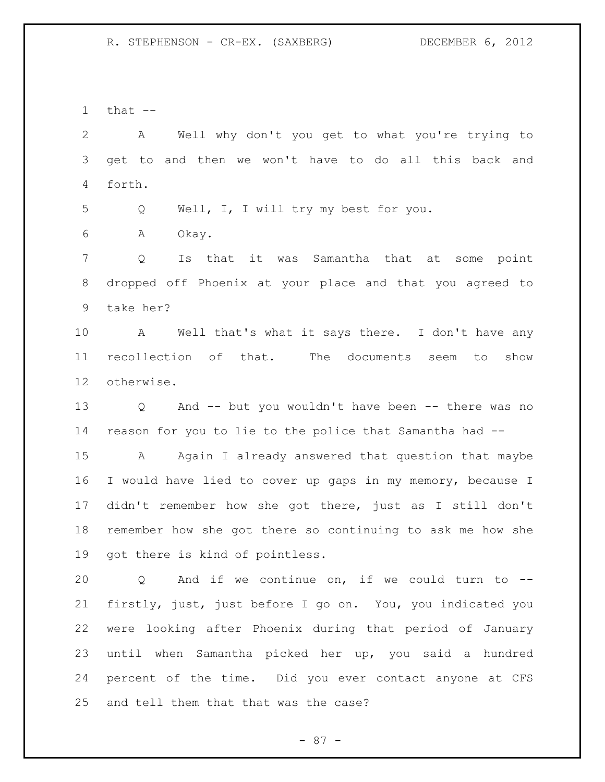that  $-$ 

 A Well why don't you get to what you're trying to get to and then we won't have to do all this back and forth.

Q Well, I, I will try my best for you.

A Okay.

 Q Is that it was Samantha that at some point dropped off Phoenix at your place and that you agreed to take her?

 A Well that's what it says there. I don't have any recollection of that. The documents seem to show otherwise.

 Q And -- but you wouldn't have been -- there was no reason for you to lie to the police that Samantha had --

 A Again I already answered that question that maybe I would have lied to cover up gaps in my memory, because I didn't remember how she got there, just as I still don't remember how she got there so continuing to ask me how she got there is kind of pointless.

 Q And if we continue on, if we could turn to -- firstly, just, just before I go on. You, you indicated you were looking after Phoenix during that period of January until when Samantha picked her up, you said a hundred percent of the time. Did you ever contact anyone at CFS and tell them that that was the case?

- 87 -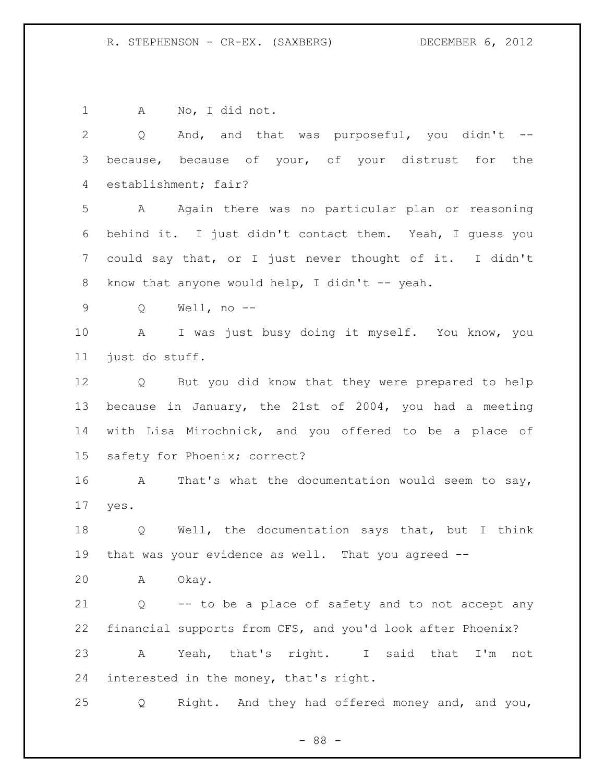A No, I did not. Q And, and that was purposeful, you didn't -- because, because of your, of your distrust for the establishment; fair? A Again there was no particular plan or reasoning behind it. I just didn't contact them. Yeah, I guess you could say that, or I just never thought of it. I didn't 8 know that anyone would help, I didn't -- yeah. Q Well, no -- A I was just busy doing it myself. You know, you just do stuff. Q But you did know that they were prepared to help because in January, the 21st of 2004, you had a meeting with Lisa Mirochnick, and you offered to be a place of safety for Phoenix; correct? A That's what the documentation would seem to say, yes. Q Well, the documentation says that, but I think that was your evidence as well. That you agreed -- A Okay. Q -- to be a place of safety and to not accept any financial supports from CFS, and you'd look after Phoenix? A Yeah, that's right. I said that I'm not interested in the money, that's right. Q Right. And they had offered money and, and you,

- 88 -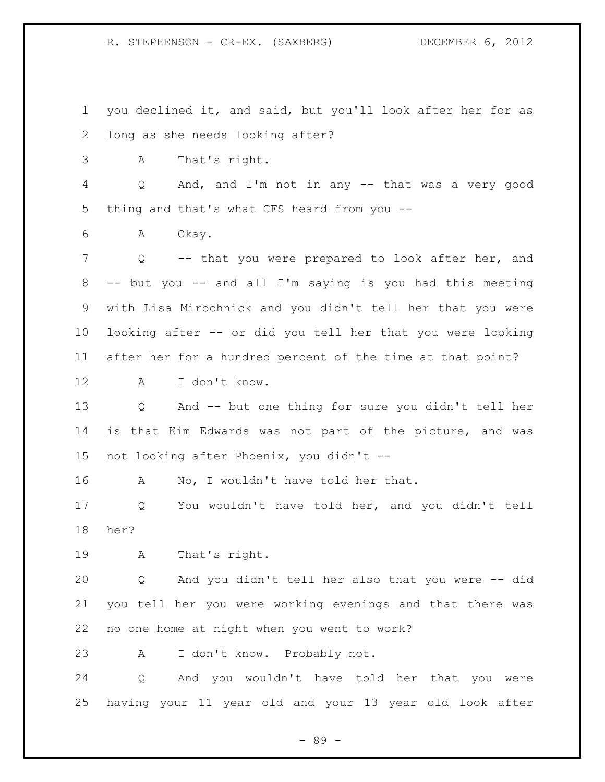you declined it, and said, but you'll look after her for as long as she needs looking after? A That's right. Q And, and I'm not in any -- that was a very good thing and that's what CFS heard from you -- A Okay. Q -- that you were prepared to look after her, and -- but you -- and all I'm saying is you had this meeting with Lisa Mirochnick and you didn't tell her that you were looking after -- or did you tell her that you were looking after her for a hundred percent of the time at that point? A I don't know. Q And -- but one thing for sure you didn't tell her is that Kim Edwards was not part of the picture, and was not looking after Phoenix, you didn't -- 16 A No, I wouldn't have told her that. Q You wouldn't have told her, and you didn't tell her? A That's right. Q And you didn't tell her also that you were -- did you tell her you were working evenings and that there was no one home at night when you went to work? A I don't know. Probably not. Q And you wouldn't have told her that you were having your 11 year old and your 13 year old look after

- 89 -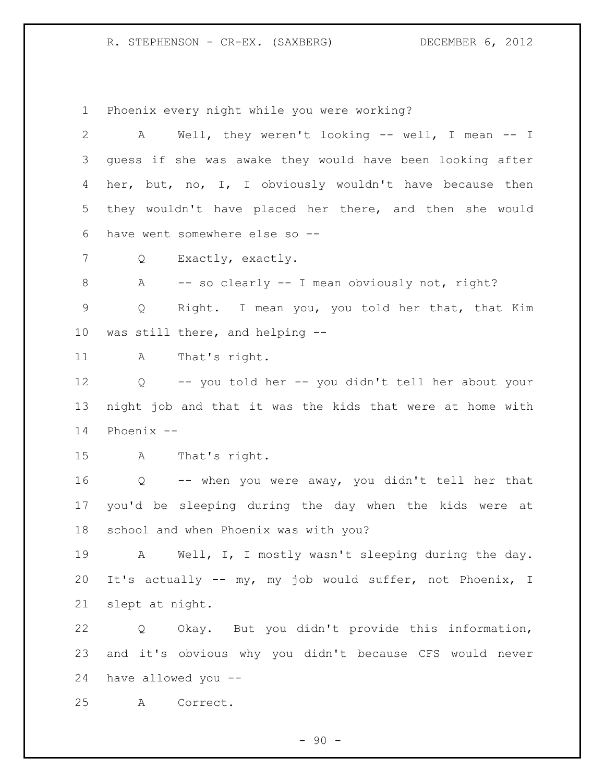Phoenix every night while you were working?

 A Well, they weren't looking -- well, I mean -- I guess if she was awake they would have been looking after her, but, no, I, I obviously wouldn't have because then they wouldn't have placed her there, and then she would have went somewhere else so -- Q Exactly, exactly. 8 A -- so clearly -- I mean obviously not, right? Q Right. I mean you, you told her that, that Kim was still there, and helping -- A That's right. Q -- you told her -- you didn't tell her about your night job and that it was the kids that were at home with Phoenix -- A That's right. Q -- when you were away, you didn't tell her that you'd be sleeping during the day when the kids were at school and when Phoenix was with you? A Well, I, I mostly wasn't sleeping during the day. It's actually -- my, my job would suffer, not Phoenix, I

slept at night.

 Q Okay. But you didn't provide this information, and it's obvious why you didn't because CFS would never have allowed you --

A Correct.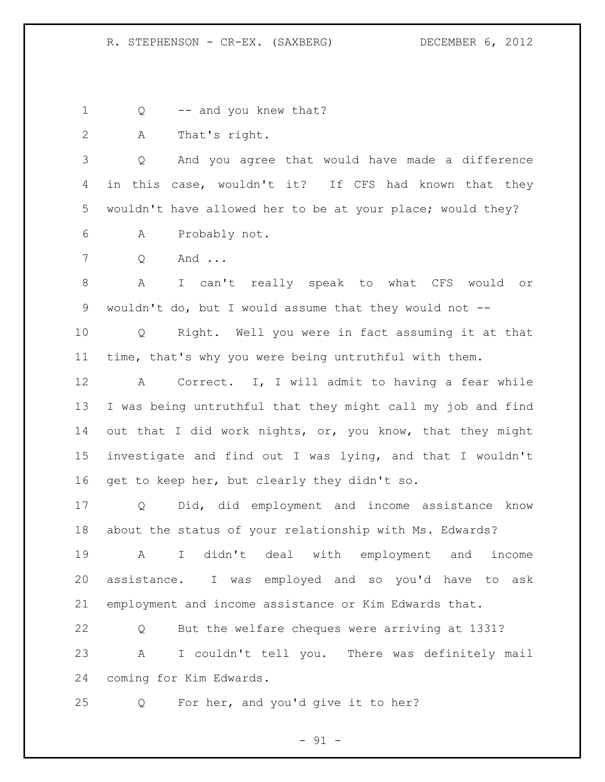1 Q -- and you knew that?

A That's right.

 Q And you agree that would have made a difference in this case, wouldn't it? If CFS had known that they wouldn't have allowed her to be at your place; would they?

A Probably not.

Q And ...

 A I can't really speak to what CFS would or wouldn't do, but I would assume that they would not --

 Q Right. Well you were in fact assuming it at that time, that's why you were being untruthful with them.

 A Correct. I, I will admit to having a fear while I was being untruthful that they might call my job and find 14 out that I did work nights, or, you know, that they might investigate and find out I was lying, and that I wouldn't get to keep her, but clearly they didn't so.

 Q Did, did employment and income assistance know about the status of your relationship with Ms. Edwards?

 A I didn't deal with employment and income assistance. I was employed and so you'd have to ask employment and income assistance or Kim Edwards that.

 Q But the welfare cheques were arriving at 1331? A I couldn't tell you. There was definitely mail coming for Kim Edwards.

Q For her, and you'd give it to her?

- 91 -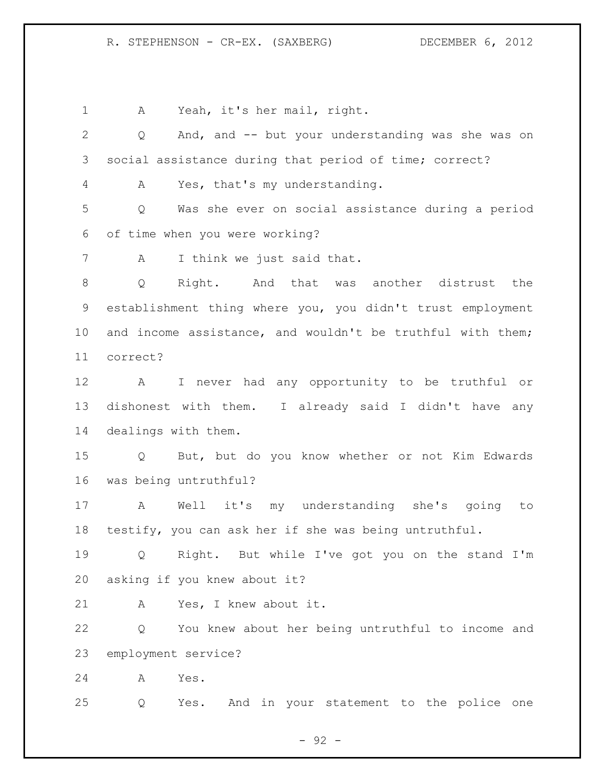A Yeah, it's her mail, right.

 Q And, and -- but your understanding was she was on social assistance during that period of time; correct? A Yes, that's my understanding. Q Was she ever on social assistance during a period of time when you were working? A I think we just said that. Q Right. And that was another distrust the establishment thing where you, you didn't trust employment and income assistance, and wouldn't be truthful with them; correct? A I never had any opportunity to be truthful or dishonest with them. I already said I didn't have any dealings with them. Q But, but do you know whether or not Kim Edwards was being untruthful? A Well it's my understanding she's going to testify, you can ask her if she was being untruthful. Q Right. But while I've got you on the stand I'm asking if you knew about it? A Yes, I knew about it. Q You knew about her being untruthful to income and employment service? A Yes. Q Yes. And in your statement to the police one

- 92 -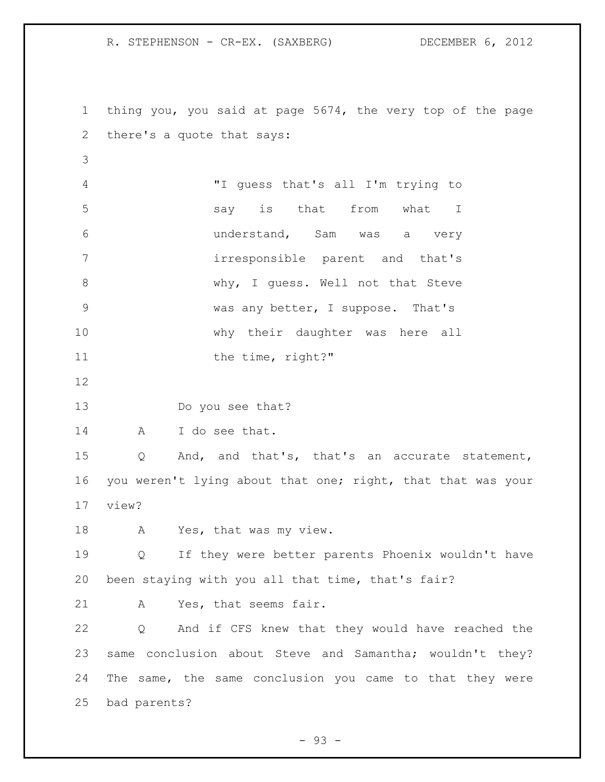thing you, you said at page 5674, the very top of the page there's a quote that says: "I guess that's all I'm trying to say is that from what I understand, Sam was a very irresponsible parent and that's 8 Why, I guess. Well not that Steve was any better, I suppose. That's why their daughter was here all 11 the time, right?" Do you see that? A I do see that. Q And, and that's, that's an accurate statement, 16 you weren't lying about that one; right, that that was your view? 18 A Yes, that was my view. Q If they were better parents Phoenix wouldn't have been staying with you all that time, that's fair? A Yes, that seems fair. Q And if CFS knew that they would have reached the same conclusion about Steve and Samantha; wouldn't they? The same, the same conclusion you came to that they were bad parents?

 $-93 -$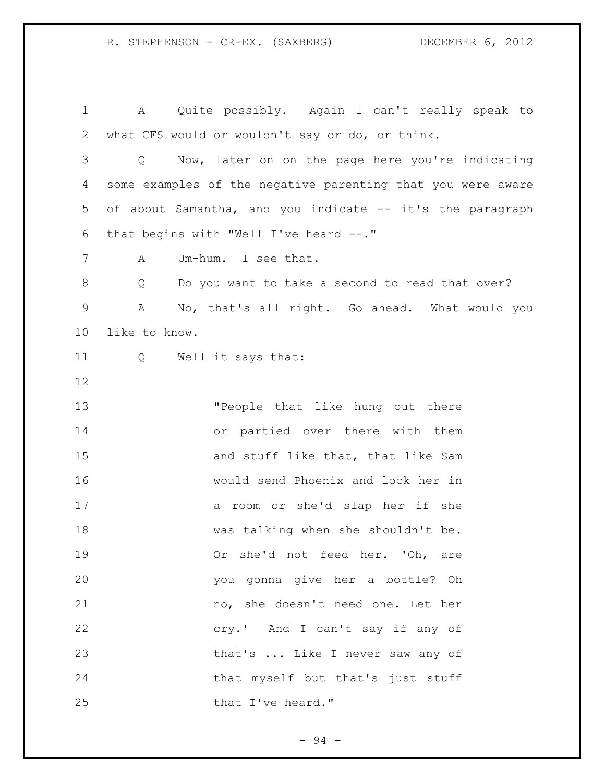A Quite possibly. Again I can't really speak to what CFS would or wouldn't say or do, or think. Q Now, later on on the page here you're indicating some examples of the negative parenting that you were aware of about Samantha, and you indicate -- it's the paragraph that begins with "Well I've heard --." A Um-hum. I see that. 8 O Do you want to take a second to read that over? A No, that's all right. Go ahead. What would you like to know. Q Well it says that: "People that like hung out there or partied over there with them 15 and stuff like that, that like Sam would send Phoenix and lock her in a room or she'd slap her if she was talking when she shouldn't be. Or she'd not feed her. 'Oh, are you gonna give her a bottle? Oh no, she doesn't need one. Let her cry.' And I can't say if any of 23 that's ... Like I never saw any of that myself but that's just stuff 25 that I've heard."

- 94 -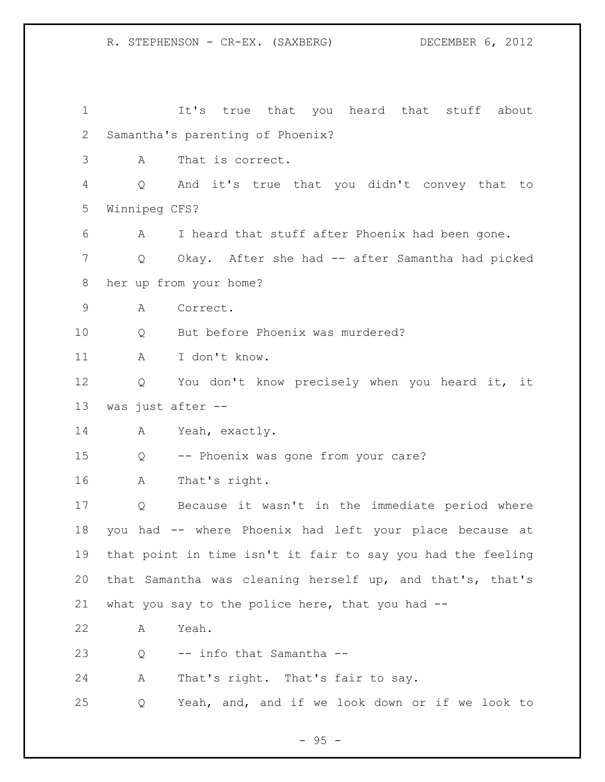It's true that you heard that stuff about Samantha's parenting of Phoenix? A That is correct. Q And it's true that you didn't convey that to Winnipeg CFS? A I heard that stuff after Phoenix had been gone. Q Okay. After she had -- after Samantha had picked her up from your home? A Correct. 10 Q But before Phoenix was murdered? A I don't know. Q You don't know precisely when you heard it, it was just after -- A Yeah, exactly. Q -- Phoenix was gone from your care? A That's right. Q Because it wasn't in the immediate period where you had -- where Phoenix had left your place because at that point in time isn't it fair to say you had the feeling that Samantha was cleaning herself up, and that's, that's what you say to the police here, that you had -- A Yeah. Q -- info that Samantha -- A That's right. That's fair to say. Q Yeah, and, and if we look down or if we look to

- 95 -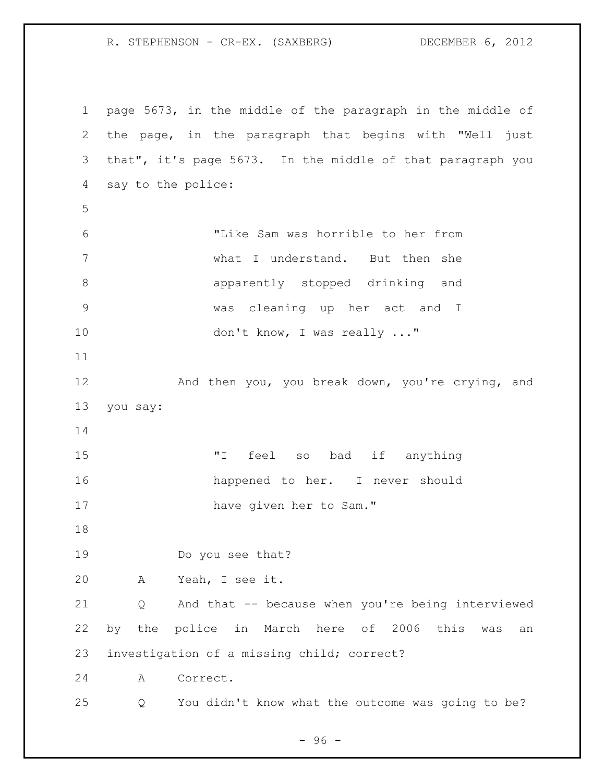page 5673, in the middle of the paragraph in the middle of the page, in the paragraph that begins with "Well just that", it's page 5673. In the middle of that paragraph you say to the police: "Like Sam was horrible to her from what I understand. But then she apparently stopped drinking and was cleaning up her act and I 10 don't know, I was really ..." 12 And then you, you break down, you're crying, and you say: **"**I feel so bad if anything happened to her. I never should 17 have given her to Sam." Do you see that? A Yeah, I see it. Q And that -- because when you're being interviewed by the police in March here of 2006 this was an investigation of a missing child; correct? A Correct. Q You didn't know what the outcome was going to be?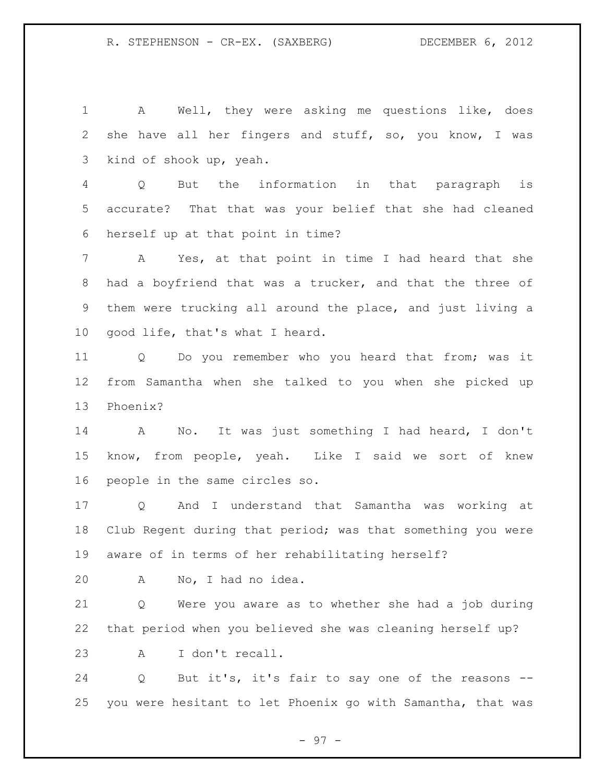A Well, they were asking me questions like, does she have all her fingers and stuff, so, you know, I was kind of shook up, yeah.

 Q But the information in that paragraph is accurate? That that was your belief that she had cleaned herself up at that point in time?

 A Yes, at that point in time I had heard that she had a boyfriend that was a trucker, and that the three of them were trucking all around the place, and just living a good life, that's what I heard.

 Q Do you remember who you heard that from; was it from Samantha when she talked to you when she picked up Phoenix?

 A No. It was just something I had heard, I don't know, from people, yeah. Like I said we sort of knew people in the same circles so.

 Q And I understand that Samantha was working at Club Regent during that period; was that something you were aware of in terms of her rehabilitating herself?

A No, I had no idea.

 Q Were you aware as to whether she had a job during that period when you believed she was cleaning herself up? A I don't recall.

 Q But it's, it's fair to say one of the reasons -- you were hesitant to let Phoenix go with Samantha, that was

- 97 -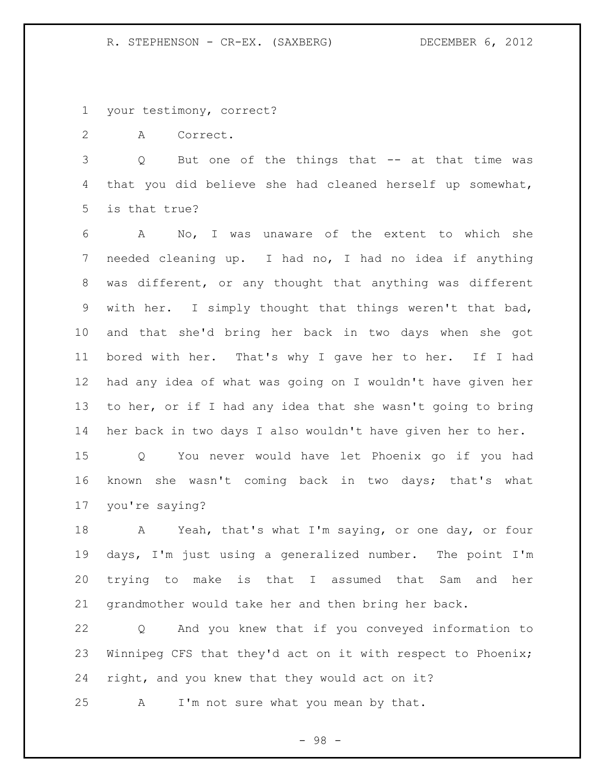your testimony, correct?

A Correct.

 Q But one of the things that -- at that time was that you did believe she had cleaned herself up somewhat, is that true?

 A No, I was unaware of the extent to which she needed cleaning up. I had no, I had no idea if anything was different, or any thought that anything was different with her. I simply thought that things weren't that bad, and that she'd bring her back in two days when she got bored with her. That's why I gave her to her. If I had had any idea of what was going on I wouldn't have given her to her, or if I had any idea that she wasn't going to bring her back in two days I also wouldn't have given her to her.

 Q You never would have let Phoenix go if you had known she wasn't coming back in two days; that's what you're saying?

 A Yeah, that's what I'm saying, or one day, or four days, I'm just using a generalized number. The point I'm trying to make is that I assumed that Sam and her grandmother would take her and then bring her back.

 Q And you knew that if you conveyed information to Winnipeg CFS that they'd act on it with respect to Phoenix; right, and you knew that they would act on it?

A I'm not sure what you mean by that.

- 98 -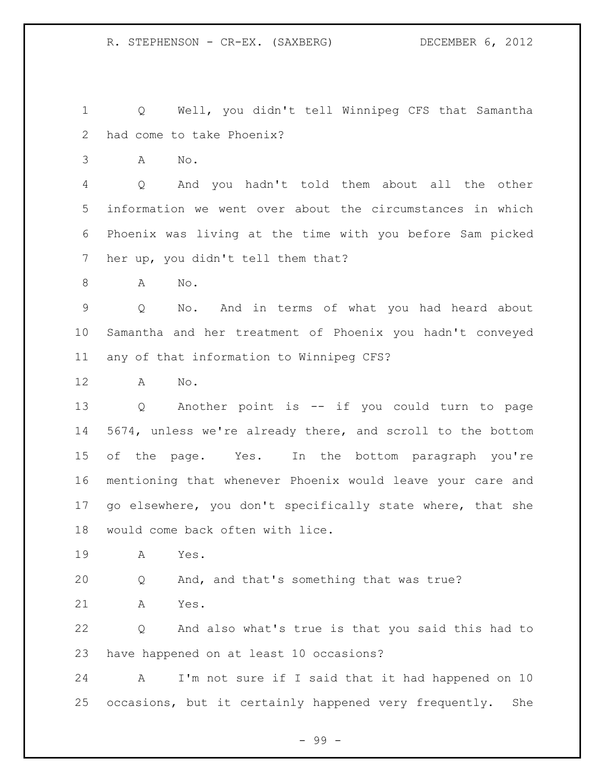Q Well, you didn't tell Winnipeg CFS that Samantha had come to take Phoenix?

A No.

 Q And you hadn't told them about all the other information we went over about the circumstances in which Phoenix was living at the time with you before Sam picked her up, you didn't tell them that?

A No.

 Q No. And in terms of what you had heard about Samantha and her treatment of Phoenix you hadn't conveyed any of that information to Winnipeg CFS?

A No.

 Q Another point is -- if you could turn to page 5674, unless we're already there, and scroll to the bottom of the page. Yes. In the bottom paragraph you're mentioning that whenever Phoenix would leave your care and go elsewhere, you don't specifically state where, that she would come back often with lice.

A Yes.

Q And, and that's something that was true?

A Yes.

 Q And also what's true is that you said this had to have happened on at least 10 occasions?

 A I'm not sure if I said that it had happened on 10 occasions, but it certainly happened very frequently. She

- 99 -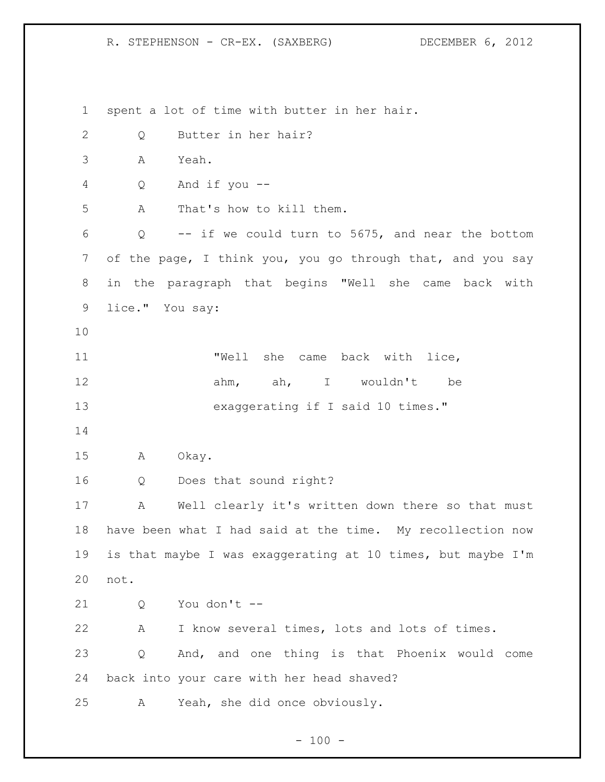spent a lot of time with butter in her hair. Q Butter in her hair? A Yeah. Q And if you -- A That's how to kill them. Q -- if we could turn to 5675, and near the bottom of the page, I think you, you go through that, and you say in the paragraph that begins "Well she came back with lice." You say: "Well she came back with lice, ahm, ah, I wouldn't be 13 exaggerating if I said 10 times." A Okay. Q Does that sound right? A Well clearly it's written down there so that must have been what I had said at the time. My recollection now is that maybe I was exaggerating at 10 times, but maybe I'm not. Q You don't -- A I know several times, lots and lots of times. Q And, and one thing is that Phoenix would come back into your care with her head shaved? A Yeah, she did once obviously.

 $- 100 -$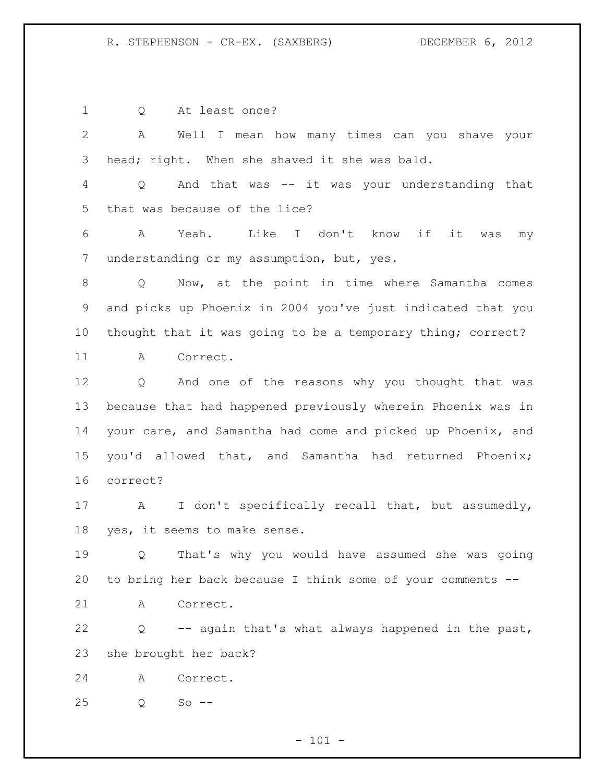| 1            | At least once?<br>Q                                         |
|--------------|-------------------------------------------------------------|
| $\mathbf{2}$ | A<br>Well I mean how many times can you shave your          |
| 3            | head; right. When she shaved it she was bald.               |
| 4            | And that was -- it was your understanding that<br>Q         |
| 5            | that was because of the lice?                               |
| 6            | Like I don't know if<br>Yeah.<br>it<br>A<br>was<br>my       |
| 7            | understanding or my assumption, but, yes.                   |
| 8            | Now, at the point in time where Samantha comes<br>Q         |
| 9            | and picks up Phoenix in 2004 you've just indicated that you |
| 10           | thought that it was going to be a temporary thing; correct? |
| 11           | Correct.<br>A                                               |
| 12           | And one of the reasons why you thought that was<br>Q        |
| 13           | because that had happened previously wherein Phoenix was in |
| 14           | your care, and Samantha had come and picked up Phoenix, and |
| 15           | you'd allowed that, and Samantha had returned Phoenix;      |
| 16           | correct?                                                    |
| 17           | I don't specifically recall that, but assumedly,<br>A       |
| 18           | yes, it seems to make sense.                                |
| 19           | That's why you would have assumed she was going<br>Q        |
| 20           | to bring her back because I think some of your comments --  |
| 21           | Α<br>Correct.                                               |
| 22           | -- again that's what always happened in the past,<br>Q      |
| 23           | she brought her back?                                       |
| 24           | Correct.<br>Α                                               |
| 25           | $So$ --<br>Q                                                |

- 101 -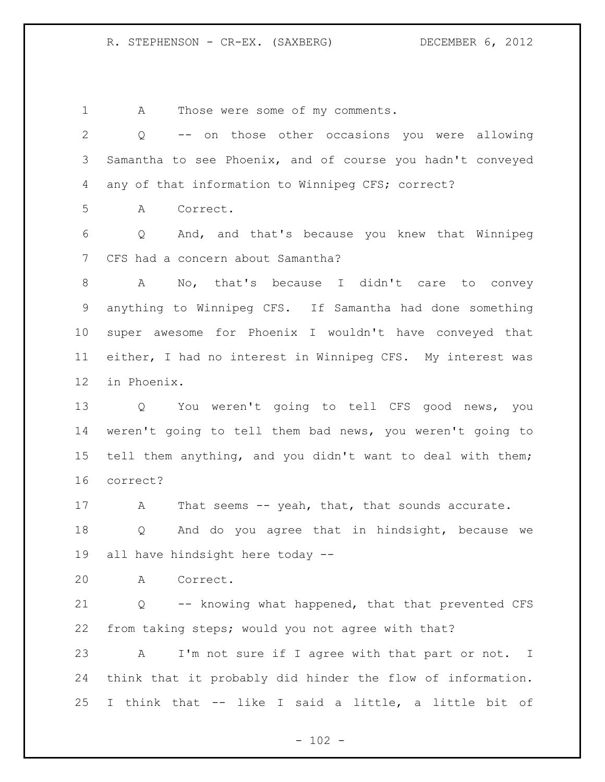A Those were some of my comments.

 Q -- on those other occasions you were allowing Samantha to see Phoenix, and of course you hadn't conveyed any of that information to Winnipeg CFS; correct? A Correct. Q And, and that's because you knew that Winnipeg CFS had a concern about Samantha? A No, that's because I didn't care to convey anything to Winnipeg CFS. If Samantha had done something super awesome for Phoenix I wouldn't have conveyed that either, I had no interest in Winnipeg CFS. My interest was in Phoenix. Q You weren't going to tell CFS good news, you weren't going to tell them bad news, you weren't going to tell them anything, and you didn't want to deal with them; correct? 17 A That seems -- yeah, that, that sounds accurate. Q And do you agree that in hindsight, because we all have hindsight here today -- A Correct. Q -- knowing what happened, that that prevented CFS from taking steps; would you not agree with that? A I'm not sure if I agree with that part or not. I think that it probably did hinder the flow of information. I think that -- like I said a little, a little bit of

 $- 102 -$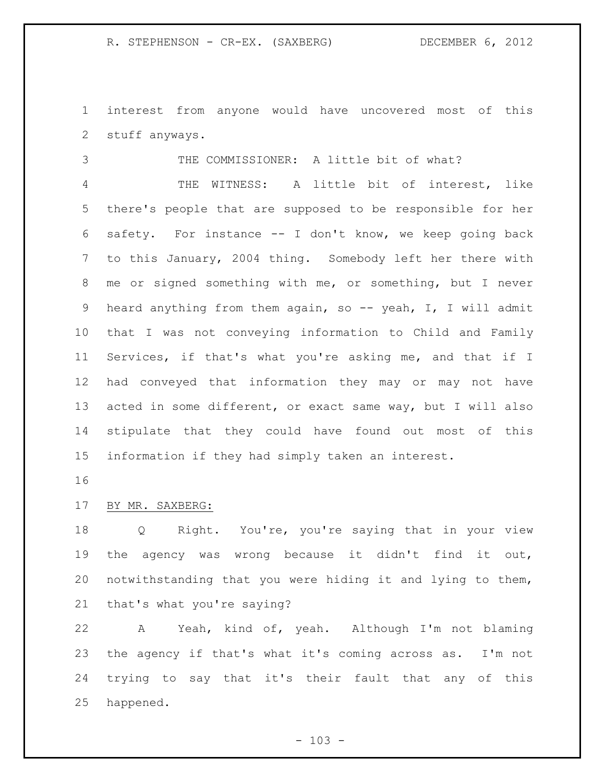interest from anyone would have uncovered most of this stuff anyways.

THE COMMISSIONER: A little bit of what?

 THE WITNESS: A little bit of interest, like there's people that are supposed to be responsible for her safety. For instance -- I don't know, we keep going back to this January, 2004 thing. Somebody left her there with me or signed something with me, or something, but I never 9 heard anything from them again, so -- yeah, I, I will admit that I was not conveying information to Child and Family Services, if that's what you're asking me, and that if I had conveyed that information they may or may not have acted in some different, or exact same way, but I will also stipulate that they could have found out most of this information if they had simply taken an interest.

## BY MR. SAXBERG:

 Q Right. You're, you're saying that in your view the agency was wrong because it didn't find it out, notwithstanding that you were hiding it and lying to them, that's what you're saying?

 A Yeah, kind of, yeah. Although I'm not blaming the agency if that's what it's coming across as. I'm not trying to say that it's their fault that any of this happened.

 $- 103 -$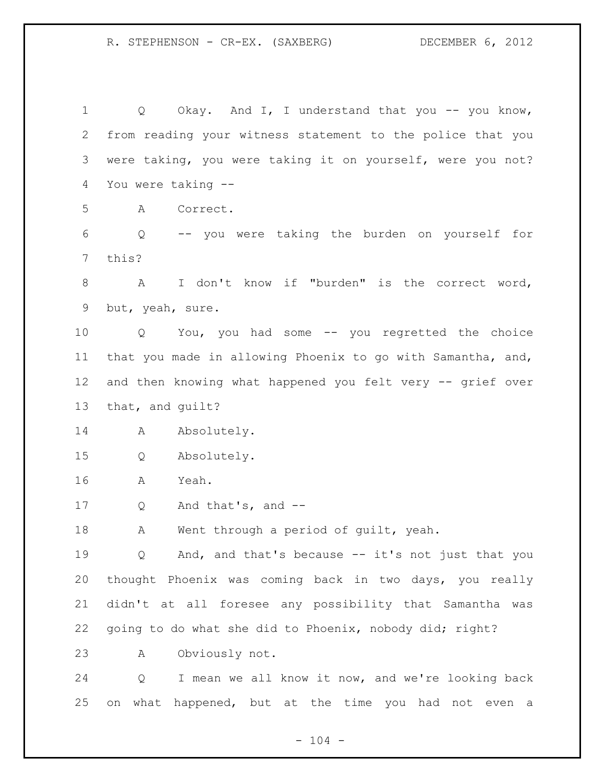1 Q Okay. And I, I understand that you -- you know, from reading your witness statement to the police that you were taking, you were taking it on yourself, were you not? You were taking --

A Correct.

 Q -- you were taking the burden on yourself for this?

 A I don't know if "burden" is the correct word, but, yeah, sure.

 Q You, you had some -- you regretted the choice that you made in allowing Phoenix to go with Samantha, and, and then knowing what happened you felt very -- grief over that, and guilt?

14 Absolutely.

Q Absolutely.

A Yeah.

Q And that's, and --

18 A Went through a period of guilt, yeah.

 Q And, and that's because -- it's not just that you thought Phoenix was coming back in two days, you really didn't at all foresee any possibility that Samantha was going to do what she did to Phoenix, nobody did; right?

A Obviously not.

 Q I mean we all know it now, and we're looking back on what happened, but at the time you had not even a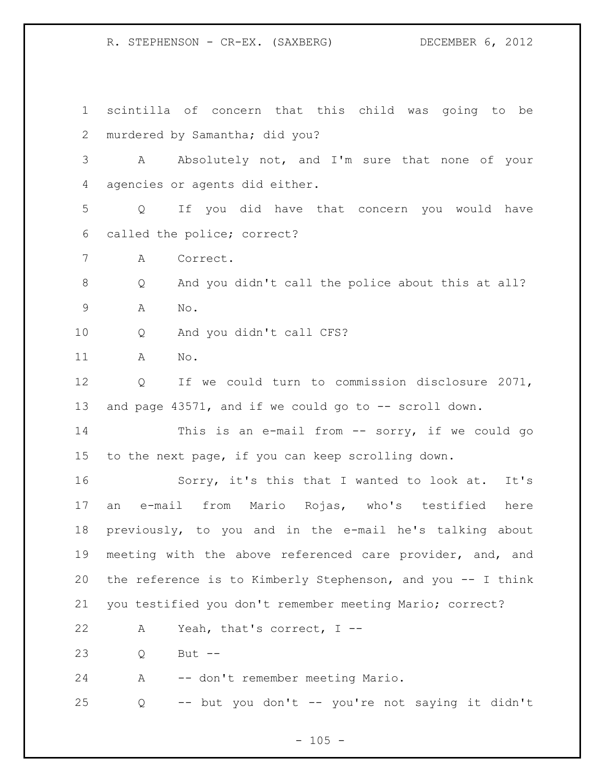scintilla of concern that this child was going to be 2 murdered by Samantha; did you? A Absolutely not, and I'm sure that none of your agencies or agents did either. Q If you did have that concern you would have called the police; correct? A Correct. Q And you didn't call the police about this at all? A No. Q And you didn't call CFS? A No. Q If we could turn to commission disclosure 2071, 13 and page 43571, and if we could go to -- scroll down. This is an e-mail from -- sorry, if we could go to the next page, if you can keep scrolling down. Sorry, it's this that I wanted to look at. It's an e-mail from Mario Rojas, who's testified here previously, to you and in the e-mail he's talking about meeting with the above referenced care provider, and, and the reference is to Kimberly Stephenson, and you -- I think you testified you don't remember meeting Mario; correct? A Yeah, that's correct, I -- Q But -- A -- don't remember meeting Mario. Q -- but you don't -- you're not saying it didn't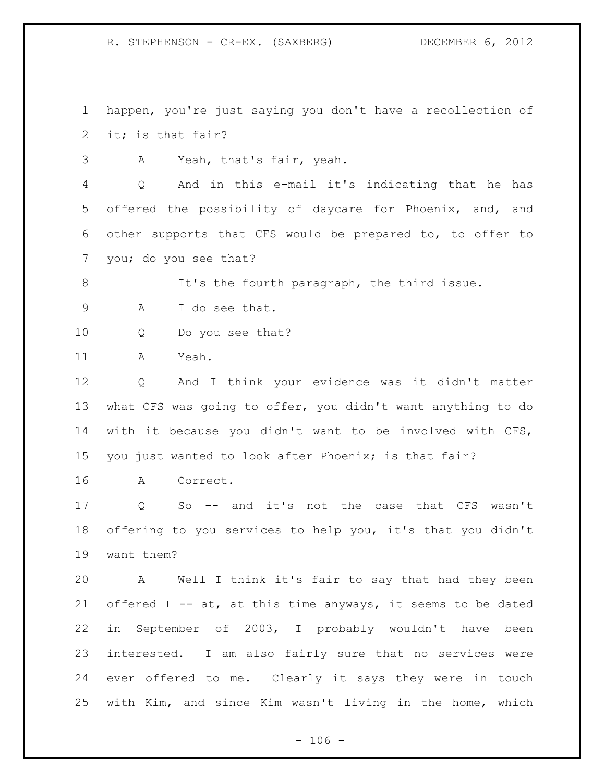happen, you're just saying you don't have a recollection of it; is that fair?

A Yeah, that's fair, yeah.

 Q And in this e-mail it's indicating that he has offered the possibility of daycare for Phoenix, and, and other supports that CFS would be prepared to, to offer to you; do you see that?

8 It's the fourth paragraph, the third issue. A I do see that.

Q Do you see that?

A Yeah.

 Q And I think your evidence was it didn't matter what CFS was going to offer, you didn't want anything to do with it because you didn't want to be involved with CFS, you just wanted to look after Phoenix; is that fair?

A Correct.

 Q So -- and it's not the case that CFS wasn't offering to you services to help you, it's that you didn't want them?

 A Well I think it's fair to say that had they been offered I -- at, at this time anyways, it seems to be dated in September of 2003, I probably wouldn't have been interested. I am also fairly sure that no services were ever offered to me. Clearly it says they were in touch with Kim, and since Kim wasn't living in the home, which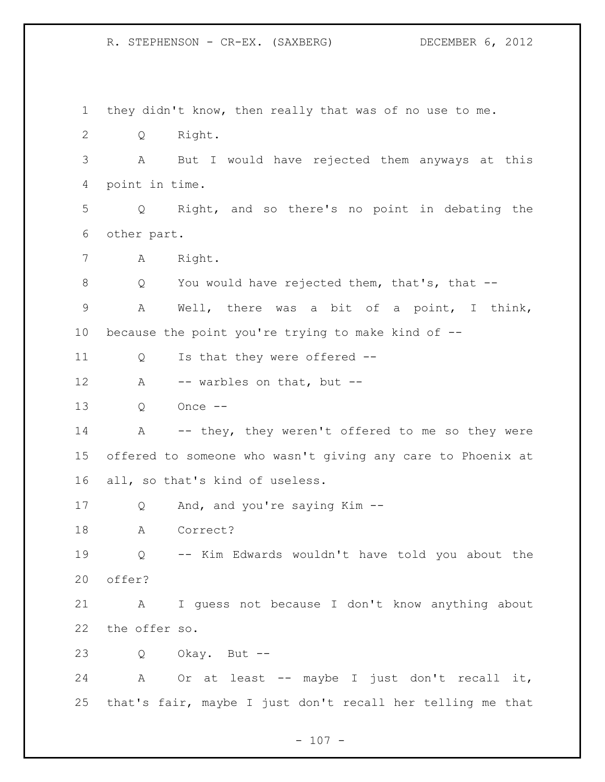they didn't know, then really that was of no use to me. Q Right. A But I would have rejected them anyways at this point in time. Q Right, and so there's no point in debating the other part. A Right. 8 Q You would have rejected them, that's, that -- A Well, there was a bit of a point, I think, because the point you're trying to make kind of -- 11 Q Is that they were offered --12 A -- warbles on that, but -- Q Once -- A -- they, they weren't offered to me so they were offered to someone who wasn't giving any care to Phoenix at all, so that's kind of useless. Q And, and you're saying Kim -- A Correct? Q -- Kim Edwards wouldn't have told you about the offer? A I guess not because I don't know anything about the offer so. Q Okay. But -- A Or at least -- maybe I just don't recall it, that's fair, maybe I just don't recall her telling me that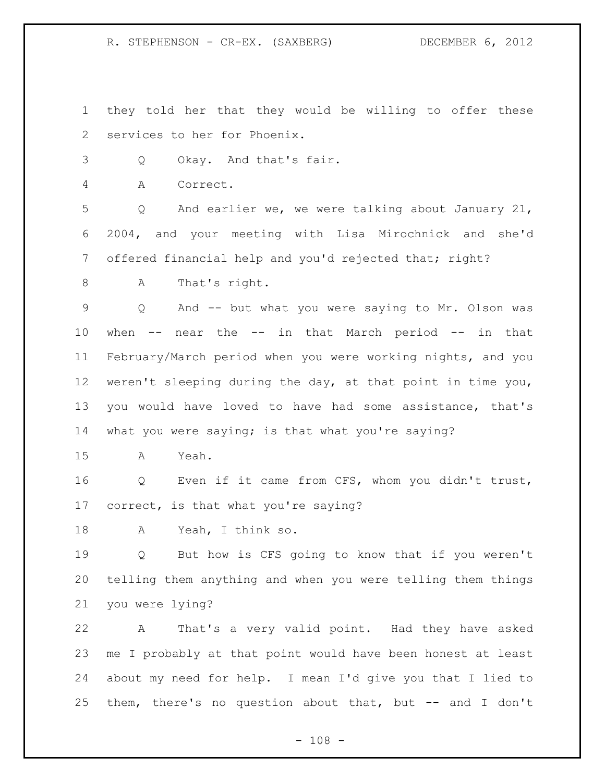they told her that they would be willing to offer these services to her for Phoenix.

Q Okay. And that's fair.

A Correct.

 Q And earlier we, we were talking about January 21, 2004, and your meeting with Lisa Mirochnick and she'd 7 offered financial help and you'd rejected that; right?

A That's right.

 Q And -- but what you were saying to Mr. Olson was when -- near the -- in that March period -- in that February/March period when you were working nights, and you weren't sleeping during the day, at that point in time you, you would have loved to have had some assistance, that's what you were saying; is that what you're saying?

A Yeah.

 Q Even if it came from CFS, whom you didn't trust, correct, is that what you're saying?

A Yeah, I think so.

 Q But how is CFS going to know that if you weren't telling them anything and when you were telling them things you were lying?

 A That's a very valid point. Had they have asked me I probably at that point would have been honest at least about my need for help. I mean I'd give you that I lied to them, there's no question about that, but -- and I don't

 $- 108 -$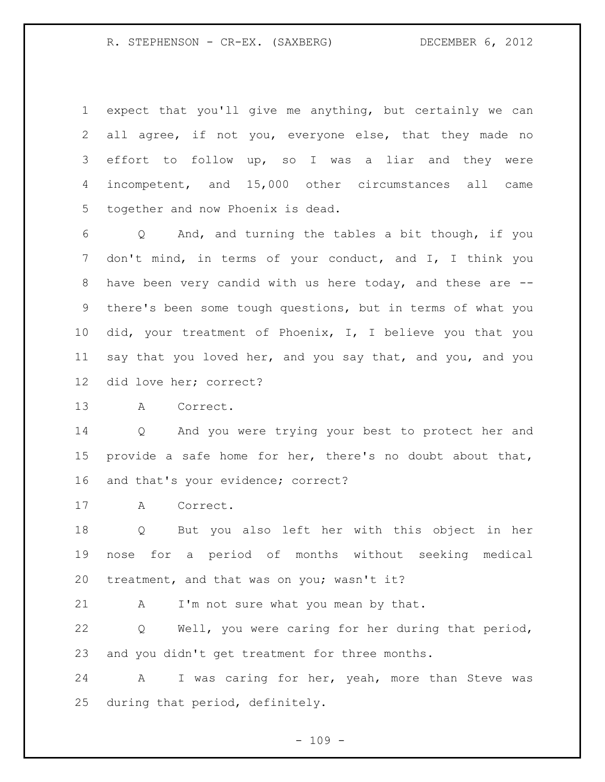R. STEPHENSON - CR-EX. (SAXBERG) DECEMBER 6, 2012

 expect that you'll give me anything, but certainly we can all agree, if not you, everyone else, that they made no effort to follow up, so I was a liar and they were incompetent, and 15,000 other circumstances all came together and now Phoenix is dead.

 Q And, and turning the tables a bit though, if you don't mind, in terms of your conduct, and I, I think you have been very candid with us here today, and these are -- there's been some tough questions, but in terms of what you did, your treatment of Phoenix, I, I believe you that you say that you loved her, and you say that, and you, and you did love her; correct?

A Correct.

 Q And you were trying your best to protect her and provide a safe home for her, there's no doubt about that, and that's your evidence; correct?

A Correct.

 Q But you also left her with this object in her nose for a period of months without seeking medical treatment, and that was on you; wasn't it?

21 A I'm not sure what you mean by that.

 Q Well, you were caring for her during that period, and you didn't get treatment for three months.

 A I was caring for her, yeah, more than Steve was during that period, definitely.

- 109 -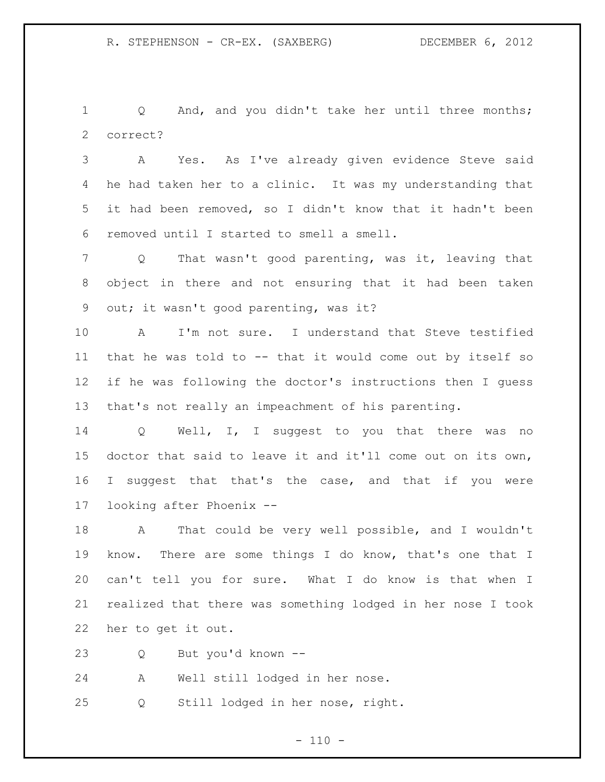Q And, and you didn't take her until three months; correct?

 A Yes. As I've already given evidence Steve said he had taken her to a clinic. It was my understanding that it had been removed, so I didn't know that it hadn't been removed until I started to smell a smell.

 Q That wasn't good parenting, was it, leaving that object in there and not ensuring that it had been taken out; it wasn't good parenting, was it?

 A I'm not sure. I understand that Steve testified that he was told to -- that it would come out by itself so if he was following the doctor's instructions then I guess that's not really an impeachment of his parenting.

 Q Well, I, I suggest to you that there was no doctor that said to leave it and it'll come out on its own, 16 I suggest that that's the case, and that if you were looking after Phoenix --

 A That could be very well possible, and I wouldn't know. There are some things I do know, that's one that I can't tell you for sure. What I do know is that when I realized that there was something lodged in her nose I took her to get it out.

Q But you'd known --

A Well still lodged in her nose.

Q Still lodged in her nose, right.

 $- 110 -$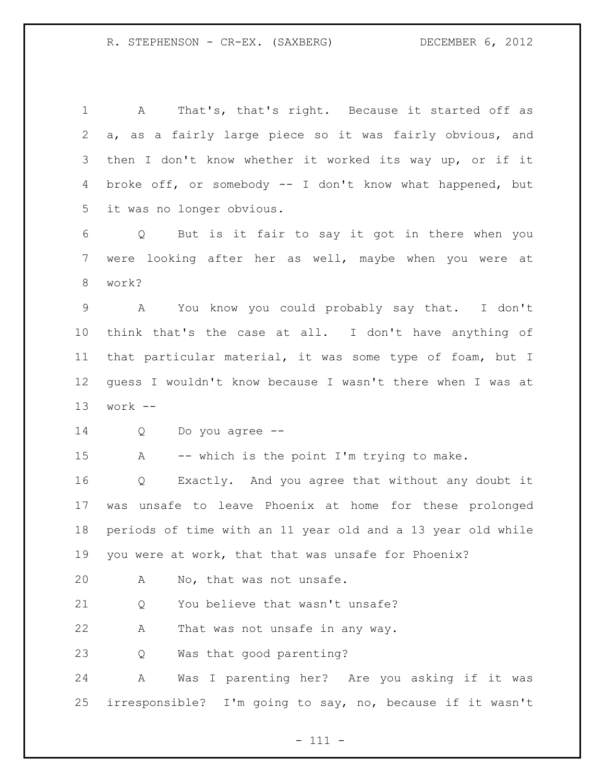A That's, that's right. Because it started off as a, as a fairly large piece so it was fairly obvious, and then I don't know whether it worked its way up, or if it broke off, or somebody -- I don't know what happened, but it was no longer obvious.

 Q But is it fair to say it got in there when you were looking after her as well, maybe when you were at work?

 A You know you could probably say that. I don't think that's the case at all. I don't have anything of that particular material, it was some type of foam, but I guess I wouldn't know because I wasn't there when I was at work --

Q Do you agree --

A -- which is the point I'm trying to make.

 Q Exactly. And you agree that without any doubt it was unsafe to leave Phoenix at home for these prolonged periods of time with an 11 year old and a 13 year old while you were at work, that that was unsafe for Phoenix?

A No, that was not unsafe.

21 O You believe that wasn't unsafe?

A That was not unsafe in any way.

Q Was that good parenting?

 A Was I parenting her? Are you asking if it was irresponsible? I'm going to say, no, because if it wasn't

- 111 -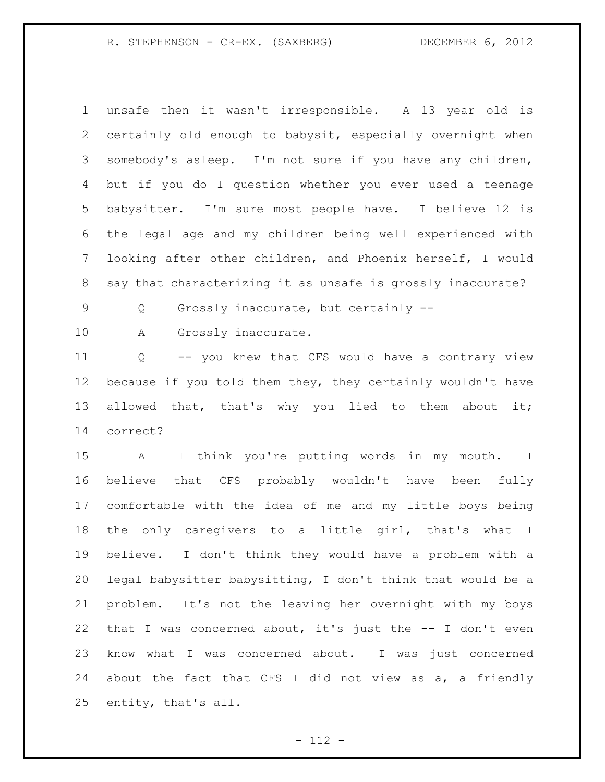R. STEPHENSON - CR-EX. (SAXBERG) DECEMBER 6, 2012

 unsafe then it wasn't irresponsible. A 13 year old is certainly old enough to babysit, especially overnight when somebody's asleep. I'm not sure if you have any children, but if you do I question whether you ever used a teenage babysitter. I'm sure most people have. I believe 12 is the legal age and my children being well experienced with looking after other children, and Phoenix herself, I would say that characterizing it as unsafe is grossly inaccurate?

Q Grossly inaccurate, but certainly --

10 A Grossly inaccurate.

 Q -- you knew that CFS would have a contrary view because if you told them they, they certainly wouldn't have 13 allowed that, that's why you lied to them about it; correct?

 A I think you're putting words in my mouth. I believe that CFS probably wouldn't have been fully comfortable with the idea of me and my little boys being the only caregivers to a little girl, that's what I believe. I don't think they would have a problem with a legal babysitter babysitting, I don't think that would be a problem. It's not the leaving her overnight with my boys that I was concerned about, it's just the -- I don't even know what I was concerned about. I was just concerned about the fact that CFS I did not view as a, a friendly entity, that's all.

- 112 -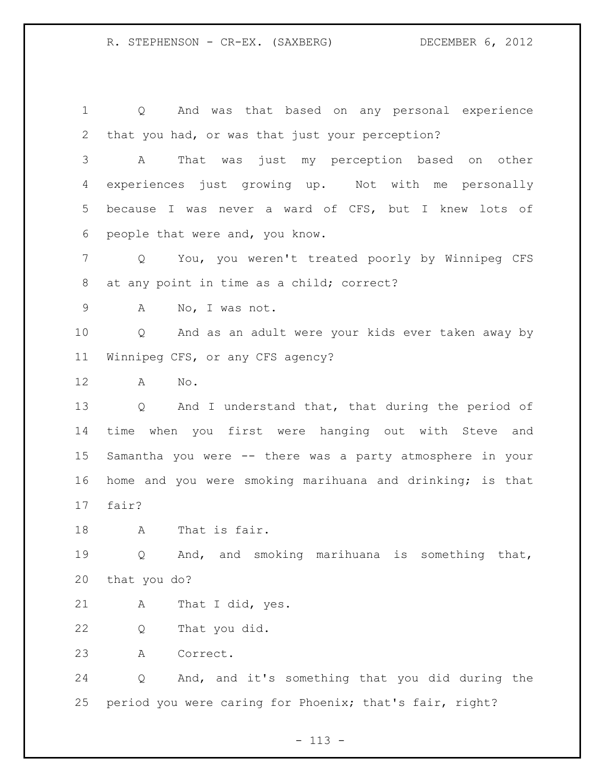R. STEPHENSON - CR-EX. (SAXBERG) DECEMBER 6, 2012

 Q And was that based on any personal experience that you had, or was that just your perception? A That was just my perception based on other experiences just growing up. Not with me personally because I was never a ward of CFS, but I knew lots of people that were and, you know. Q You, you weren't treated poorly by Winnipeg CFS at any point in time as a child; correct? A No, I was not. Q And as an adult were your kids ever taken away by Winnipeg CFS, or any CFS agency? A No. Q And I understand that, that during the period of time when you first were hanging out with Steve and Samantha you were -- there was a party atmosphere in your home and you were smoking marihuana and drinking; is that fair? A That is fair. Q And, and smoking marihuana is something that, that you do? A That I did, yes. Q That you did. A Correct. Q And, and it's something that you did during the period you were caring for Phoenix; that's fair, right?

- 113 -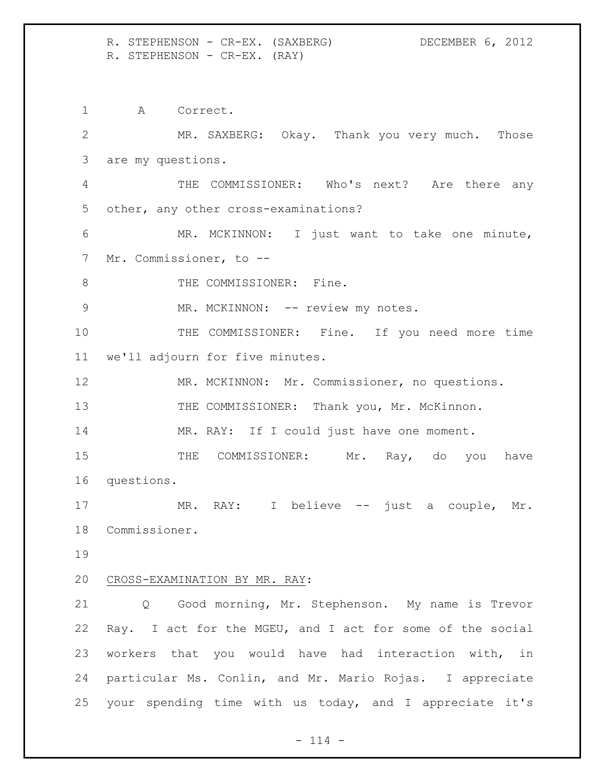R. STEPHENSON - CR-EX. (SAXBERG) DECEMBER 6, 2012 R. STEPHENSON - CR-EX. (RAY)

 A Correct. MR. SAXBERG: Okay. Thank you very much. Those are my questions. THE COMMISSIONER: Who's next? Are there any other, any other cross-examinations? MR. MCKINNON: I just want to take one minute, Mr. Commissioner, to -- 8 THE COMMISSIONER: Fine. 9 MR. MCKINNON: -- review my notes. 10 THE COMMISSIONER: Fine. If you need more time we'll adjourn for five minutes. MR. MCKINNON: Mr. Commissioner, no questions. 13 THE COMMISSIONER: Thank you, Mr. McKinnon. 14 MR. RAY: If I could just have one moment. 15 THE COMMISSIONER: Mr. Ray, do you have questions. 17 MR. RAY: I believe -- just a couple, Mr. Commissioner. CROSS-EXAMINATION BY MR. RAY: 21 Q Good morning, Mr. Stephenson. My name is Trevor Ray. I act for the MGEU, and I act for some of the social workers that you would have had interaction with, in particular Ms. Conlin, and Mr. Mario Rojas. I appreciate your spending time with us today, and I appreciate it's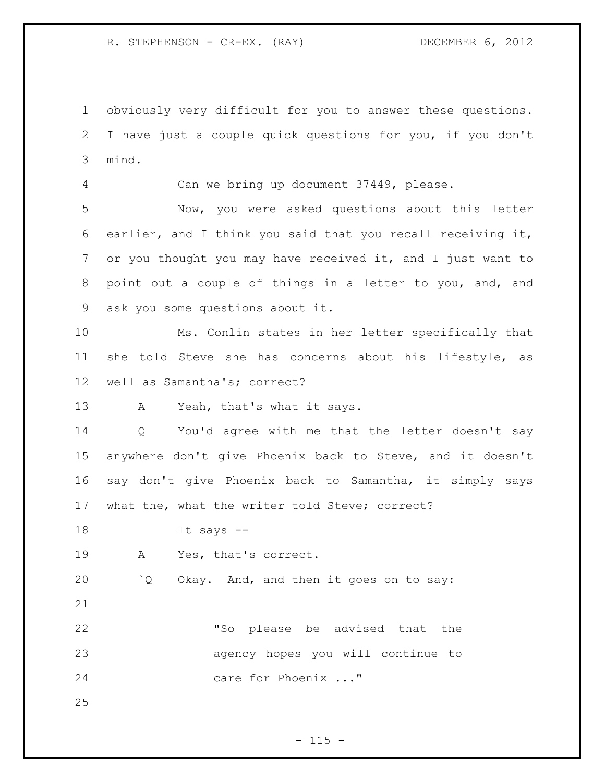R. STEPHENSON - CR-EX. (RAY) DECEMBER 6, 2012

 obviously very difficult for you to answer these questions. I have just a couple quick questions for you, if you don't mind.

Can we bring up document 37449, please.

 Now, you were asked questions about this letter earlier, and I think you said that you recall receiving it, or you thought you may have received it, and I just want to point out a couple of things in a letter to you, and, and ask you some questions about it.

 Ms. Conlin states in her letter specifically that she told Steve she has concerns about his lifestyle, as well as Samantha's; correct?

A Yeah, that's what it says.

 Q You'd agree with me that the letter doesn't say anywhere don't give Phoenix back to Steve, and it doesn't say don't give Phoenix back to Samantha, it simply says what the, what the writer told Steve; correct?

It says --

A Yes, that's correct.

`Q Okay. And, and then it goes on to say:

 "So please be advised that the agency hopes you will continue to care for Phoenix ..."

 $- 115 -$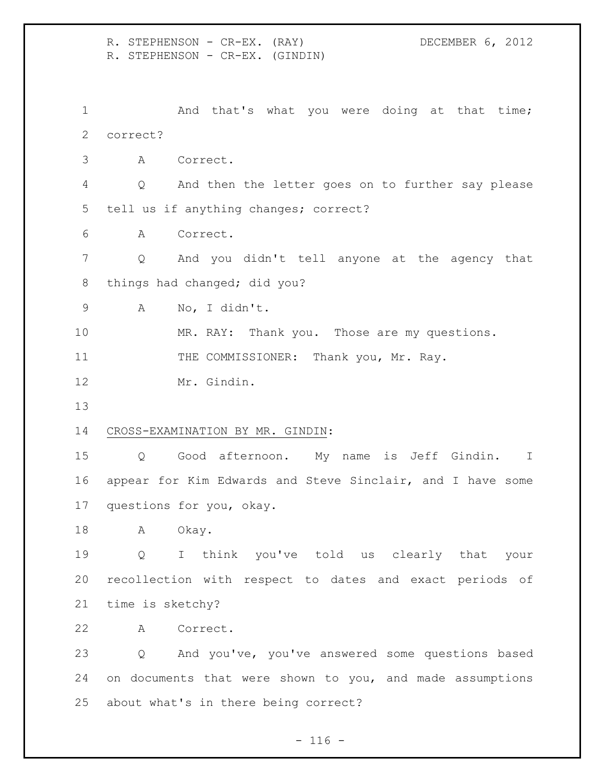R. STEPHENSON - CR-EX. (RAY) DECEMBER 6, 2012 R. STEPHENSON - CR-EX. (GINDIN) 1 And that's what you were doing at that time; correct? A Correct. Q And then the letter goes on to further say please tell us if anything changes; correct? A Correct. Q And you didn't tell anyone at the agency that 8 things had changed; did you? A No, I didn't. MR. RAY: Thank you. Those are my questions. 11 THE COMMISSIONER: Thank you, Mr. Ray. Mr. Gindin. CROSS-EXAMINATION BY MR. GINDIN: Q Good afternoon. My name is Jeff Gindin. I appear for Kim Edwards and Steve Sinclair, and I have some questions for you, okay. A Okay. Q I think you've told us clearly that your recollection with respect to dates and exact periods of time is sketchy? A Correct. Q And you've, you've answered some questions based on documents that were shown to you, and made assumptions about what's in there being correct?

 $- 116 -$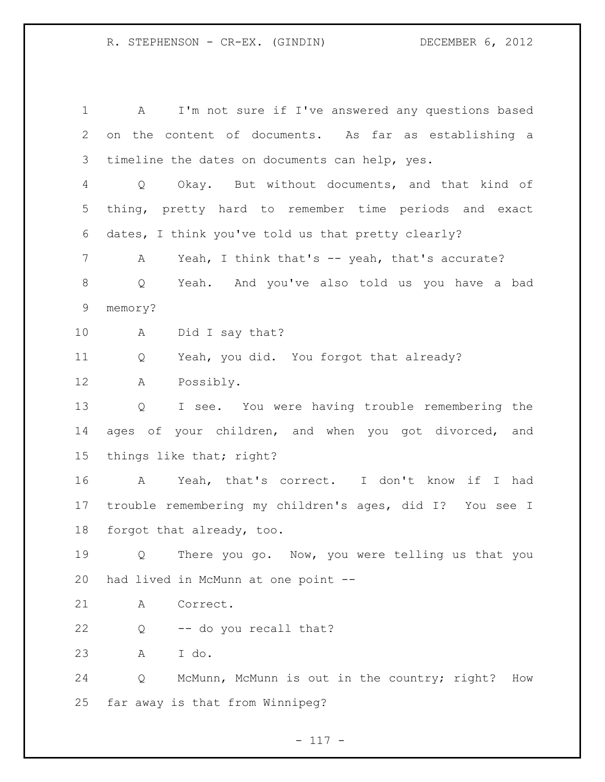A I'm not sure if I've answered any questions based on the content of documents. As far as establishing a timeline the dates on documents can help, yes. Q Okay. But without documents, and that kind of thing, pretty hard to remember time periods and exact dates, I think you've told us that pretty clearly? 7 A Yeah, I think that's -- yeah, that's accurate? Q Yeah. And you've also told us you have a bad memory? A Did I say that? Q Yeah, you did. You forgot that already? A Possibly. Q I see. You were having trouble remembering the 14 ages of your children, and when you got divorced, and things like that; right? A Yeah, that's correct. I don't know if I had trouble remembering my children's ages, did I? You see I forgot that already, too. Q There you go. Now, you were telling us that you had lived in McMunn at one point -- A Correct. Q -- do you recall that? A I do. Q McMunn, McMunn is out in the country; right? How far away is that from Winnipeg?

- 117 -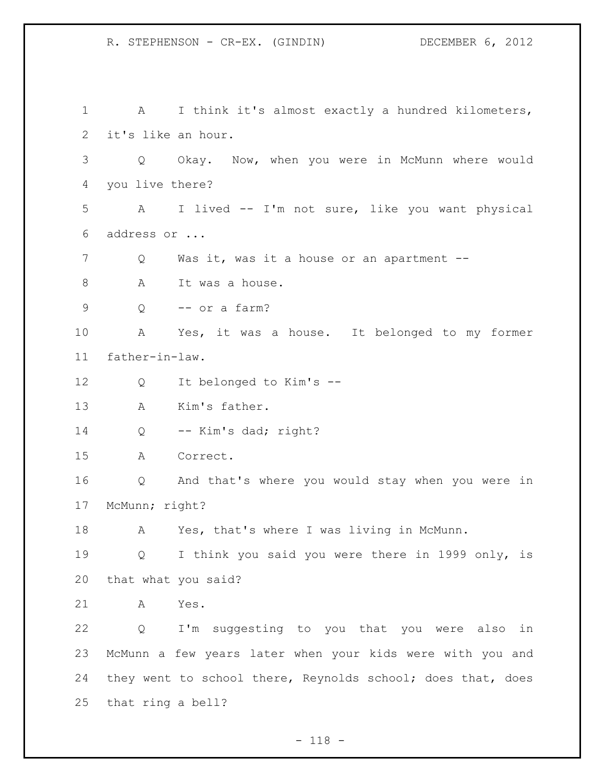A I think it's almost exactly a hundred kilometers, it's like an hour. Q Okay. Now, when you were in McMunn where would you live there? A I lived -- I'm not sure, like you want physical address or ... Q Was it, was it a house or an apartment -- 8 A It was a house. Q -- or a farm? A Yes, it was a house. It belonged to my former father-in-law. Q It belonged to Kim's -- A Kim's father. Q -- Kim's dad; right? A Correct. Q And that's where you would stay when you were in McMunn; right? A Yes, that's where I was living in McMunn. Q I think you said you were there in 1999 only, is that what you said? A Yes. Q I'm suggesting to you that you were also in McMunn a few years later when your kids were with you and they went to school there, Reynolds school; does that, does that ring a bell?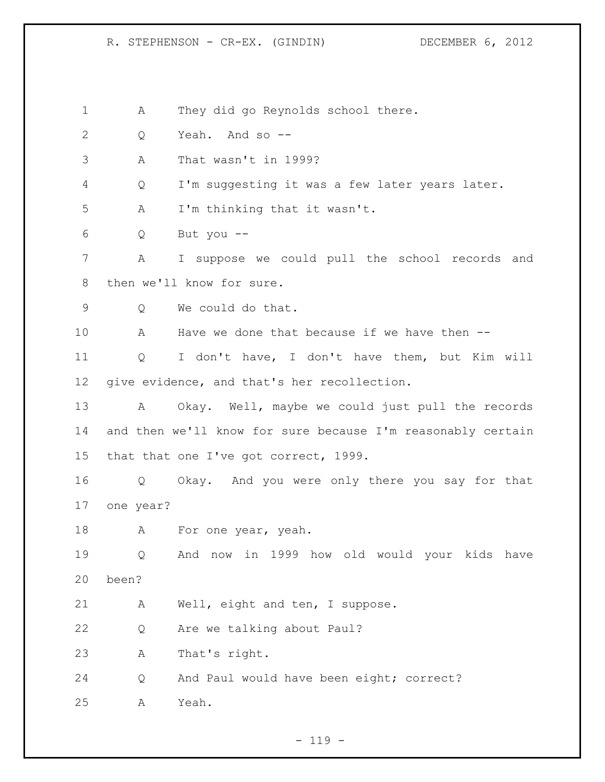A They did go Reynolds school there. Q Yeah. And so -- A That wasn't in 1999? Q I'm suggesting it was a few later years later. A I'm thinking that it wasn't. Q But you -- A I suppose we could pull the school records and then we'll know for sure. Q We could do that. A Have we done that because if we have then -- Q I don't have, I don't have them, but Kim will give evidence, and that's her recollection. A Okay. Well, maybe we could just pull the records and then we'll know for sure because I'm reasonably certain that that one I've got correct, 1999. Q Okay. And you were only there you say for that one year? 18 A For one year, yeah. Q And now in 1999 how old would your kids have been? A Well, eight and ten, I suppose. Q Are we talking about Paul? A That's right. Q And Paul would have been eight; correct? A Yeah.

 $- 119 -$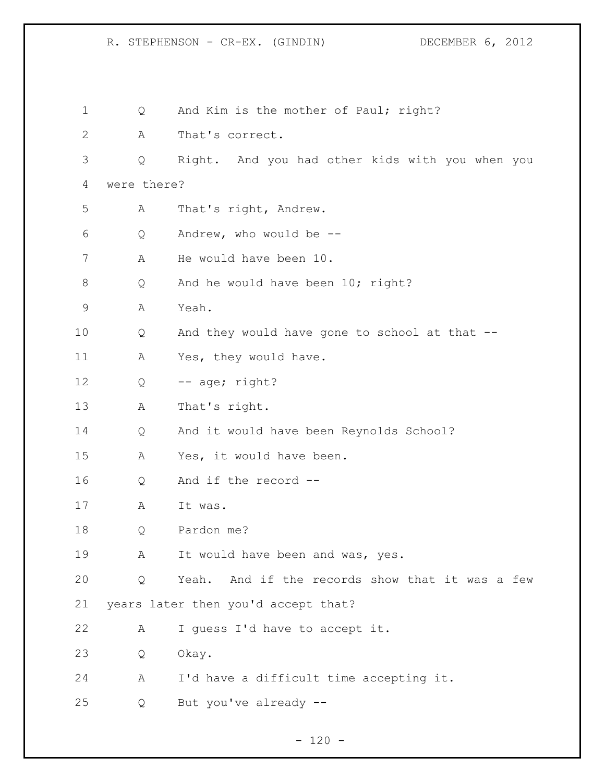| $\mathbf 1$ | Q           | And Kim is the mother of Paul; right?              |
|-------------|-------------|----------------------------------------------------|
| 2           | Α           | That's correct.                                    |
| 3           | Q           | Right. And you had other kids with you when you    |
| 4           | were there? |                                                    |
| 5           | А           | That's right, Andrew.                              |
| 6           | Q           | Andrew, who would be $--$                          |
| 7           | Α           | He would have been 10.                             |
| 8           | Q           | And he would have been 10; right?                  |
| 9           | Α           | Yeah.                                              |
| 10          | Q           | And they would have gone to school at that --      |
| 11          | A           | Yes, they would have.                              |
| 12          | Q           | -- age; right?                                     |
| 13          | А           | That's right.                                      |
| 14          | Q           | And it would have been Reynolds School?            |
| 15          | А           | Yes, it would have been.                           |
| 16          | Q           | And if the record --                               |
| 17          | А           | It was.                                            |
| 18          | Q           | Pardon me?                                         |
| 19          | A           | It would have been and was, yes.                   |
| 20          | Q           | And if the records show that it was a few<br>Yeah. |
| 21          |             | years later then you'd accept that?                |
| 22          | А           | I guess I'd have to accept it.                     |
| 23          | Q           | Okay.                                              |
| 24          | A           | I'd have a difficult time accepting it.            |
| 25          | Q           | But you've already --                              |
|             |             |                                                    |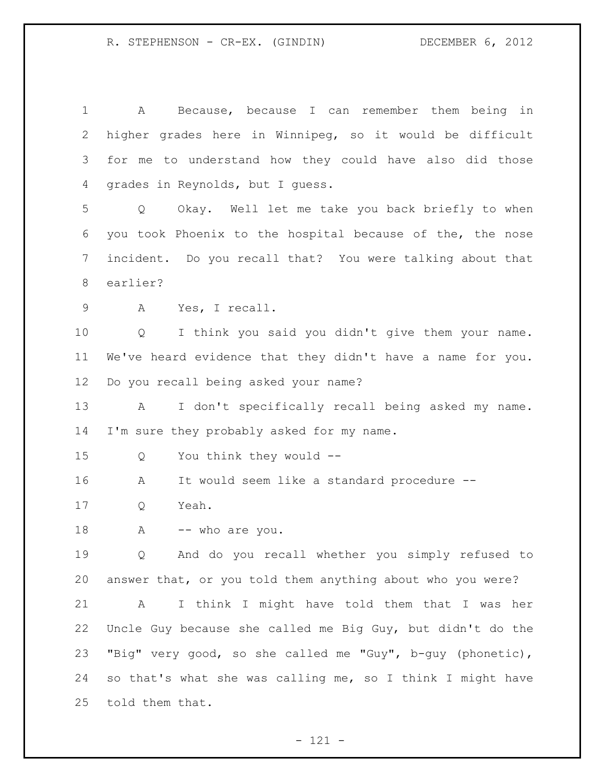| 1  | Because, because I can remember them being<br>in<br>Α      |  |  |
|----|------------------------------------------------------------|--|--|
| 2  | higher grades here in Winnipeg, so it would be difficult   |  |  |
| 3  | for me to understand how they could have also did those    |  |  |
| 4  | grades in Reynolds, but I quess.                           |  |  |
| 5  | Okay. Well let me take you back briefly to when<br>Q       |  |  |
| 6  | you took Phoenix to the hospital because of the, the nose  |  |  |
| 7  | incident. Do you recall that? You were talking about that  |  |  |
| 8  | earlier?                                                   |  |  |
| 9  | Yes, I recall.<br>A                                        |  |  |
| 10 | I think you said you didn't give them your name.<br>Q      |  |  |
| 11 | We've heard evidence that they didn't have a name for you. |  |  |
| 12 | Do you recall being asked your name?                       |  |  |
| 13 | I don't specifically recall being asked my name.<br>Α      |  |  |
| 14 | I'm sure they probably asked for my name.                  |  |  |
| 15 | You think they would --<br>Q                               |  |  |
| 16 | It would seem like a standard procedure --<br>Α            |  |  |
| 17 | Yeah.<br>Q                                                 |  |  |
| 18 | -- who are you.<br>Α                                       |  |  |
| 19 | And do you recall whether you simply refused to<br>Q       |  |  |
| 20 | answer that, or you told them anything about who you were? |  |  |
| 21 | I think I might have told them that I was her<br>A         |  |  |
| 22 | Uncle Guy because she called me Big Guy, but didn't do the |  |  |
| 23 | "Big" very good, so she called me "Guy", b-guy (phonetic), |  |  |
| 24 | so that's what she was calling me, so I think I might have |  |  |
| 25 | told them that.                                            |  |  |
|    |                                                            |  |  |

- 121 -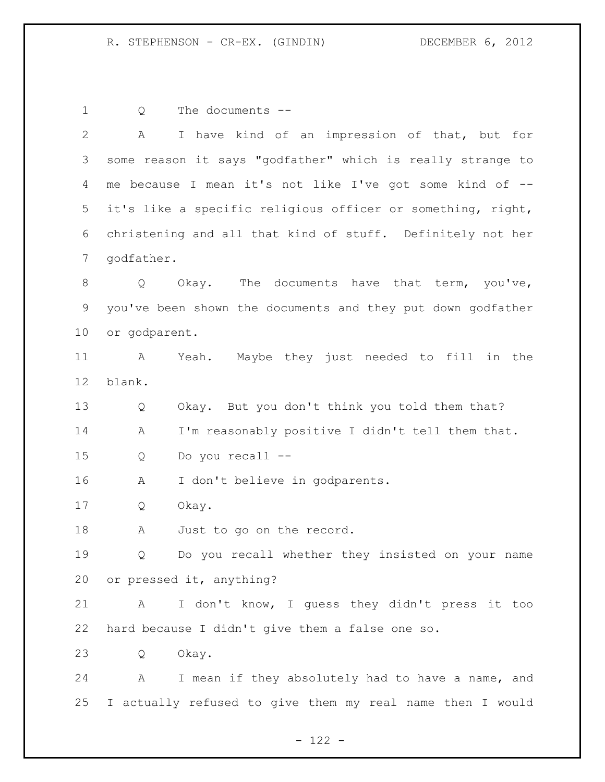Q The documents --

| $\overline{2}$ | A                                                          | I have kind of an impression of that, but for               |  |
|----------------|------------------------------------------------------------|-------------------------------------------------------------|--|
| 3              |                                                            | some reason it says "godfather" which is really strange to  |  |
| 4              |                                                            | me because I mean it's not like I've got some kind of --    |  |
| 5              |                                                            | it's like a specific religious officer or something, right, |  |
| 6              | christening and all that kind of stuff. Definitely not her |                                                             |  |
| 7              | godfather.                                                 |                                                             |  |
| 8              | Q                                                          | Okay. The documents have that term, you've,                 |  |
| 9              |                                                            | you've been shown the documents and they put down godfather |  |
| 10             | or godparent.                                              |                                                             |  |
| 11             | A                                                          | Maybe they just needed to fill in the<br>Yeah.              |  |
| 12             | blank.                                                     |                                                             |  |
| 13             | Q                                                          | Okay. But you don't think you told them that?               |  |
| 14             | Α                                                          | I'm reasonably positive I didn't tell them that.            |  |
| 15             | Q                                                          | Do you recall --                                            |  |
| 16             | Α                                                          | I don't believe in godparents.                              |  |
| 17             | Q                                                          | Okay.                                                       |  |
| 18             | A                                                          | Just to go on the record.                                   |  |
| 19             | Q                                                          | Do you recall whether they insisted on your name            |  |
| 20             |                                                            | or pressed it, anything?                                    |  |
| 21             | A                                                          | I don't know, I guess they didn't press it too              |  |
| 22             | hard because I didn't give them a false one so.            |                                                             |  |
| 23             | Q                                                          | Okay.                                                       |  |
| 24             | A                                                          | I mean if they absolutely had to have a name, and           |  |
| 25             |                                                            | I actually refused to give them my real name then I would   |  |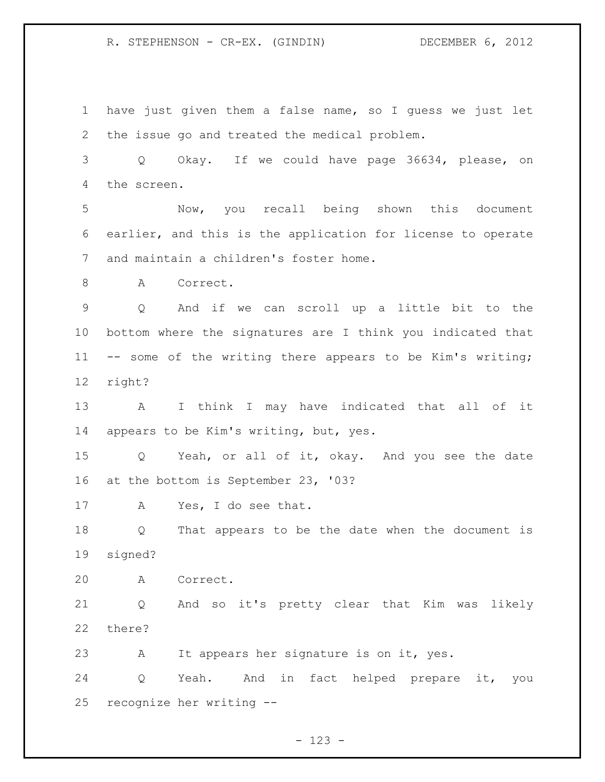have just given them a false name, so I guess we just let the issue go and treated the medical problem. Q Okay. If we could have page 36634, please, on the screen. Now, you recall being shown this document earlier, and this is the application for license to operate and maintain a children's foster home. 8 A Correct. Q And if we can scroll up a little bit to the bottom where the signatures are I think you indicated that -- some of the writing there appears to be Kim's writing; right? A I think I may have indicated that all of it appears to be Kim's writing, but, yes. Q Yeah, or all of it, okay. And you see the date at the bottom is September 23, '03? A Yes, I do see that. Q That appears to be the date when the document is signed? A Correct. Q And so it's pretty clear that Kim was likely there? A It appears her signature is on it, yes. Q Yeah. And in fact helped prepare it, you recognize her writing --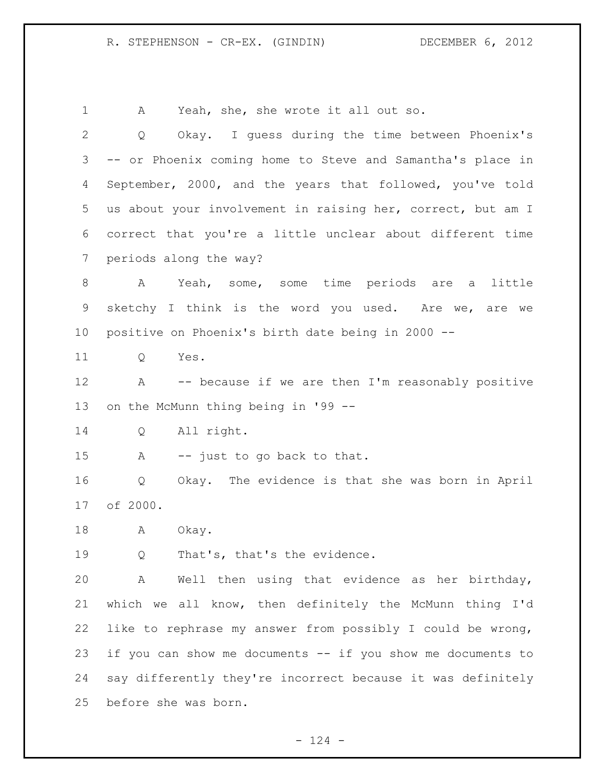A Yeah, she, she wrote it all out so. Q Okay. I guess during the time between Phoenix's -- or Phoenix coming home to Steve and Samantha's place in September, 2000, and the years that followed, you've told us about your involvement in raising her, correct, but am I correct that you're a little unclear about different time periods along the way? A Yeah, some, some time periods are a little sketchy I think is the word you used. Are we, are we positive on Phoenix's birth date being in 2000 -- Q Yes. A -- because if we are then I'm reasonably positive on the McMunn thing being in '99 -- Q All right. A -- just to go back to that. Q Okay. The evidence is that she was born in April of 2000. 18 A Okay. Q That's, that's the evidence. A Well then using that evidence as her birthday, which we all know, then definitely the McMunn thing I'd like to rephrase my answer from possibly I could be wrong, if you can show me documents -- if you show me documents to say differently they're incorrect because it was definitely before she was born.

 $- 124 -$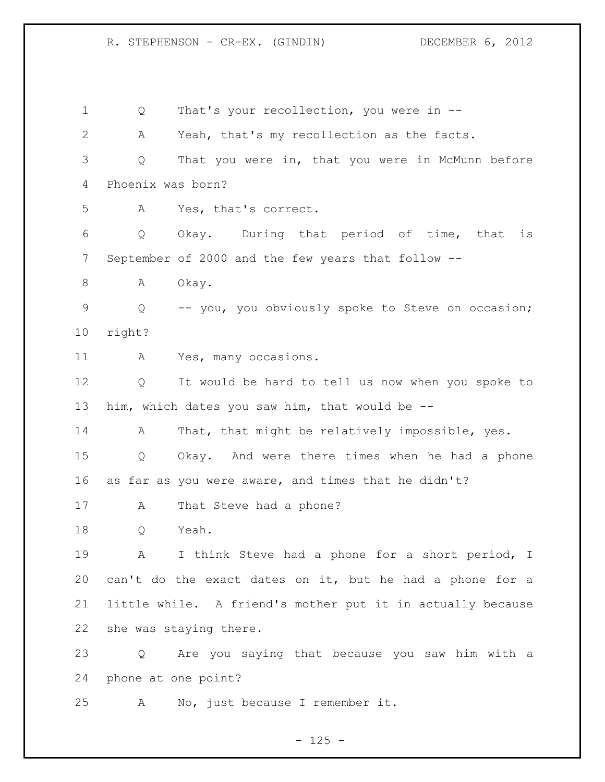1 O That's your recollection, you were in -- A Yeah, that's my recollection as the facts. Q That you were in, that you were in McMunn before Phoenix was born? A Yes, that's correct. Q Okay. During that period of time, that is September of 2000 and the few years that follow -- 8 A Okay. Q -- you, you obviously spoke to Steve on occasion; right? A Yes, many occasions. Q It would be hard to tell us now when you spoke to him, which dates you saw him, that would be -- 14 A That, that might be relatively impossible, yes. Q Okay. And were there times when he had a phone as far as you were aware, and times that he didn't? 17 A That Steve had a phone? Q Yeah. A I think Steve had a phone for a short period, I can't do the exact dates on it, but he had a phone for a little while. A friend's mother put it in actually because she was staying there. Q Are you saying that because you saw him with a phone at one point? A No, just because I remember it.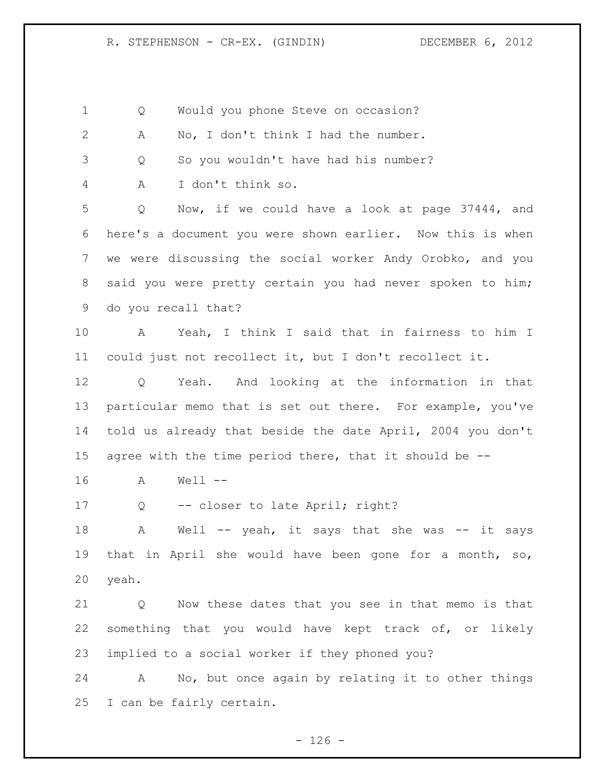| 1               | Would you phone Steve on occasion?<br>Q                                |
|-----------------|------------------------------------------------------------------------|
| $\mathbf{2}$    | No, I don't think I had the number.<br>Α                               |
| 3               | So you wouldn't have had his number?<br>Q                              |
| 4               | I don't think so.<br>Α                                                 |
| 5               | Now, if we could have a look at page 37444, and<br>Q                   |
| 6               | here's a document you were shown earlier. Now this is when             |
| 7               | we were discussing the social worker Andy Orobko, and you              |
| 8               | said you were pretty certain you had never spoken to him;              |
| 9               | do you recall that?                                                    |
| 10 <sub>o</sub> | Yeah, I think I said that in fairness to him I<br>A                    |
| 11              | could just not recollect it, but I don't recollect it.                 |
| 12              | Yeah. And looking at the information in that<br>Q                      |
| 13              | particular memo that is set out there. For example, you've             |
| 14              | told us already that beside the date April, 2004 you don't             |
| 15              | agree with the time period there, that it should be --                 |
| 16              | $Well --$<br>A                                                         |
| 17              | -- closer to late April; right?<br>Q                                   |
| 18              | Well -- yeah, it says that she was -- it says<br>Α                     |
| 19              | that in April she would have been gone for a month, so,                |
| 20              | yeah.                                                                  |
| 21              | Now these dates that you see in that memo is that<br>$Q \qquad \qquad$ |
| 22              | something that you would have kept track of, or likely                 |
| 23              | implied to a social worker if they phoned you?                         |
|                 |                                                                        |

 A No, but once again by relating it to other things I can be fairly certain.

- 126 -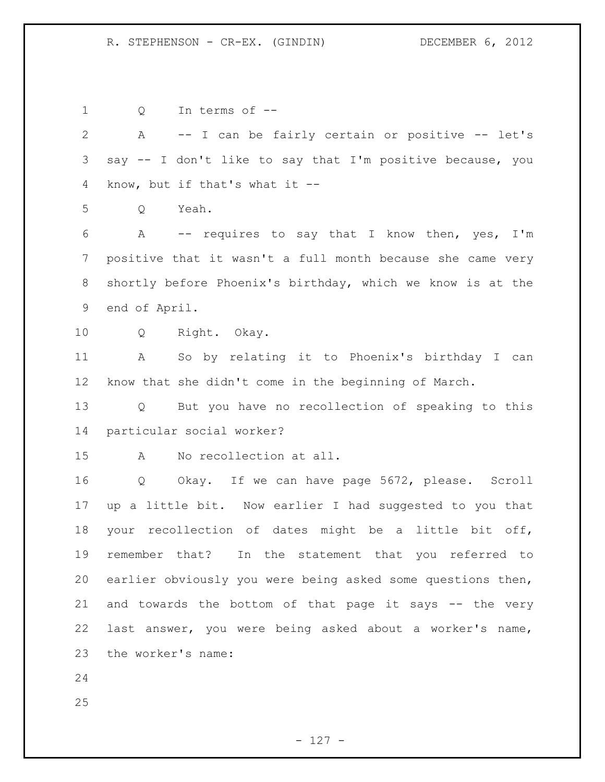Q In terms of -- A -- I can be fairly certain or positive -- let's say -- I don't like to say that I'm positive because, you know, but if that's what it -- Q Yeah. A -- requires to say that I know then, yes, I'm positive that it wasn't a full month because she came very shortly before Phoenix's birthday, which we know is at the end of April. Q Right. Okay. A So by relating it to Phoenix's birthday I can know that she didn't come in the beginning of March. Q But you have no recollection of speaking to this particular social worker? A No recollection at all. Q Okay. If we can have page 5672, please. Scroll up a little bit. Now earlier I had suggested to you that your recollection of dates might be a little bit off, remember that? In the statement that you referred to earlier obviously you were being asked some questions then, and towards the bottom of that page it says -- the very last answer, you were being asked about a worker's name, the worker's name: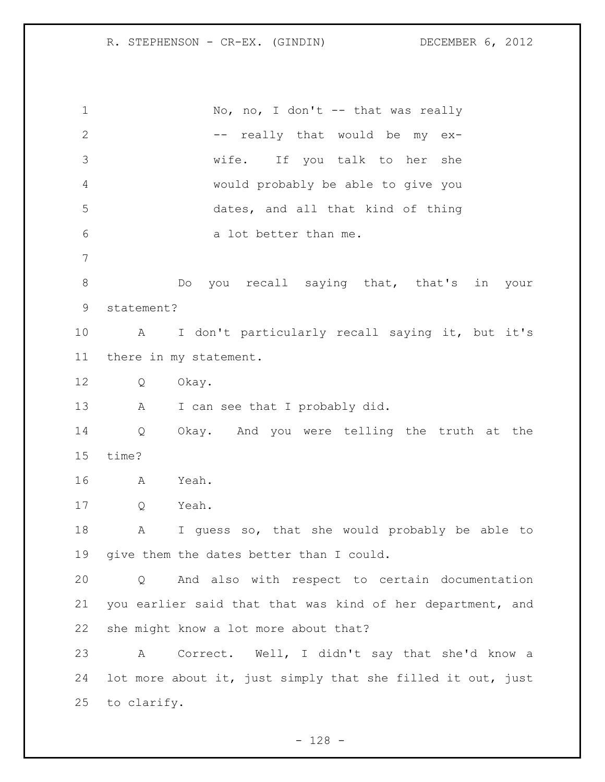1 No, no, I don't -- that was really 2 -- really that would be my ex- wife. If you talk to her she would probably be able to give you dates, and all that kind of thing a lot better than me. 8 Do you recall saying that, that's in your statement? A I don't particularly recall saying it, but it's there in my statement. Q Okay. 13 A I can see that I probably did. Q Okay. And you were telling the truth at the time? A Yeah. Q Yeah. A I guess so, that she would probably be able to give them the dates better than I could. Q And also with respect to certain documentation you earlier said that that was kind of her department, and she might know a lot more about that? A Correct. Well, I didn't say that she'd know a lot more about it, just simply that she filled it out, just to clarify.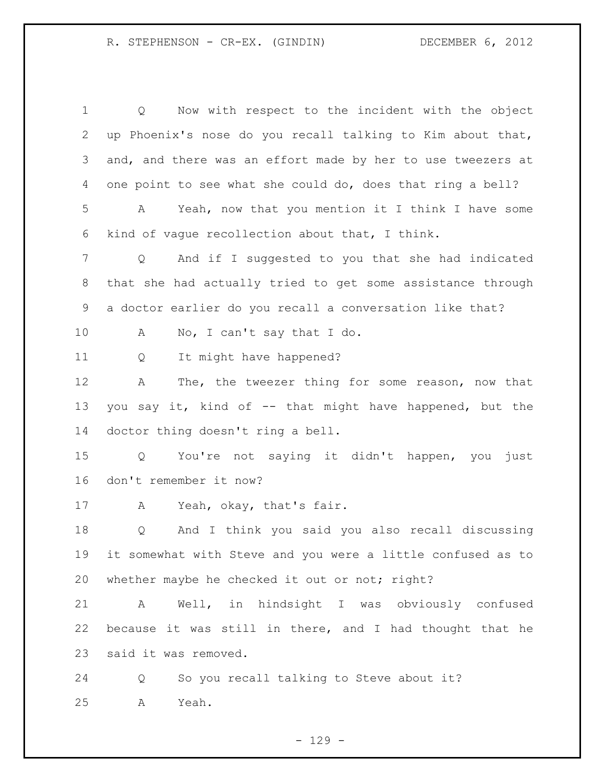Q Now with respect to the incident with the object up Phoenix's nose do you recall talking to Kim about that, and, and there was an effort made by her to use tweezers at one point to see what she could do, does that ring a bell? A Yeah, now that you mention it I think I have some kind of vague recollection about that, I think. Q And if I suggested to you that she had indicated that she had actually tried to get some assistance through a doctor earlier do you recall a conversation like that? A No, I can't say that I do. Q It might have happened? A The, the tweezer thing for some reason, now that you say it, kind of -- that might have happened, but the doctor thing doesn't ring a bell. Q You're not saying it didn't happen, you just don't remember it now? A Yeah, okay, that's fair. Q And I think you said you also recall discussing it somewhat with Steve and you were a little confused as to 20 whether maybe he checked it out or not; right? A Well, in hindsight I was obviously confused because it was still in there, and I had thought that he said it was removed. Q So you recall talking to Steve about it? A Yeah.

 $-129 -$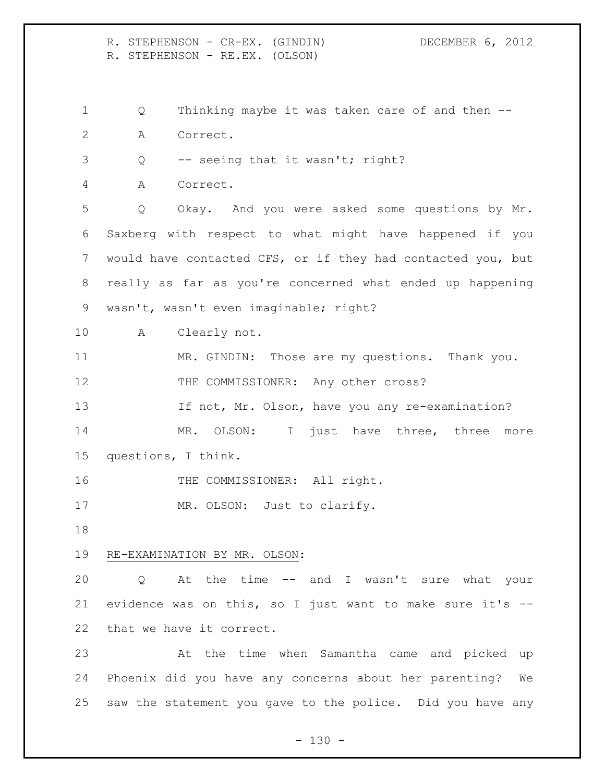R. STEPHENSON - CR-EX. (GINDIN) DECEMBER 6, 2012 R. STEPHENSON - RE.EX. (OLSON) Q Thinking maybe it was taken care of and then --

- A Correct.
- Q -- seeing that it wasn't; right?

A Correct.

 Q Okay. And you were asked some questions by Mr. Saxberg with respect to what might have happened if you would have contacted CFS, or if they had contacted you, but really as far as you're concerned what ended up happening wasn't, wasn't even imaginable; right?

A Clearly not.

 MR. GINDIN: Those are my questions. Thank you. 12 THE COMMISSIONER: Any other cross?

If not, Mr. Olson, have you any re-examination?

14 MR. OLSON: I just have three, three more questions, I think.

16 THE COMMISSIONER: All right.

17 MR. OLSON: Just to clarify.

## RE-EXAMINATION BY MR. OLSON:

 Q At the time -- and I wasn't sure what your evidence was on this, so I just want to make sure it's -- that we have it correct.

 At the time when Samantha came and picked up Phoenix did you have any concerns about her parenting? We saw the statement you gave to the police. Did you have any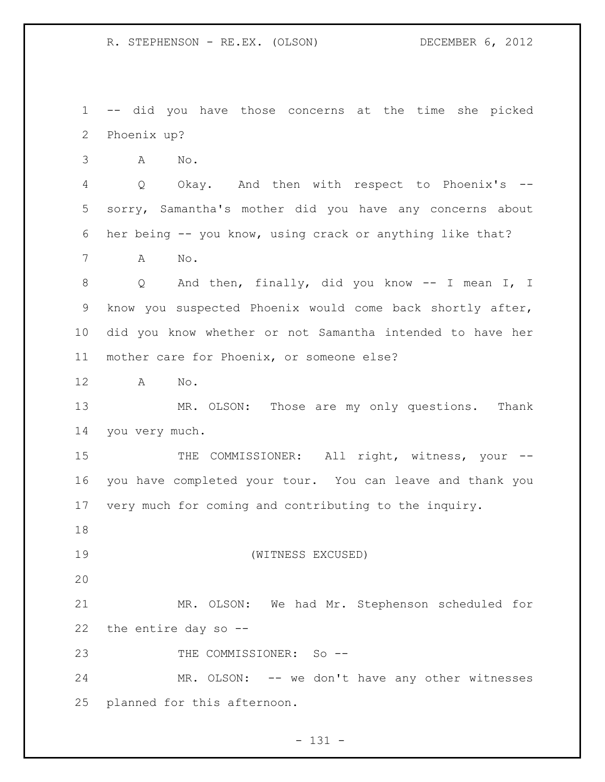R. STEPHENSON - RE.EX. (OLSON) DECEMBER 6, 2012

 -- did you have those concerns at the time she picked Phoenix up?

A No.

 Q Okay. And then with respect to Phoenix's -- sorry, Samantha's mother did you have any concerns about her being -- you know, using crack or anything like that?

A No.

 Q And then, finally, did you know -- I mean I, I know you suspected Phoenix would come back shortly after, did you know whether or not Samantha intended to have her mother care for Phoenix, or someone else?

A No.

 MR. OLSON: Those are my only questions. Thank you very much.

15 THE COMMISSIONER: All right, witness, your -- you have completed your tour. You can leave and thank you very much for coming and contributing to the inquiry.

(WITNESS EXCUSED)

 MR. OLSON: We had Mr. Stephenson scheduled for the entire day so --

23 THE COMMISSIONER: So --

 MR. OLSON: -- we don't have any other witnesses planned for this afternoon.

 $- 131 -$